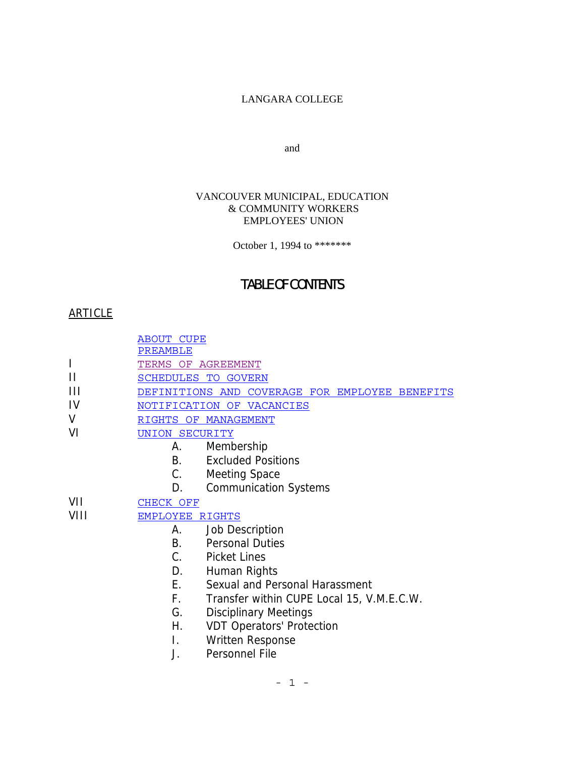# LANGARA COLLEGE

and

### VANCOUVER MUNICIPAL, EDUCATION & COMMUNITY WORKERS EMPLOYEES' UNION

October 1, 1994 to \*\*\*\*\*\*\*

# TABLE OF CONTENTS

# ARTICLE

ABOUT CUPE

PREAMBLE

- I TERMS OF AGREEMENT
- II SCHEDULES TO GOVERN
- III DEFINITIONS AND COVERAGE FOR EMPLOYEE BENEFITS
- IV NOTIFICATION OF VACANCIES
- V RIGHTS OF MANAGEMENT
- VI UNION SECURITY
	- A. Membership
	- B. Excluded Positions
	- C. Meeting Space
	- D. Communication Systems

VII CHECK OFF

# VIII EMPLOYEE RIGHTS

- A. Job Description
- B. Personal Duties
- C. Picket Lines
- D. Human Rights
- E. Sexual and Personal Harassment
- F. Transfer within CUPE Local 15, V.M.E.C.W.
- G. Disciplinary Meetings
- H. VDT Operators' Protection
- I. Written Response
- J. Personnel File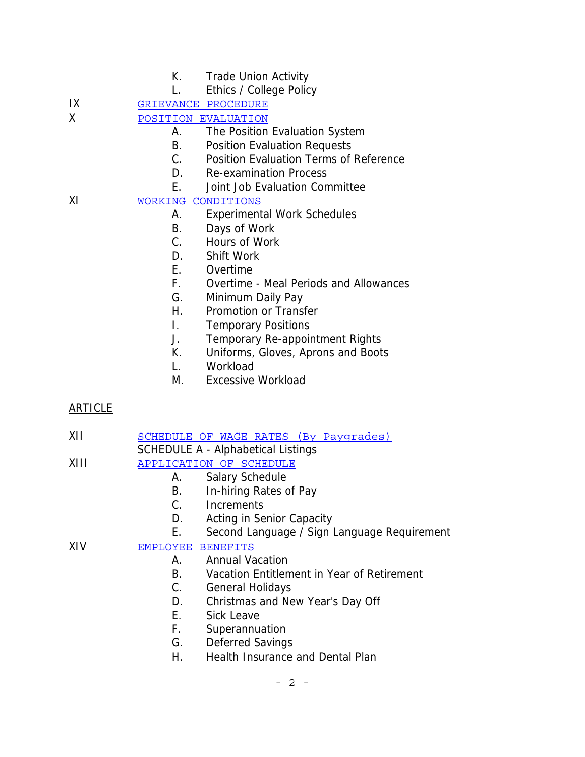- K. Trade Union Activity
- L. Ethics / College Policy

IX GRIEVANCE PROCEDURE

- X POSITION EVALUATION
	- A. The Position Evaluation System
	- B. Position Evaluation Requests
	- C. Position Evaluation Terms of Reference
	- D. Re-examination Process
	- E. Joint Job Evaluation Committee
- XI WORKING CONDITIONS
	- A. Experimental Work Schedules
	- B. Days of Work
	- C. Hours of Work
	- D. Shift Work
	- E. Overtime
	- F. Overtime Meal Periods and Allowances
	- G. Minimum Daily Pay
	- H. Promotion or Transfer
	- I. Temporary Positions
	- J. Temporary Re-appointment Rights
	- K. Uniforms, Gloves, Aprons and Boots
	- L. Workload
	- M. Excessive Workload

# ARTICLE

- XII SCHEDULE OF WAGE RATES (By Paygrades)
- SCHEDULE A Alphabetical Listings
- XIII APPLICATION OF SCHEDULE
	- A. Salary Schedule
	- B. In-hiring Rates of Pay
	- C. Increments
	- D. Acting in Senior Capacity
	- E. Second Language / Sign Language Requirement
- XIV EMPLOYEE BENEFITS
	- A. Annual Vacation
	- B. Vacation Entitlement in Year of Retirement
	- C. General Holidays
	- D. Christmas and New Year's Day Off
	- E. Sick Leave
	- F. Superannuation
	- G. Deferred Savings
	- H. Health Insurance and Dental Plan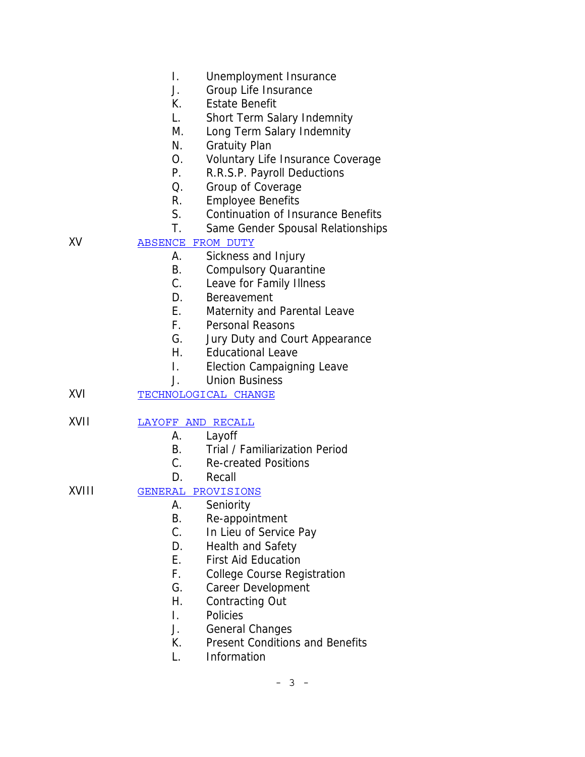- I. Unemployment Insurance
- J. Group Life Insurance
- K. Estate Benefit
- L. Short Term Salary Indemnity
- M. Long Term Salary Indemnity
- N. Gratuity Plan
- O. Voluntary Life Insurance Coverage
- P. R.R.S.P. Payroll Deductions
- Q. Group of Coverage
- R. Employee Benefits
- S. Continuation of Insurance Benefits
- T. Same Gender Spousal Relationships

# XV ABSENCE FROM DUTY

- A. Sickness and Injury
- B. Compulsory Quarantine
- C. Leave for Family Illness
- D. Bereavement
- E. Maternity and Parental Leave
- F. Personal Reasons
- G. Jury Duty and Court Appearance
- H. Educational Leave
- I. Election Campaigning Leave
- J. Union Business
- XVI TECHNOLOGICAL CHANGE

# XVII LAYOFF AND RECALL

- A. Layoff
- B. Trial / Familiarization Period
- C. Re-created Positions
- D. Recall

# XVIII GENERAL PROVISIONS

- A. Seniority
- B. Re-appointment
- C. In Lieu of Service Pay
- D. Health and Safety
- E. First Aid Education
- F. College Course Registration
- G. Career Development
- H. Contracting Out
- I. Policies
- J. General Changes
- K. Present Conditions and Benefits
- L. Information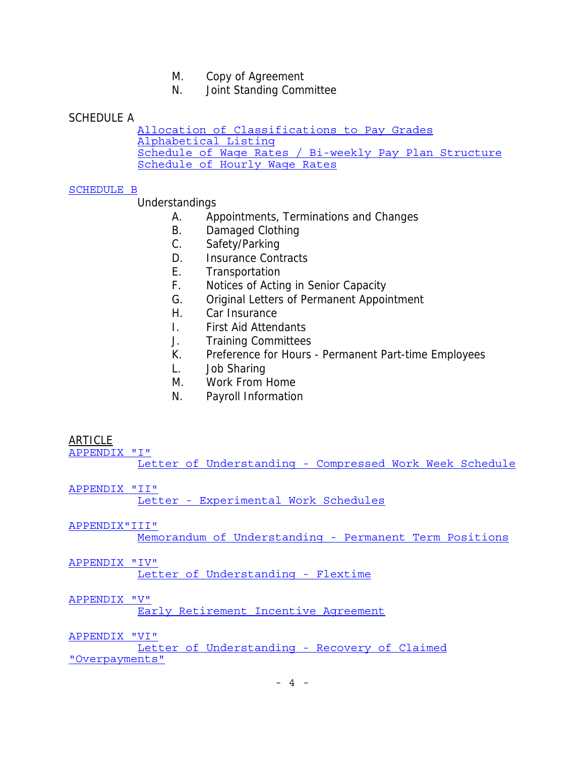- M. Copy of Agreement
- N. Joint Standing Committee

## SCHEDULE A

Allocation of Classifications to Pay Grades Alphabetical Listing Schedule of Wage Rates / Bi-weekly Pay Plan Structure Schedule of Hourly Wage Rates

### SCHEDULE B

# Understandings

- A. Appointments, Terminations and Changes
- B. Damaged Clothing
- C. Safety/Parking
- D. Insurance Contracts
- E. Transportation
- F. Notices of Acting in Senior Capacity
- G. Original Letters of Permanent Appointment
- H. Car Insurance
- I. First Aid Attendants
- J. Training Committees
- K. Preference for Hours Permanent Part-time Employees
- L. Job Sharing
- M. Work From Home
- N. Payroll Information

### ARTICLE

APPENDIX "I"

Letter of Understanding - Compressed Work Week Schedule

APPENDIX "II" Letter - Experimental Work Schedules

#### APPENDIX"III"

Memorandum of Understanding - Permanent Term Positions

#### APPENDIX "IV"

Letter of Understanding - Flextime

#### APPENDIX "V"

Early Retirement Incentive Agreement

#### APPENDIX "VI"

Letter of Understanding - Recovery of Claimed "Overpayments"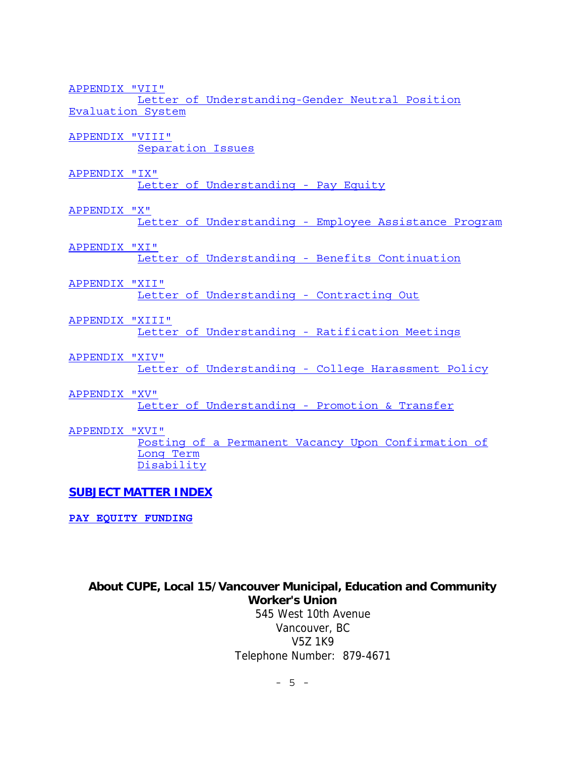APPENDIX "VII"

Letter of Understanding-Gender Neutral Position Evaluation System

APPENDIX "VIII" Separation Issues

APPENDIX "IX"

Letter of Understanding - Pay Equity

APPENDIX "X"

Letter of Understanding - Employee Assistance Program

### APPENDIX "XI"

Letter of Understanding - Benefits Continuation

#### APPENDIX "XII"

Letter of Understanding - Contracting Out

APPENDIX "XIII"

Letter of Understanding - Ratification Meetings

APPENDIX "XIV"

Letter of Understanding - College Harassment Policy

APPENDIX "XV"

Letter of Understanding - Promotion & Transfer

APPENDIX "XVI"

Posting of a Permanent Vacancy Upon Confirmation of Long Term Disability

### **SUBJECT MATTER INDEX**

**PAY EQUITY FUNDING**

# **About CUPE, Local 15/Vancouver Municipal, Education and Community Worker's Union**

 545 West 10th Avenue Vancouver, BC V5Z 1K9 Telephone Number: 879-4671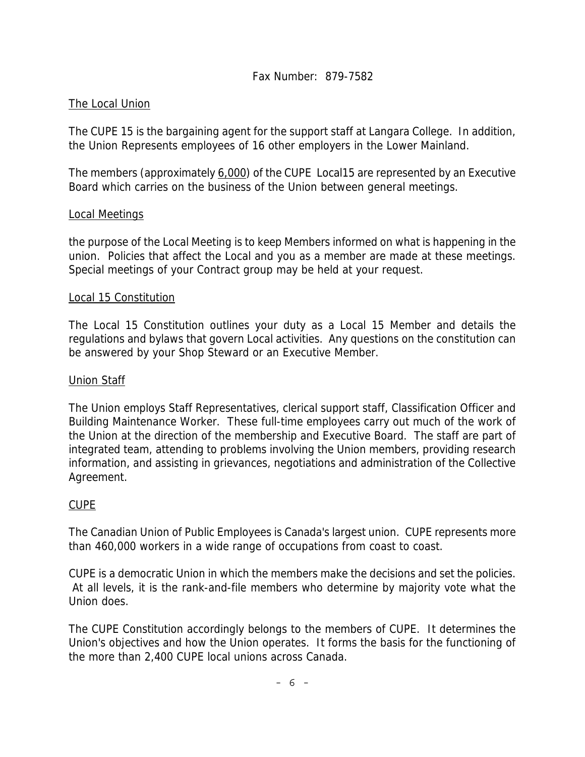# The Local Union

The CUPE 15 is the bargaining agent for the support staff at Langara College. In addition, the Union Represents employees of 16 other employers in the Lower Mainland.

The members (approximately 6,000) of the CUPE Local15 are represented by an Executive Board which carries on the business of the Union between general meetings.

# Local Meetings

the purpose of the Local Meeting is to keep Members informed on what is happening in the union. Policies that affect the Local and you as a member are made at these meetings. Special meetings of your Contract group may be held at your request.

# Local 15 Constitution

The Local 15 Constitution outlines your duty as a Local 15 Member and details the regulations and bylaws that govern Local activities. Any questions on the constitution can be answered by your Shop Steward or an Executive Member.

# Union Staff

The Union employs Staff Representatives, clerical support staff, Classification Officer and Building Maintenance Worker. These full-time employees carry out much of the work of the Union at the direction of the membership and Executive Board. The staff are part of integrated team, attending to problems involving the Union members, providing research information, and assisting in grievances, negotiations and administration of the Collective Agreement.

# CUPE

The Canadian Union of Public Employees is Canada's largest union. CUPE represents more than 460,000 workers in a wide range of occupations from coast to coast.

CUPE is a democratic Union in which the members make the decisions and set the policies. At all levels, it is the rank-and-file members who determine by majority vote what the Union does.

The CUPE Constitution accordingly belongs to the members of CUPE. It determines the Union's objectives and how the Union operates. It forms the basis for the functioning of the more than 2,400 CUPE local unions across Canada.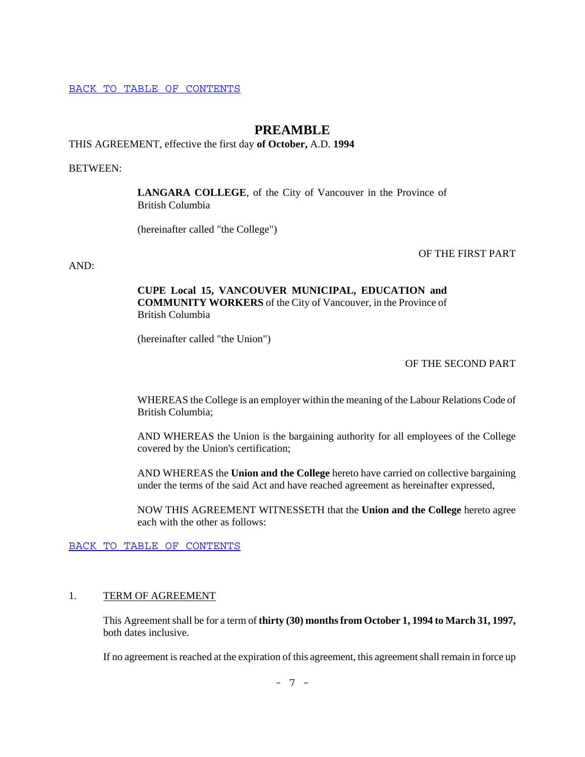BACK TO TABLE OF CONTENTS

# **PREAMBLE**

THIS AGREEMENT, effective the first day **of October,** A.D. **1994**

BETWEEN:

**LANGARA COLLEGE**, of the City of Vancouver in the Province of British Columbia

(hereinafter called "the College")

OF THE FIRST PART

AND:

### **CUPE Local 15, VANCOUVER MUNICIPAL, EDUCATION and COMMUNITY WORKERS** of the City of Vancouver, in the Province of British Columbia

(hereinafter called "the Union")

### OF THE SECOND PART

WHEREAS the College is an employer within the meaning of the Labour Relations Code of British Columbia;

AND WHEREAS the Union is the bargaining authority for all employees of the College covered by the Union's certification;

AND WHEREAS the **Union and the College** hereto have carried on collective bargaining under the terms of the said Act and have reached agreement as hereinafter expressed,

NOW THIS AGREEMENT WITNESSETH that the **Union and the College** hereto agree each with the other as follows:

BACK TO TABLE OF CONTENTS

#### 1. TERM OF AGREEMENT

This Agreement shall be for a term of **thirty (30) months from October 1, 1994 to March 31, 1997,** both dates inclusive.

If no agreement is reached at the expiration of this agreement, this agreement shall remain in force up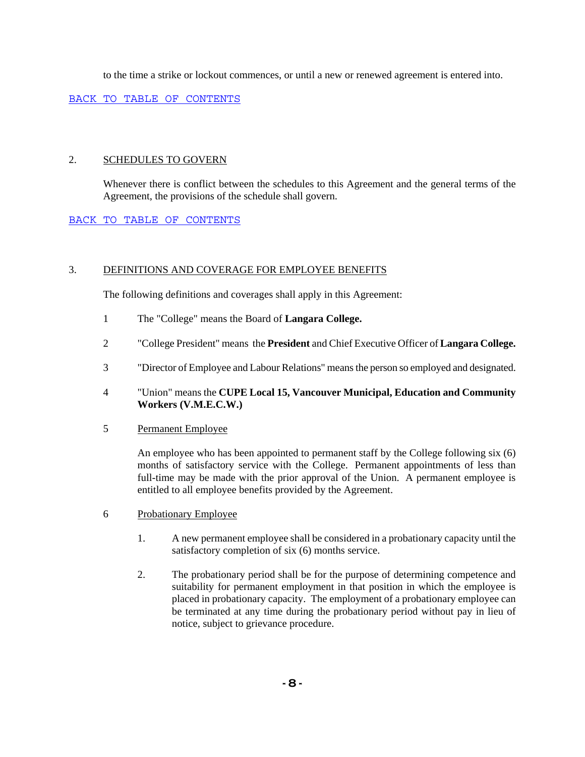to the time a strike or lockout commences, or until a new or renewed agreement is entered into.

BACK TO TABLE OF CONTENTS

#### 2. SCHEDULES TO GOVERN

Whenever there is conflict between the schedules to this Agreement and the general terms of the Agreement, the provisions of the schedule shall govern.

### BACK TO TABLE OF CONTENTS

#### 3. DEFINITIONS AND COVERAGE FOR EMPLOYEE BENEFITS

The following definitions and coverages shall apply in this Agreement:

- 1 The "College" means the Board of **Langara College.**
- 2 "College President" means the **President** and Chief Executive Officer of **Langara College.**
- 3 "Director of Employee and Labour Relations" means the person so employed and designated.
- 4 "Union" means the **CUPE Local 15, Vancouver Municipal, Education and Community Workers (V.M.E.C.W.)**
- 5 Permanent Employee

An employee who has been appointed to permanent staff by the College following six (6) months of satisfactory service with the College. Permanent appointments of less than full-time may be made with the prior approval of the Union. A permanent employee is entitled to all employee benefits provided by the Agreement.

- 6 Probationary Employee
	- 1. A new permanent employee shall be considered in a probationary capacity until the satisfactory completion of six (6) months service.
	- 2. The probationary period shall be for the purpose of determining competence and suitability for permanent employment in that position in which the employee is placed in probationary capacity. The employment of a probationary employee can be terminated at any time during the probationary period without pay in lieu of notice, subject to grievance procedure.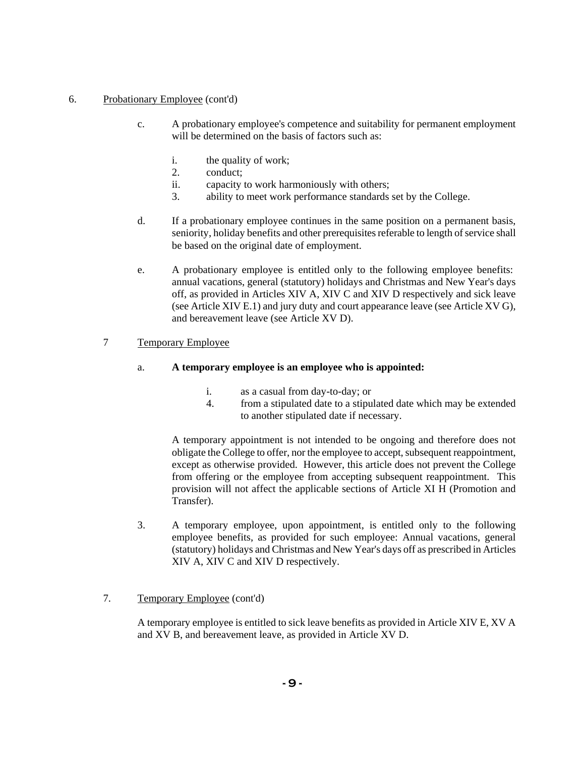#### 6. Probationary Employee (cont'd)

- c. A probationary employee's competence and suitability for permanent employment will be determined on the basis of factors such as:
	- i. the quality of work;
	- 2. conduct;
	- ii. capacity to work harmoniously with others;
	- 3. ability to meet work performance standards set by the College.
- d. If a probationary employee continues in the same position on a permanent basis, seniority, holiday benefits and other prerequisites referable to length of service shall be based on the original date of employment.
- e. A probationary employee is entitled only to the following employee benefits: annual vacations, general (statutory) holidays and Christmas and New Year's days off, as provided in Articles XIV A, XIV C and XIV D respectively and sick leave (see Article XIV E.1) and jury duty and court appearance leave (see Article XV G), and bereavement leave (see Article XV D).

### 7 Temporary Employee

### a. **A temporary employee is an employee who is appointed:**

- i. as a casual from day-to-day; or
- 4. from a stipulated date to a stipulated date which may be extended to another stipulated date if necessary.

A temporary appointment is not intended to be ongoing and therefore does not obligate the College to offer, nor the employee to accept, subsequent reappointment, except as otherwise provided. However, this article does not prevent the College from offering or the employee from accepting subsequent reappointment. This provision will not affect the applicable sections of Article XI H (Promotion and Transfer).

3. A temporary employee, upon appointment, is entitled only to the following employee benefits, as provided for such employee: Annual vacations, general (statutory) holidays and Christmas and New Year's days off as prescribed in Articles XIV A, XIV C and XIV D respectively.

### 7. Temporary Employee (cont'd)

A temporary employee is entitled to sick leave benefits as provided in Article XIV E, XV A and XV B, and bereavement leave, as provided in Article XV D.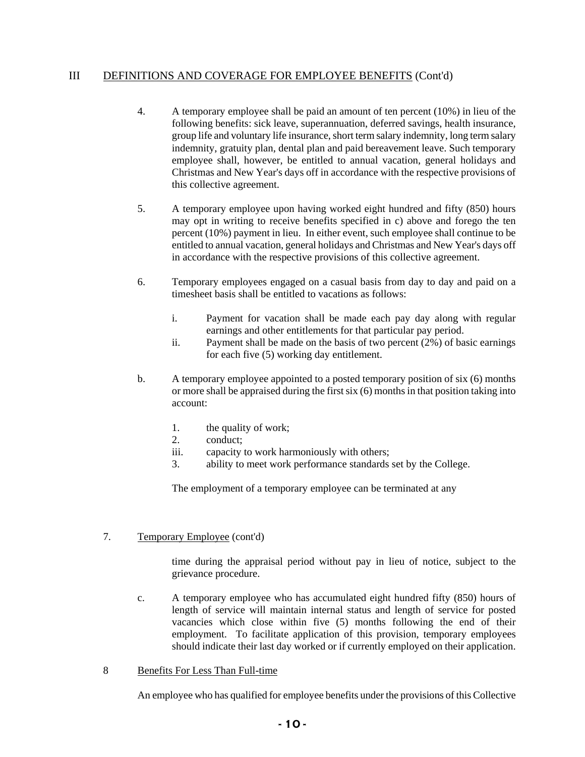# III DEFINITIONS AND COVERAGE FOR EMPLOYEE BENEFITS (Cont'd)

- 4. A temporary employee shall be paid an amount of ten percent (10%) in lieu of the following benefits: sick leave, superannuation, deferred savings, health insurance, group life and voluntary life insurance, short term salary indemnity, long term salary indemnity, gratuity plan, dental plan and paid bereavement leave. Such temporary employee shall, however, be entitled to annual vacation, general holidays and Christmas and New Year's days off in accordance with the respective provisions of this collective agreement.
- 5. A temporary employee upon having worked eight hundred and fifty (850) hours may opt in writing to receive benefits specified in c) above and forego the ten percent (10%) payment in lieu. In either event, such employee shall continue to be entitled to annual vacation, general holidays and Christmas and New Year's days off in accordance with the respective provisions of this collective agreement.
- 6. Temporary employees engaged on a casual basis from day to day and paid on a timesheet basis shall be entitled to vacations as follows:
	- i. Payment for vacation shall be made each pay day along with regular earnings and other entitlements for that particular pay period.
	- ii. Payment shall be made on the basis of two percent (2%) of basic earnings for each five (5) working day entitlement.
- b. A temporary employee appointed to a posted temporary position of six (6) months or more shall be appraised during the first six (6) months in that position taking into account:
	- 1. the quality of work;
	- 2. conduct;
	- iii. capacity to work harmoniously with others;
	- 3. ability to meet work performance standards set by the College.

The employment of a temporary employee can be terminated at any

### 7. Temporary Employee (cont'd)

time during the appraisal period without pay in lieu of notice, subject to the grievance procedure.

c. A temporary employee who has accumulated eight hundred fifty (850) hours of length of service will maintain internal status and length of service for posted vacancies which close within five (5) months following the end of their employment. To facilitate application of this provision, temporary employees should indicate their last day worked or if currently employed on their application.

#### 8 Benefits For Less Than Full-time

An employee who has qualified for employee benefits under the provisions of this Collective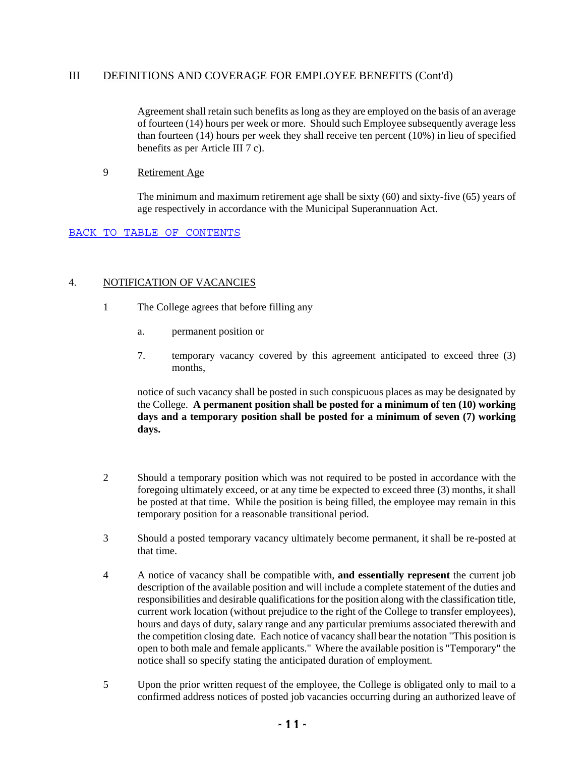### III DEFINITIONS AND COVERAGE FOR EMPLOYEE BENEFITS (Cont'd)

Agreement shall retain such benefits as long as they are employed on the basis of an average of fourteen (14) hours per week or more. Should such Employee subsequently average less than fourteen (14) hours per week they shall receive ten percent (10%) in lieu of specified benefits as per Article III 7 c).

#### 9 Retirement Age

The minimum and maximum retirement age shall be sixty (60) and sixty-five (65) years of age respectively in accordance with the Municipal Superannuation Act.

#### BACK TO TABLE OF CONTENTS

#### 4. NOTIFICATION OF VACANCIES

- 1 The College agrees that before filling any
	- a. permanent position or
	- 7. temporary vacancy covered by this agreement anticipated to exceed three (3) months,

notice of such vacancy shall be posted in such conspicuous places as may be designated by the College. **A permanent position shall be posted for a minimum of ten (10) working days and a temporary position shall be posted for a minimum of seven (7) working days.**

- 2 Should a temporary position which was not required to be posted in accordance with the foregoing ultimately exceed, or at any time be expected to exceed three (3) months, it shall be posted at that time. While the position is being filled, the employee may remain in this temporary position for a reasonable transitional period.
- 3 Should a posted temporary vacancy ultimately become permanent, it shall be re-posted at that time.
- 4 A notice of vacancy shall be compatible with, **and essentially represent** the current job description of the available position and will include a complete statement of the duties and responsibilities and desirable qualifications for the position along with the classification title, current work location (without prejudice to the right of the College to transfer employees), hours and days of duty, salary range and any particular premiums associated therewith and the competition closing date. Each notice of vacancy shall bear the notation "This position is open to both male and female applicants." Where the available position is "Temporary" the notice shall so specify stating the anticipated duration of employment.
- 5 Upon the prior written request of the employee, the College is obligated only to mail to a confirmed address notices of posted job vacancies occurring during an authorized leave of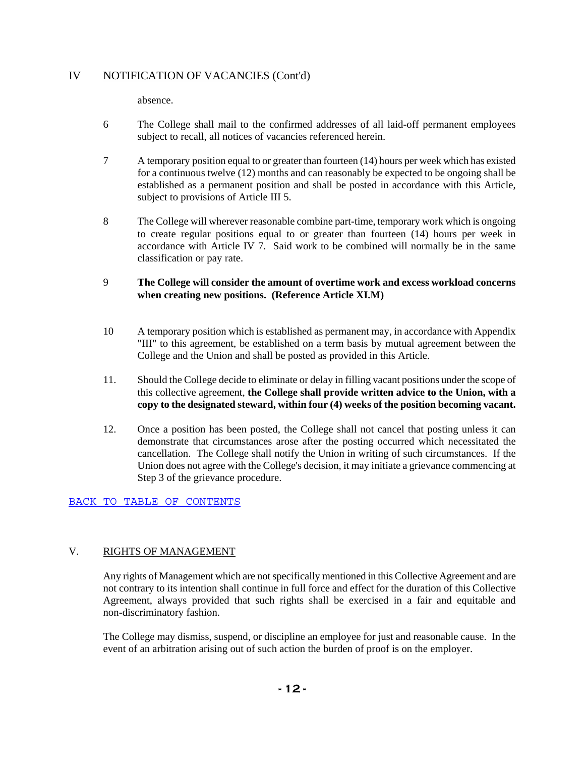# IV NOTIFICATION OF VACANCIES (Cont'd)

absence.

- 6 The College shall mail to the confirmed addresses of all laid-off permanent employees subject to recall, all notices of vacancies referenced herein.
- 7 A temporary position equal to or greater than fourteen (14) hours per week which has existed for a continuous twelve (12) months and can reasonably be expected to be ongoing shall be established as a permanent position and shall be posted in accordance with this Article, subject to provisions of Article III 5.
- 8 The College will wherever reasonable combine part-time, temporary work which is ongoing to create regular positions equal to or greater than fourteen (14) hours per week in accordance with Article IV 7. Said work to be combined will normally be in the same classification or pay rate.

### 9 **The College will consider the amount of overtime work and excess workload concerns when creating new positions. (Reference Article XI.M)**

- 10 A temporary position which is established as permanent may, in accordance with Appendix "III" to this agreement, be established on a term basis by mutual agreement between the College and the Union and shall be posted as provided in this Article.
- 11. Should the College decide to eliminate or delay in filling vacant positions under the scope of this collective agreement, **the College shall provide written advice to the Union, with a copy to the designated steward, within four (4) weeks of the position becoming vacant.**
- 12. Once a position has been posted, the College shall not cancel that posting unless it can demonstrate that circumstances arose after the posting occurred which necessitated the cancellation. The College shall notify the Union in writing of such circumstances. If the Union does not agree with the College's decision, it may initiate a grievance commencing at Step 3 of the grievance procedure.

### BACK TO TABLE OF CONTENTS

# V. RIGHTS OF MANAGEMENT

Any rights of Management which are not specifically mentioned in this Collective Agreement and are not contrary to its intention shall continue in full force and effect for the duration of this Collective Agreement, always provided that such rights shall be exercised in a fair and equitable and non-discriminatory fashion.

The College may dismiss, suspend, or discipline an employee for just and reasonable cause. In the event of an arbitration arising out of such action the burden of proof is on the employer.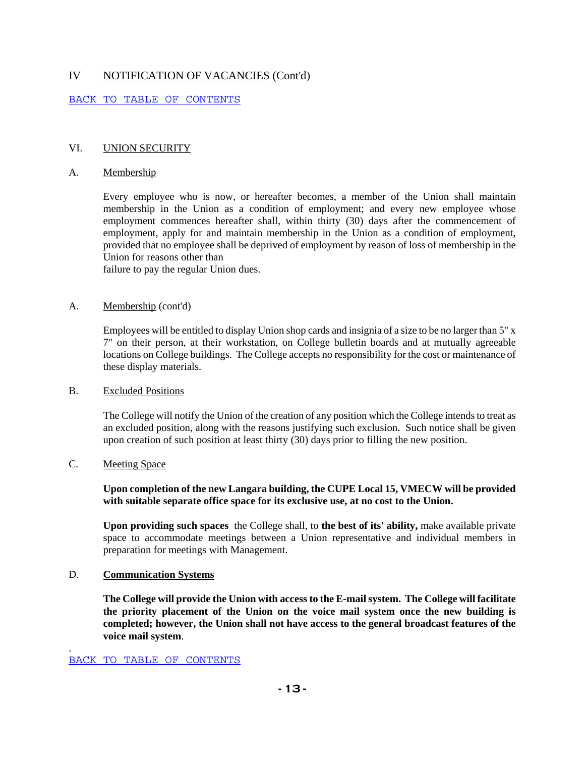# IV NOTIFICATION OF VACANCIES (Cont'd)

#### BACK TO TABLE OF CONTENTS

#### VI. UNION SECURITY

#### A. Membership

Every employee who is now, or hereafter becomes, a member of the Union shall maintain membership in the Union as a condition of employment; and every new employee whose employment commences hereafter shall, within thirty (30) days after the commencement of employment, apply for and maintain membership in the Union as a condition of employment, provided that no employee shall be deprived of employment by reason of loss of membership in the Union for reasons other than

failure to pay the regular Union dues.

#### A. Membership (cont'd)

Employees will be entitled to display Union shop cards and insignia of a size to be no larger than 5" x 7" on their person, at their workstation, on College bulletin boards and at mutually agreeable locations on College buildings. The College accepts no responsibility for the cost or maintenance of these display materials.

#### B. Excluded Positions

The College will notify the Union of the creation of any position which the College intends to treat as an excluded position, along with the reasons justifying such exclusion. Such notice shall be given upon creation of such position at least thirty (30) days prior to filling the new position.

# C. Meeting Space

.

#### **Upon completion of the new Langara building, the CUPE Local 15, VMECW will be provided with suitable separate office space for its exclusive use, at no cost to the Union.**

**Upon providing such spaces** the College shall, to **the best of its' ability,** make available private space to accommodate meetings between a Union representative and individual members in preparation for meetings with Management.

#### D. **Communication Systems**

**The College will provide the Union with access to the E-mail system. The College will facilitate the priority placement of the Union on the voice mail system once the new building is completed; however, the Union shall not have access to the general broadcast features of the voice mail system**.

BACK TO TABLE OF CONTENTS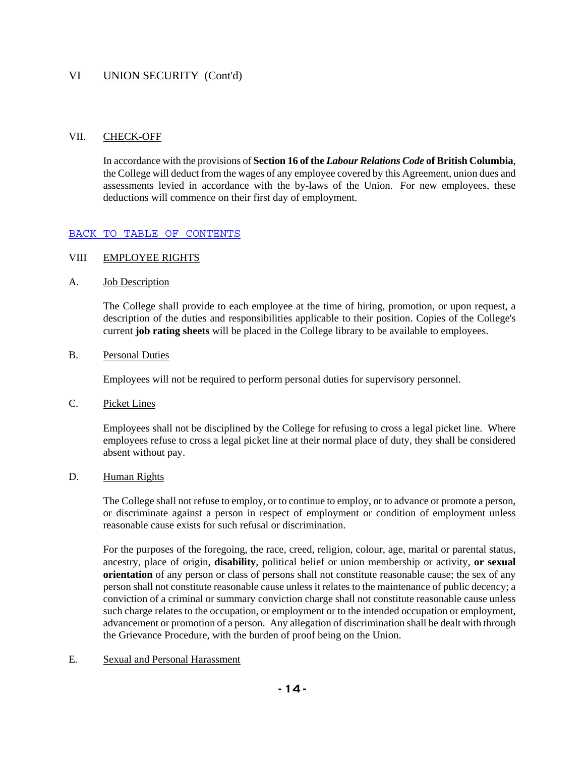## VI UNION SECURITY (Cont'd)

#### VII. CHECK-OFF

In accordance with the provisions of **Section 16 of the** *Labour Relations Code* **of British Columbia**, the College will deduct from the wages of any employee covered by this Agreement, union dues and assessments levied in accordance with the by-laws of the Union. For new employees, these deductions will commence on their first day of employment.

#### BACK TO TABLE OF CONTENTS

#### VIII EMPLOYEE RIGHTS

#### A. Job Description

The College shall provide to each employee at the time of hiring, promotion, or upon request, a description of the duties and responsibilities applicable to their position. Copies of the College's current **job rating sheets** will be placed in the College library to be available to employees.

#### B. Personal Duties

Employees will not be required to perform personal duties for supervisory personnel.

C. Picket Lines

Employees shall not be disciplined by the College for refusing to cross a legal picket line. Where employees refuse to cross a legal picket line at their normal place of duty, they shall be considered absent without pay.

D. Human Rights

The College shall not refuse to employ, or to continue to employ, or to advance or promote a person, or discriminate against a person in respect of employment or condition of employment unless reasonable cause exists for such refusal or discrimination.

For the purposes of the foregoing, the race, creed, religion, colour, age, marital or parental status, ancestry, place of origin, **disability**, political belief or union membership or activity, **or sexual orientation** of any person or class of persons shall not constitute reasonable cause; the sex of any person shall not constitute reasonable cause unless it relates to the maintenance of public decency; a conviction of a criminal or summary conviction charge shall not constitute reasonable cause unless such charge relates to the occupation, or employment or to the intended occupation or employment, advancement or promotion of a person. Any allegation of discrimination shall be dealt with through the Grievance Procedure, with the burden of proof being on the Union.

E. Sexual and Personal Harassment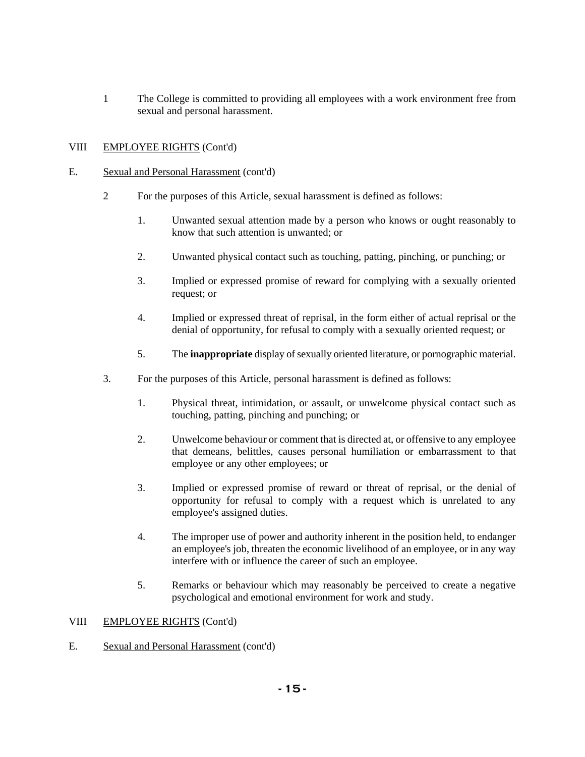1 The College is committed to providing all employees with a work environment free from sexual and personal harassment.

### VIII EMPLOYEE RIGHTS (Cont'd)

#### E. Sexual and Personal Harassment (cont'd)

- 2 For the purposes of this Article, sexual harassment is defined as follows:
	- 1. Unwanted sexual attention made by a person who knows or ought reasonably to know that such attention is unwanted; or
	- 2. Unwanted physical contact such as touching, patting, pinching, or punching; or
	- 3. Implied or expressed promise of reward for complying with a sexually oriented request; or
	- 4. Implied or expressed threat of reprisal, in the form either of actual reprisal or the denial of opportunity, for refusal to comply with a sexually oriented request; or
	- 5. The **inappropriate** display of sexually oriented literature, or pornographic material.
- 3. For the purposes of this Article, personal harassment is defined as follows:
	- 1. Physical threat, intimidation, or assault, or unwelcome physical contact such as touching, patting, pinching and punching; or
	- 2. Unwelcome behaviour or comment that is directed at, or offensive to any employee that demeans, belittles, causes personal humiliation or embarrassment to that employee or any other employees; or
	- 3. Implied or expressed promise of reward or threat of reprisal, or the denial of opportunity for refusal to comply with a request which is unrelated to any employee's assigned duties.
	- 4. The improper use of power and authority inherent in the position held, to endanger an employee's job, threaten the economic livelihood of an employee, or in any way interfere with or influence the career of such an employee.
	- 5. Remarks or behaviour which may reasonably be perceived to create a negative psychological and emotional environment for work and study.

#### VIII EMPLOYEE RIGHTS (Cont'd)

E. Sexual and Personal Harassment (cont'd)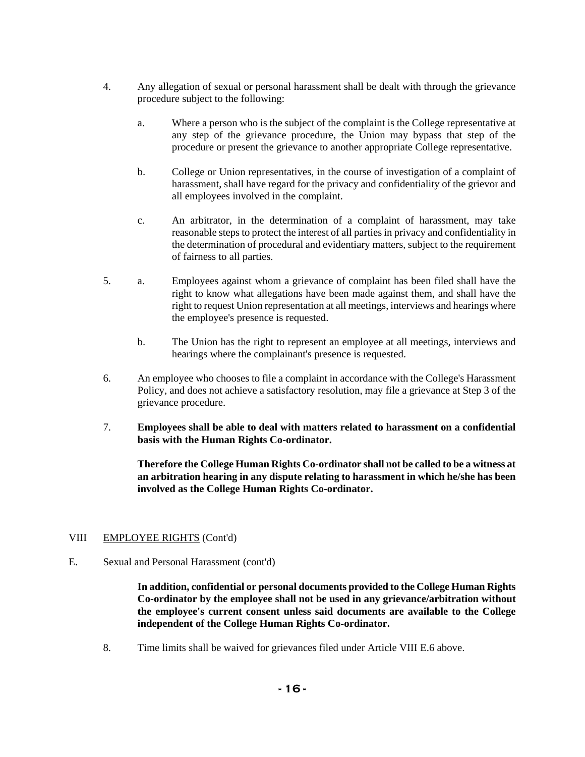- 4. Any allegation of sexual or personal harassment shall be dealt with through the grievance procedure subject to the following:
	- a. Where a person who is the subject of the complaint is the College representative at any step of the grievance procedure, the Union may bypass that step of the procedure or present the grievance to another appropriate College representative.
	- b. College or Union representatives, in the course of investigation of a complaint of harassment, shall have regard for the privacy and confidentiality of the grievor and all employees involved in the complaint.
	- c. An arbitrator, in the determination of a complaint of harassment, may take reasonable steps to protect the interest of all parties in privacy and confidentiality in the determination of procedural and evidentiary matters, subject to the requirement of fairness to all parties.
- 5. a. Employees against whom a grievance of complaint has been filed shall have the right to know what allegations have been made against them, and shall have the right to request Union representation at all meetings, interviews and hearings where the employee's presence is requested.
	- b. The Union has the right to represent an employee at all meetings, interviews and hearings where the complainant's presence is requested.
- 6. An employee who chooses to file a complaint in accordance with the College's Harassment Policy, and does not achieve a satisfactory resolution, may file a grievance at Step 3 of the grievance procedure.
- 7. **Employees shall be able to deal with matters related to harassment on a confidential basis with the Human Rights Co-ordinator.**

**Therefore the College Human Rights Co-ordinator shall not be called to be a witness at an arbitration hearing in any dispute relating to harassment in which he/she has been involved as the College Human Rights Co-ordinator.** 

#### VIII EMPLOYEE RIGHTS (Cont'd)

E. Sexual and Personal Harassment (cont'd)

**In addition, confidential or personal documents provided to the College Human Rights Co-ordinator by the employee shall not be used in any grievance/arbitration without the employee's current consent unless said documents are available to the College independent of the College Human Rights Co-ordinator.**

8. Time limits shall be waived for grievances filed under Article VIII E.6 above.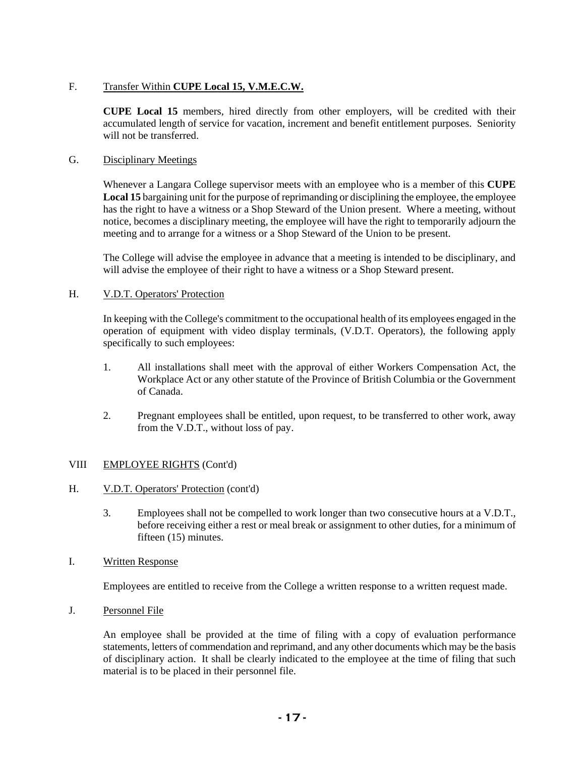### F. Transfer Within **CUPE Local 15, V.M.E.C.W.**

**CUPE Local 15** members, hired directly from other employers, will be credited with their accumulated length of service for vacation, increment and benefit entitlement purposes. Seniority will not be transferred.

#### G. Disciplinary Meetings

Whenever a Langara College supervisor meets with an employee who is a member of this **CUPE Local 15** bargaining unit for the purpose of reprimanding or disciplining the employee, the employee has the right to have a witness or a Shop Steward of the Union present. Where a meeting, without notice, becomes a disciplinary meeting, the employee will have the right to temporarily adjourn the meeting and to arrange for a witness or a Shop Steward of the Union to be present.

The College will advise the employee in advance that a meeting is intended to be disciplinary, and will advise the employee of their right to have a witness or a Shop Steward present.

#### H. V.D.T. Operators' Protection

In keeping with the College's commitment to the occupational health of its employees engaged in the operation of equipment with video display terminals, (V.D.T. Operators), the following apply specifically to such employees:

- 1. All installations shall meet with the approval of either Workers Compensation Act, the Workplace Act or any other statute of the Province of British Columbia or the Government of Canada.
- 2. Pregnant employees shall be entitled, upon request, to be transferred to other work, away from the V.D.T., without loss of pay.

#### VIII EMPLOYEE RIGHTS (Cont'd)

- H. V.D.T. Operators' Protection (cont'd)
	- 3. Employees shall not be compelled to work longer than two consecutive hours at a V.D.T., before receiving either a rest or meal break or assignment to other duties, for a minimum of fifteen (15) minutes.
- I. Written Response

Employees are entitled to receive from the College a written response to a written request made.

J. Personnel File

An employee shall be provided at the time of filing with a copy of evaluation performance statements, letters of commendation and reprimand, and any other documents which may be the basis of disciplinary action. It shall be clearly indicated to the employee at the time of filing that such material is to be placed in their personnel file.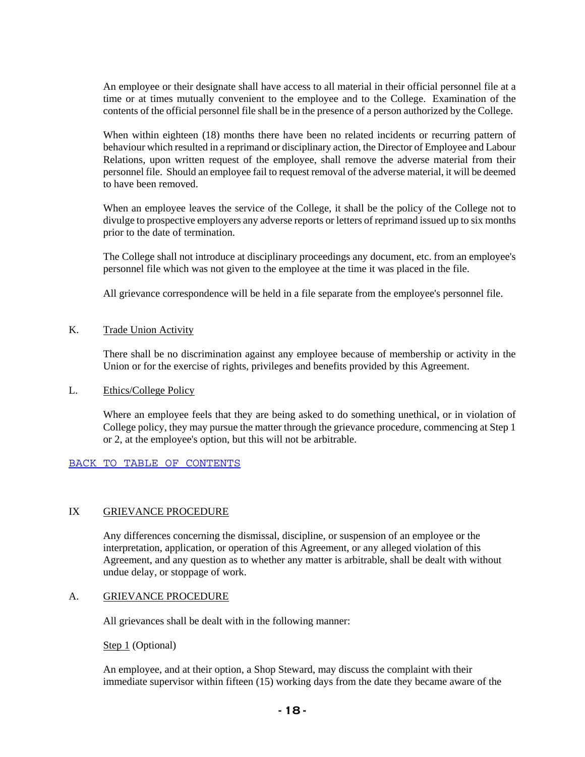An employee or their designate shall have access to all material in their official personnel file at a time or at times mutually convenient to the employee and to the College. Examination of the contents of the official personnel file shall be in the presence of a person authorized by the College.

When within eighteen (18) months there have been no related incidents or recurring pattern of behaviour which resulted in a reprimand or disciplinary action, the Director of Employee and Labour Relations, upon written request of the employee, shall remove the adverse material from their personnel file. Should an employee fail to request removal of the adverse material, it will be deemed to have been removed.

When an employee leaves the service of the College, it shall be the policy of the College not to divulge to prospective employers any adverse reports or letters of reprimand issued up to six months prior to the date of termination.

The College shall not introduce at disciplinary proceedings any document, etc. from an employee's personnel file which was not given to the employee at the time it was placed in the file.

All grievance correspondence will be held in a file separate from the employee's personnel file.

#### K. Trade Union Activity

There shall be no discrimination against any employee because of membership or activity in the Union or for the exercise of rights, privileges and benefits provided by this Agreement.

#### L. Ethics/College Policy

Where an employee feels that they are being asked to do something unethical, or in violation of College policy, they may pursue the matter through the grievance procedure, commencing at Step 1 or 2, at the employee's option, but this will not be arbitrable.

#### BACK TO TABLE OF CONTENTS

#### IX GRIEVANCE PROCEDURE

Any differences concerning the dismissal, discipline, or suspension of an employee or the interpretation, application, or operation of this Agreement, or any alleged violation of this Agreement, and any question as to whether any matter is arbitrable, shall be dealt with without undue delay, or stoppage of work.

#### A. GRIEVANCE PROCEDURE

All grievances shall be dealt with in the following manner:

#### Step 1 (Optional)

An employee, and at their option, a Shop Steward, may discuss the complaint with their immediate supervisor within fifteen (15) working days from the date they became aware of the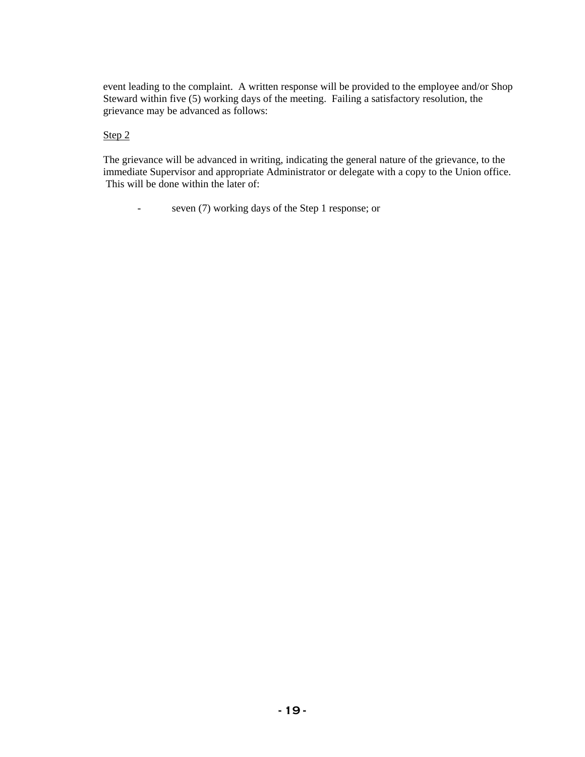event leading to the complaint. A written response will be provided to the employee and/or Shop Steward within five (5) working days of the meeting. Failing a satisfactory resolution, the grievance may be advanced as follows:

### Step 2

The grievance will be advanced in writing, indicating the general nature of the grievance, to the immediate Supervisor and appropriate Administrator or delegate with a copy to the Union office. This will be done within the later of:

- seven (7) working days of the Step 1 response; or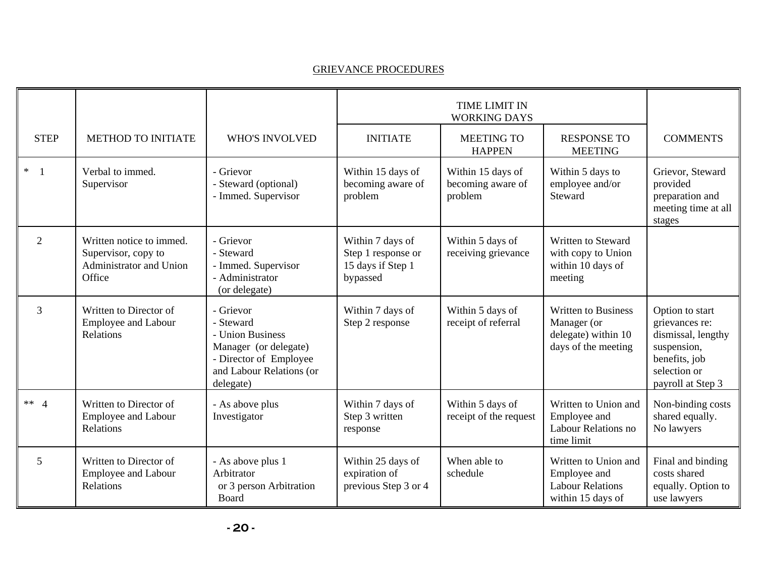### GRIEVANCE PROCEDURES

|                          |                                                                                             |                                                                                                                                        |                                                                         | <b>TIME LIMIT IN</b><br><b>WORKING DAYS</b>       |                                                                                         |                                                                                                                              |
|--------------------------|---------------------------------------------------------------------------------------------|----------------------------------------------------------------------------------------------------------------------------------------|-------------------------------------------------------------------------|---------------------------------------------------|-----------------------------------------------------------------------------------------|------------------------------------------------------------------------------------------------------------------------------|
| <b>STEP</b>              | <b>METHOD TO INITIATE</b>                                                                   | <b>WHO'S INVOLVED</b>                                                                                                                  | <b>INITIATE</b>                                                         | <b>MEETING TO</b><br><b>HAPPEN</b>                | <b>RESPONSE TO</b><br><b>MEETING</b>                                                    | <b>COMMENTS</b>                                                                                                              |
| $\ast$<br>$\overline{1}$ | Verbal to immed.<br>Supervisor                                                              | - Grievor<br>- Steward (optional)<br>- Immed. Supervisor                                                                               | Within 15 days of<br>becoming aware of<br>problem                       | Within 15 days of<br>becoming aware of<br>problem | Within 5 days to<br>employee and/or<br>Steward                                          | Grievor, Steward<br>provided<br>preparation and<br>meeting time at all<br>stages                                             |
| $\overline{2}$           | Written notice to immed.<br>Supervisor, copy to<br><b>Administrator and Union</b><br>Office | - Grievor<br>- Steward<br>- Immed. Supervisor<br>- Administrator<br>(or delegate)                                                      | Within 7 days of<br>Step 1 response or<br>15 days if Step 1<br>bypassed | Within 5 days of<br>receiving grievance           | Written to Steward<br>with copy to Union<br>within 10 days of<br>meeting                |                                                                                                                              |
| 3                        | Written to Director of<br><b>Employee and Labour</b><br>Relations                           | - Grievor<br>- Steward<br>- Union Business<br>Manager (or delegate)<br>- Director of Employee<br>and Labour Relations (or<br>delegate) | Within 7 days of<br>Step 2 response                                     | Within 5 days of<br>receipt of referral           | <b>Written to Business</b><br>Manager (or<br>delegate) within 10<br>days of the meeting | Option to start<br>grievances re:<br>dismissal, lengthy<br>suspension,<br>benefits, job<br>selection or<br>payroll at Step 3 |
| ** $4$                   | Written to Director of<br><b>Employee and Labour</b><br>Relations                           | - As above plus<br>Investigator                                                                                                        | Within 7 days of<br>Step 3 written<br>response                          | Within 5 days of<br>receipt of the request        | Written to Union and<br>Employee and<br>Labour Relations no<br>time limit               | Non-binding costs<br>shared equally.<br>No lawyers                                                                           |
| 5                        | Written to Director of<br><b>Employee and Labour</b><br>Relations                           | - As above plus 1<br>Arbitrator<br>or 3 person Arbitration<br>Board                                                                    | Within 25 days of<br>expiration of<br>previous Step 3 or 4              | When able to<br>schedule                          | Written to Union and<br>Employee and<br><b>Labour Relations</b><br>within 15 days of    | Final and binding<br>costs shared<br>equally. Option to<br>use lawyers                                                       |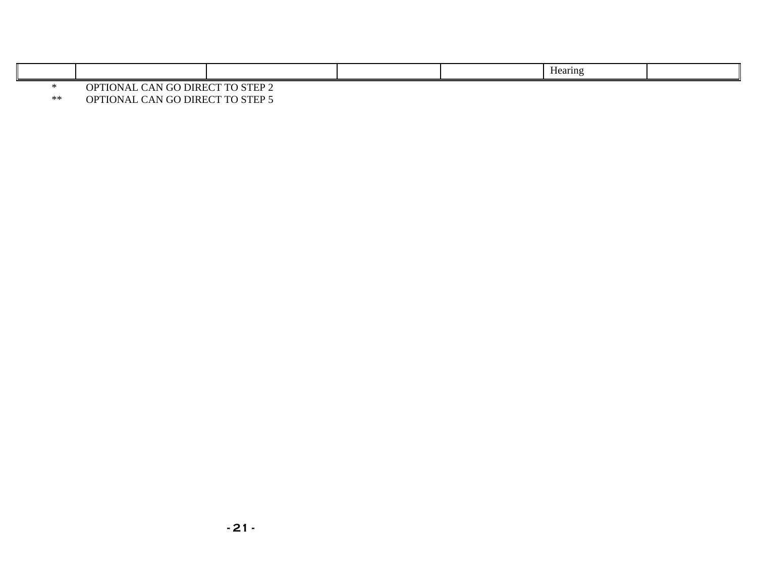|          |                                                              |  |  |  | $-$<br>Hearing |  |
|----------|--------------------------------------------------------------|--|--|--|----------------|--|
|          | $\sim$ Theorem $\sim$<br>CTED<br>DIREC<br>tτ<br>ייי          |  |  |  |                |  |
| $\cdots$ | $\alpha$ pricitive $\alpha$ iit $\alpha$ o pricidento drippe |  |  |  |                |  |

\*\* OPTIONAL CAN GO DIRECT TO STEP 5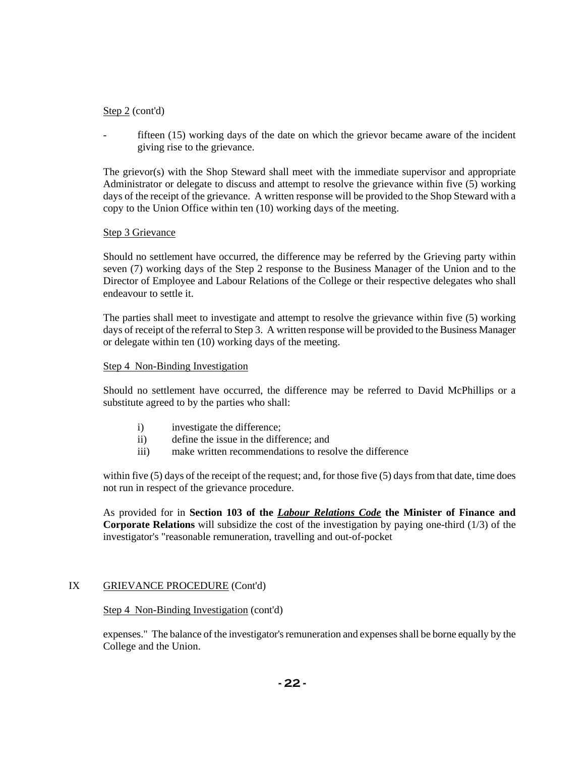### Step 2 (cont'd)

fifteen (15) working days of the date on which the grievor became aware of the incident giving rise to the grievance.

The grievor(s) with the Shop Steward shall meet with the immediate supervisor and appropriate Administrator or delegate to discuss and attempt to resolve the grievance within five (5) working days of the receipt of the grievance. A written response will be provided to the Shop Steward with a copy to the Union Office within ten (10) working days of the meeting.

#### Step 3 Grievance

Should no settlement have occurred, the difference may be referred by the Grieving party within seven (7) working days of the Step 2 response to the Business Manager of the Union and to the Director of Employee and Labour Relations of the College or their respective delegates who shall endeavour to settle it.

The parties shall meet to investigate and attempt to resolve the grievance within five (5) working days of receipt of the referral to Step 3. A written response will be provided to the Business Manager or delegate within ten (10) working days of the meeting.

#### Step 4 Non-Binding Investigation

Should no settlement have occurred, the difference may be referred to David McPhillips or a substitute agreed to by the parties who shall:

- i) investigate the difference;
- ii) define the issue in the difference; and
- iii) make written recommendations to resolve the difference

within five (5) days of the receipt of the request; and, for those five (5) days from that date, time does not run in respect of the grievance procedure.

As provided for in **Section 103 of the** *Labour Relations Code* **the Minister of Finance and Corporate Relations** will subsidize the cost of the investigation by paying one-third (1/3) of the investigator's "reasonable remuneration, travelling and out-of-pocket

#### IX GRIEVANCE PROCEDURE (Cont'd)

#### Step 4 Non-Binding Investigation (cont'd)

expenses." The balance of the investigator's remuneration and expenses shall be borne equally by the College and the Union.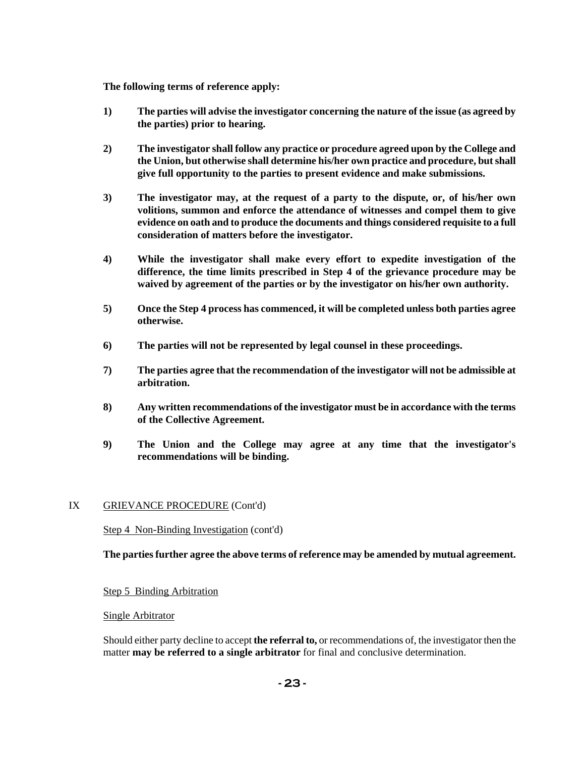**The following terms of reference apply:** 

- **1) The parties will advise the investigator concerning the nature of the issue (as agreed by the parties) prior to hearing.**
- **2) The investigator shall follow any practice or procedure agreed upon by the College and the Union, but otherwise shall determine his/her own practice and procedure, but shall give full opportunity to the parties to present evidence and make submissions.**
- **3) The investigator may, at the request of a party to the dispute, or, of his/her own volitions, summon and enforce the attendance of witnesses and compel them to give evidence on oath and to produce the documents and things considered requisite to a full consideration of matters before the investigator.**
- **4) While the investigator shall make every effort to expedite investigation of the difference, the time limits prescribed in Step 4 of the grievance procedure may be waived by agreement of the parties or by the investigator on his/her own authority.**
- **5) Once the Step 4 process has commenced, it will be completed unless both parties agree otherwise.**
- **6) The parties will not be represented by legal counsel in these proceedings.**
- **7) The parties agree that the recommendation of the investigator will not be admissible at arbitration.**
- **8) Any written recommendations of the investigator must be in accordance with the terms of the Collective Agreement.**
- **9) The Union and the College may agree at any time that the investigator's recommendations will be binding.**

#### IX GRIEVANCE PROCEDURE (Cont'd)

Step 4 Non-Binding Investigation (cont'd)

**The parties further agree the above terms of reference may be amended by mutual agreement.** 

#### Step 5 Binding Arbitration

#### Single Arbitrator

Should either party decline to accept **the referral to,** or recommendations of, the investigator then the matter **may be referred to a single arbitrator** for final and conclusive determination.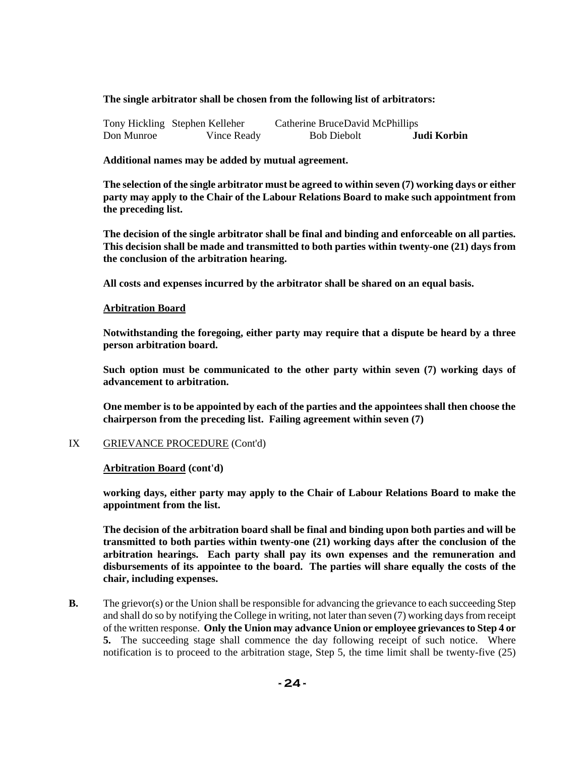#### **The single arbitrator shall be chosen from the following list of arbitrators:**

|            | Tony Hickling Stephen Kelleher | Catherine BruceDavid McPhillips |             |
|------------|--------------------------------|---------------------------------|-------------|
| Don Munroe | Vince Ready                    | <b>Bob Diebolt</b>              | Judi Korbin |

**Additional names may be added by mutual agreement.**

**The selection of the single arbitrator must be agreed to within seven (7) working days or either party may apply to the Chair of the Labour Relations Board to make such appointment from the preceding list.** 

**The decision of the single arbitrator shall be final and binding and enforceable on all parties. This decision shall be made and transmitted to both parties within twenty-one (21) days from the conclusion of the arbitration hearing.** 

**All costs and expenses incurred by the arbitrator shall be shared on an equal basis.** 

#### **Arbitration Board**

**Notwithstanding the foregoing, either party may require that a dispute be heard by a three person arbitration board.** 

**Such option must be communicated to the other party within seven (7) working days of advancement to arbitration.** 

**One member is to be appointed by each of the parties and the appointees shall then choose the chairperson from the preceding list. Failing agreement within seven (7)** 

#### IX GRIEVANCE PROCEDURE (Cont'd)

#### **Arbitration Board (cont'd)**

**working days, either party may apply to the Chair of Labour Relations Board to make the appointment from the list.** 

**The decision of the arbitration board shall be final and binding upon both parties and will be transmitted to both parties within twenty-one (21) working days after the conclusion of the arbitration hearings. Each party shall pay its own expenses and the remuneration and disbursements of its appointee to the board. The parties will share equally the costs of the chair, including expenses.**

**B.** The grievor(s) or the Union shall be responsible for advancing the grievance to each succeeding Step and shall do so by notifying the College in writing, not later than seven (7) working days from receipt of the written response. **Only the Union may advance Union or employee grievances to Step 4 or 5.** The succeeding stage shall commence the day following receipt of such notice. Where notification is to proceed to the arbitration stage, Step 5, the time limit shall be twenty-five (25)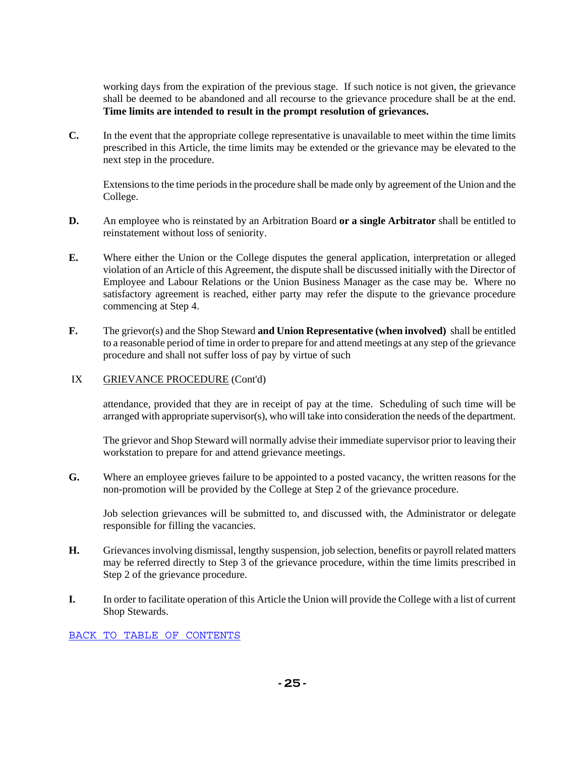working days from the expiration of the previous stage. If such notice is not given, the grievance shall be deemed to be abandoned and all recourse to the grievance procedure shall be at the end. **Time limits are intended to result in the prompt resolution of grievances.**

**C.** In the event that the appropriate college representative is unavailable to meet within the time limits prescribed in this Article, the time limits may be extended or the grievance may be elevated to the next step in the procedure.

Extensions to the time periods in the procedure shall be made only by agreement of the Union and the College.

- **D.** An employee who is reinstated by an Arbitration Board **or a single Arbitrator** shall be entitled to reinstatement without loss of seniority.
- **E.** Where either the Union or the College disputes the general application, interpretation or alleged violation of an Article of this Agreement, the dispute shall be discussed initially with the Director of Employee and Labour Relations or the Union Business Manager as the case may be. Where no satisfactory agreement is reached, either party may refer the dispute to the grievance procedure commencing at Step 4.
- **F.** The grievor(s) and the Shop Steward **and Union Representative (when involved)** shall be entitled to a reasonable period of time in order to prepare for and attend meetings at any step of the grievance procedure and shall not suffer loss of pay by virtue of such

#### IX GRIEVANCE PROCEDURE (Cont'd)

attendance, provided that they are in receipt of pay at the time. Scheduling of such time will be arranged with appropriate supervisor(s), who will take into consideration the needs of the department.

The grievor and Shop Steward will normally advise their immediate supervisor prior to leaving their workstation to prepare for and attend grievance meetings.

**G.** Where an employee grieves failure to be appointed to a posted vacancy, the written reasons for the non-promotion will be provided by the College at Step 2 of the grievance procedure.

Job selection grievances will be submitted to, and discussed with, the Administrator or delegate responsible for filling the vacancies.

- **H.** Grievances involving dismissal, lengthy suspension, job selection, benefits or payroll related matters may be referred directly to Step 3 of the grievance procedure, within the time limits prescribed in Step 2 of the grievance procedure.
- **I.** In order to facilitate operation of this Article the Union will provide the College with a list of current Shop Stewards.

BACK TO TABLE OF CONTENTS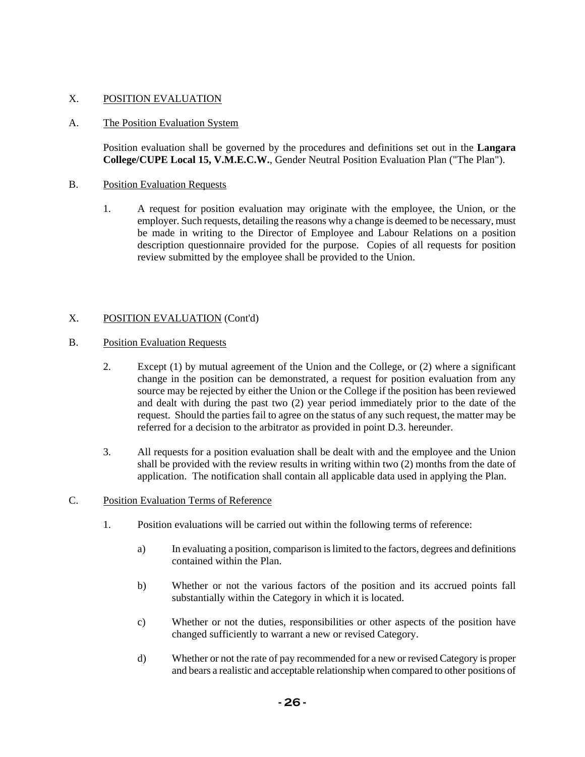### X. POSITION EVALUATION

#### A. The Position Evaluation System

Position evaluation shall be governed by the procedures and definitions set out in the **Langara College/CUPE Local 15, V.M.E.C.W.**, Gender Neutral Position Evaluation Plan ("The Plan").

#### B. Position Evaluation Requests

1. A request for position evaluation may originate with the employee, the Union, or the employer. Such requests, detailing the reasons why a change is deemed to be necessary, must be made in writing to the Director of Employee and Labour Relations on a position description questionnaire provided for the purpose. Copies of all requests for position review submitted by the employee shall be provided to the Union.

### X. POSITION EVALUATION (Cont'd)

#### B. Position Evaluation Requests

- 2. Except (1) by mutual agreement of the Union and the College, or (2) where a significant change in the position can be demonstrated, a request for position evaluation from any source may be rejected by either the Union or the College if the position has been reviewed and dealt with during the past two (2) year period immediately prior to the date of the request. Should the parties fail to agree on the status of any such request, the matter may be referred for a decision to the arbitrator as provided in point D.3. hereunder.
- 3. All requests for a position evaluation shall be dealt with and the employee and the Union shall be provided with the review results in writing within two (2) months from the date of application. The notification shall contain all applicable data used in applying the Plan.

#### C. Position Evaluation Terms of Reference

- 1. Position evaluations will be carried out within the following terms of reference:
	- a) In evaluating a position, comparison is limited to the factors, degrees and definitions contained within the Plan.
	- b) Whether or not the various factors of the position and its accrued points fall substantially within the Category in which it is located.
	- c) Whether or not the duties, responsibilities or other aspects of the position have changed sufficiently to warrant a new or revised Category.
	- d) Whether or not the rate of pay recommended for a new or revised Category is proper and bears a realistic and acceptable relationship when compared to other positions of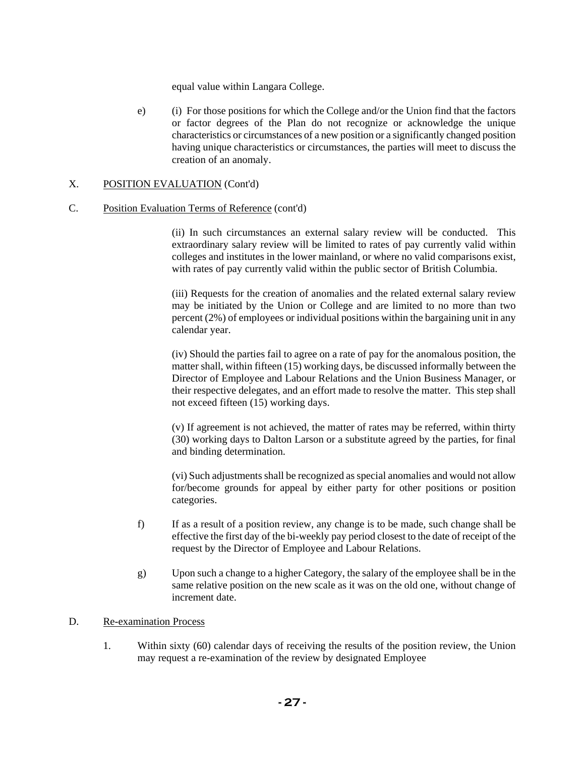equal value within Langara College.

e) (i) For those positions for which the College and/or the Union find that the factors or factor degrees of the Plan do not recognize or acknowledge the unique characteristics or circumstances of a new position or a significantly changed position having unique characteristics or circumstances, the parties will meet to discuss the creation of an anomaly.

### X. POSITION EVALUATION (Cont'd)

### C. Position Evaluation Terms of Reference (cont'd)

(ii) In such circumstances an external salary review will be conducted. This extraordinary salary review will be limited to rates of pay currently valid within colleges and institutes in the lower mainland, or where no valid comparisons exist, with rates of pay currently valid within the public sector of British Columbia.

(iii) Requests for the creation of anomalies and the related external salary review may be initiated by the Union or College and are limited to no more than two percent (2%) of employees or individual positions within the bargaining unit in any calendar year.

(iv) Should the parties fail to agree on a rate of pay for the anomalous position, the matter shall, within fifteen (15) working days, be discussed informally between the Director of Employee and Labour Relations and the Union Business Manager, or their respective delegates, and an effort made to resolve the matter. This step shall not exceed fifteen (15) working days.

(v) If agreement is not achieved, the matter of rates may be referred, within thirty (30) working days to Dalton Larson or a substitute agreed by the parties, for final and binding determination.

(vi) Such adjustments shall be recognized as special anomalies and would not allow for/become grounds for appeal by either party for other positions or position categories.

- f) If as a result of a position review, any change is to be made, such change shall be effective the first day of the bi-weekly pay period closest to the date of receipt of the request by the Director of Employee and Labour Relations.
- g) Upon such a change to a higher Category, the salary of the employee shall be in the same relative position on the new scale as it was on the old one, without change of increment date.

### D. Re-examination Process

1. Within sixty (60) calendar days of receiving the results of the position review, the Union may request a re-examination of the review by designated Employee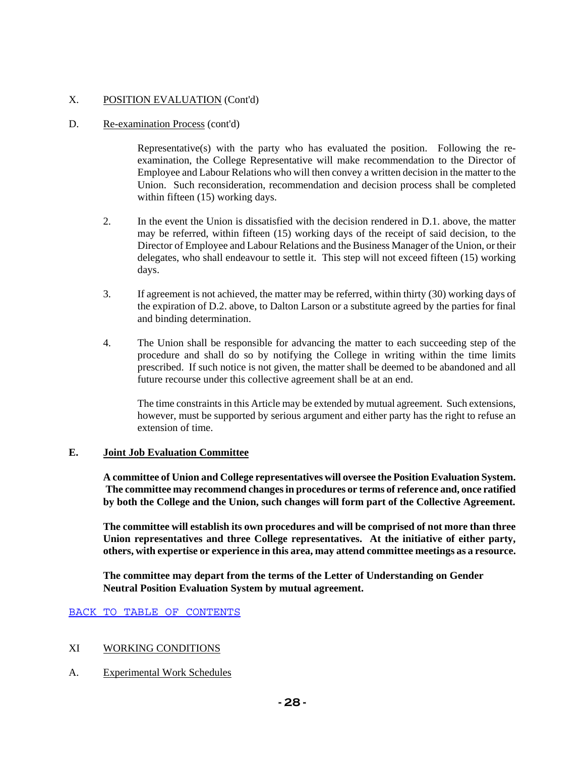## X. POSITION EVALUATION (Cont'd)

### D. Re-examination Process (cont'd)

Representative(s) with the party who has evaluated the position. Following the reexamination, the College Representative will make recommendation to the Director of Employee and Labour Relations who will then convey a written decision in the matter to the Union. Such reconsideration, recommendation and decision process shall be completed within fifteen (15) working days.

- 2. In the event the Union is dissatisfied with the decision rendered in D.1. above, the matter may be referred, within fifteen (15) working days of the receipt of said decision, to the Director of Employee and Labour Relations and the Business Manager of the Union, or their delegates, who shall endeavour to settle it. This step will not exceed fifteen (15) working days.
- 3. If agreement is not achieved, the matter may be referred, within thirty (30) working days of the expiration of D.2. above, to Dalton Larson or a substitute agreed by the parties for final and binding determination.
- 4. The Union shall be responsible for advancing the matter to each succeeding step of the procedure and shall do so by notifying the College in writing within the time limits prescribed. If such notice is not given, the matter shall be deemed to be abandoned and all future recourse under this collective agreement shall be at an end.

The time constraints in this Article may be extended by mutual agreement. Such extensions, however, must be supported by serious argument and either party has the right to refuse an extension of time.

### **E. Joint Job Evaluation Committee**

**A committee of Union and College representatives will oversee the Position Evaluation System. The committee may recommend changes in procedures or terms of reference and, once ratified by both the College and the Union, such changes will form part of the Collective Agreement.** 

**The committee will establish its own procedures and will be comprised of not more than three Union representatives and three College representatives. At the initiative of either party, others, with expertise or experience in this area, may attend committee meetings as a resource.** 

**The committee may depart from the terms of the Letter of Understanding on Gender Neutral Position Evaluation System by mutual agreement.** 

BACK TO TABLE OF CONTENTS

#### XI WORKING CONDITIONS

A. Experimental Work Schedules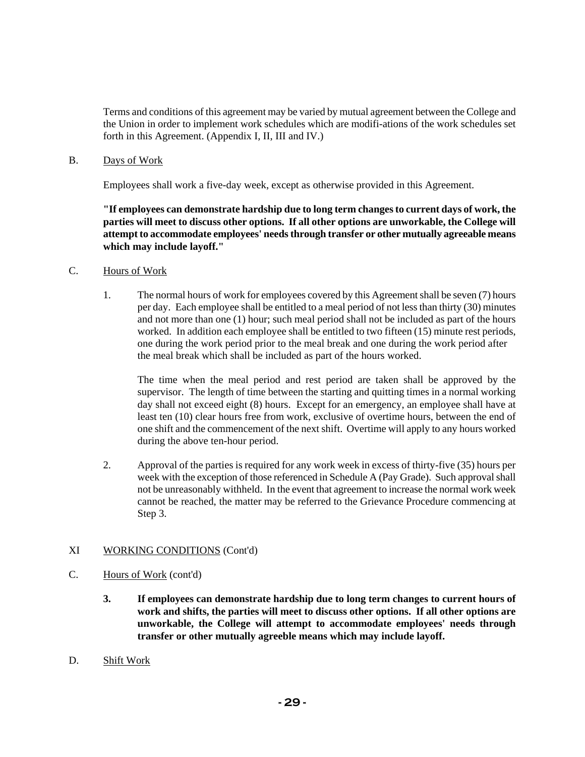Terms and conditions of this agreement may be varied by mutual agreement between the College and the Union in order to implement work schedules which are modifi-ations of the work schedules set forth in this Agreement. (Appendix I, II, III and IV.)

B. Days of Work

Employees shall work a five-day week, except as otherwise provided in this Agreement.

**"If employees can demonstrate hardship due to long term changes to current days of work, the parties will meet to discuss other options. If all other options are unworkable, the College will attempt to accommodate employees' needs through transfer or other mutually agreeable means which may include layoff."** 

- C. Hours of Work
	- 1. The normal hours of work for employees covered by this Agreement shall be seven (7) hours per day. Each employee shall be entitled to a meal period of not less than thirty (30) minutes and not more than one (1) hour; such meal period shall not be included as part of the hours worked. In addition each employee shall be entitled to two fifteen (15) minute rest periods, one during the work period prior to the meal break and one during the work period after the meal break which shall be included as part of the hours worked.

The time when the meal period and rest period are taken shall be approved by the supervisor. The length of time between the starting and quitting times in a normal working day shall not exceed eight (8) hours. Except for an emergency, an employee shall have at least ten (10) clear hours free from work, exclusive of overtime hours, between the end of one shift and the commencement of the next shift. Overtime will apply to any hours worked during the above ten-hour period.

2. Approval of the parties is required for any work week in excess of thirty-five (35) hours per week with the exception of those referenced in Schedule A (Pay Grade). Such approval shall not be unreasonably withheld. In the event that agreement to increase the normal work week cannot be reached, the matter may be referred to the Grievance Procedure commencing at Step 3.

#### XI WORKING CONDITIONS (Cont'd)

- C. Hours of Work (cont'd)
	- **3. If employees can demonstrate hardship due to long term changes to current hours of work and shifts, the parties will meet to discuss other options. If all other options are unworkable, the College will attempt to accommodate employees' needs through transfer or other mutually agreeble means which may include layoff.**
- D. Shift Work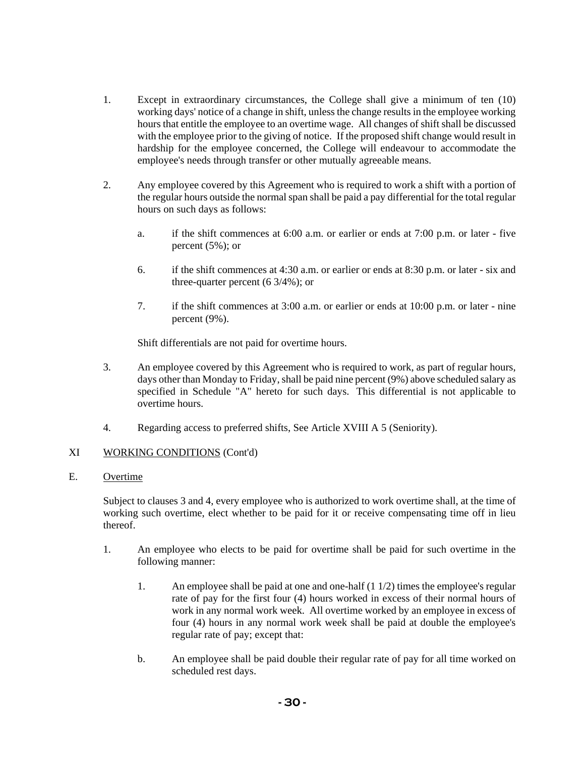- 1. Except in extraordinary circumstances, the College shall give a minimum of ten (10) working days' notice of a change in shift, unless the change results in the employee working hours that entitle the employee to an overtime wage. All changes of shift shall be discussed with the employee prior to the giving of notice. If the proposed shift change would result in hardship for the employee concerned, the College will endeavour to accommodate the employee's needs through transfer or other mutually agreeable means.
- 2. Any employee covered by this Agreement who is required to work a shift with a portion of the regular hours outside the normal span shall be paid a pay differential for the total regular hours on such days as follows:
	- a. if the shift commences at 6:00 a.m. or earlier or ends at 7:00 p.m. or later five percent (5%); or
	- 6. if the shift commences at 4:30 a.m. or earlier or ends at 8:30 p.m. or later six and three-quarter percent (6 3/4%); or
	- 7. if the shift commences at 3:00 a.m. or earlier or ends at 10:00 p.m. or later nine percent (9%).

Shift differentials are not paid for overtime hours.

- 3. An employee covered by this Agreement who is required to work, as part of regular hours, days other than Monday to Friday, shall be paid nine percent (9%) above scheduled salary as specified in Schedule "A" hereto for such days. This differential is not applicable to overtime hours.
- 4. Regarding access to preferred shifts, See Article XVIII A 5 (Seniority).

#### XI WORKING CONDITIONS (Cont'd)

#### E. Overtime

Subject to clauses 3 and 4, every employee who is authorized to work overtime shall, at the time of working such overtime, elect whether to be paid for it or receive compensating time off in lieu thereof.

- 1. An employee who elects to be paid for overtime shall be paid for such overtime in the following manner:
	- 1. An employee shall be paid at one and one-half (1 1/2) times the employee's regular rate of pay for the first four (4) hours worked in excess of their normal hours of work in any normal work week. All overtime worked by an employee in excess of four (4) hours in any normal work week shall be paid at double the employee's regular rate of pay; except that:
	- b. An employee shall be paid double their regular rate of pay for all time worked on scheduled rest days.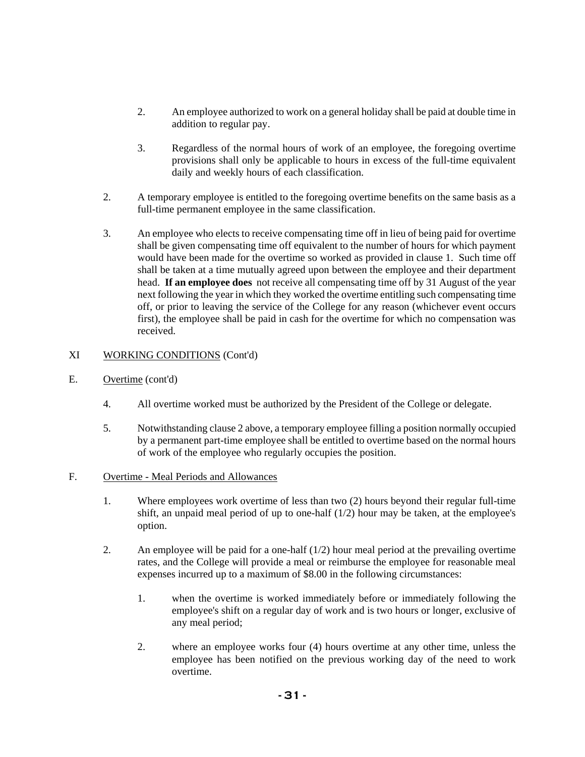- 2. An employee authorized to work on a general holiday shall be paid at double time in addition to regular pay.
- 3. Regardless of the normal hours of work of an employee, the foregoing overtime provisions shall only be applicable to hours in excess of the full-time equivalent daily and weekly hours of each classification.
- 2. A temporary employee is entitled to the foregoing overtime benefits on the same basis as a full-time permanent employee in the same classification.
- 3. An employee who elects to receive compensating time off in lieu of being paid for overtime shall be given compensating time off equivalent to the number of hours for which payment would have been made for the overtime so worked as provided in clause 1. Such time off shall be taken at a time mutually agreed upon between the employee and their department head. **If an employee does** not receive all compensating time off by 31 August of the year next following the year in which they worked the overtime entitling such compensating time off, or prior to leaving the service of the College for any reason (whichever event occurs first), the employee shall be paid in cash for the overtime for which no compensation was received.

### XI WORKING CONDITIONS (Cont'd)

- E. Overtime (cont'd)
	- 4. All overtime worked must be authorized by the President of the College or delegate.
	- 5. Notwithstanding clause 2 above, a temporary employee filling a position normally occupied by a permanent part-time employee shall be entitled to overtime based on the normal hours of work of the employee who regularly occupies the position.

#### F. Overtime - Meal Periods and Allowances

- 1. Where employees work overtime of less than two (2) hours beyond their regular full-time shift, an unpaid meal period of up to one-half (1/2) hour may be taken, at the employee's option.
- 2. An employee will be paid for a one-half (1/2) hour meal period at the prevailing overtime rates, and the College will provide a meal or reimburse the employee for reasonable meal expenses incurred up to a maximum of \$8.00 in the following circumstances:
	- 1. when the overtime is worked immediately before or immediately following the employee's shift on a regular day of work and is two hours or longer, exclusive of any meal period;
	- 2. where an employee works four (4) hours overtime at any other time, unless the employee has been notified on the previous working day of the need to work overtime.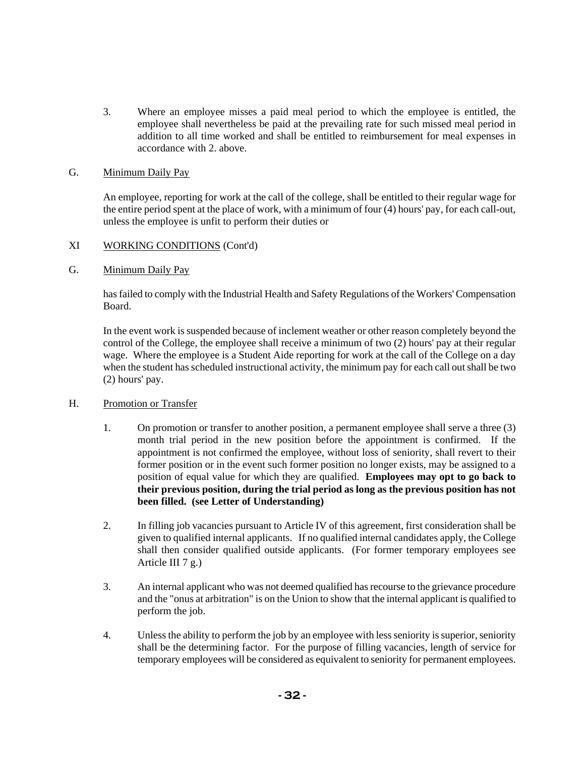3. Where an employee misses a paid meal period to which the employee is entitled, the employee shall nevertheless be paid at the prevailing rate for such missed meal period in addition to all time worked and shall be entitled to reimbursement for meal expenses in accordance with 2. above.

### G. Minimum Daily Pay

An employee, reporting for work at the call of the college, shall be entitled to their regular wage for the entire period spent at the place of work, with a minimum of four (4) hours' pay, for each call-out, unless the employee is unfit to perform their duties or

### XI WORKING CONDITIONS (Cont'd)

### G. Minimum Daily Pay

has failed to comply with the Industrial Health and Safety Regulations of the Workers' Compensation Board.

In the event work is suspended because of inclement weather or other reason completely beyond the control of the College, the employee shall receive a minimum of two (2) hours' pay at their regular wage. Where the employee is a Student Aide reporting for work at the call of the College on a day when the student has scheduled instructional activity, the minimum pay for each call out shall be two (2) hours' pay.

#### H. Promotion or Transfer

- 1. On promotion or transfer to another position, a permanent employee shall serve a three (3) month trial period in the new position before the appointment is confirmed. If the appointment is not confirmed the employee, without loss of seniority, shall revert to their former position or in the event such former position no longer exists, may be assigned to a position of equal value for which they are qualified. **Employees may opt to go back to their previous position, during the trial period as long as the previous position has not been filled. (see Letter of Understanding)**
- 2. In filling job vacancies pursuant to Article IV of this agreement, first consideration shall be given to qualified internal applicants. If no qualified internal candidates apply, the College shall then consider qualified outside applicants. (For former temporary employees see Article III 7 g.)
- 3. An internal applicant who was not deemed qualified has recourse to the grievance procedure and the "onus at arbitration" is on the Union to show that the internal applicant is qualified to perform the job.
- 4. Unless the ability to perform the job by an employee with less seniority is superior, seniority shall be the determining factor. For the purpose of filling vacancies, length of service for temporary employees will be considered as equivalent to seniority for permanent employees.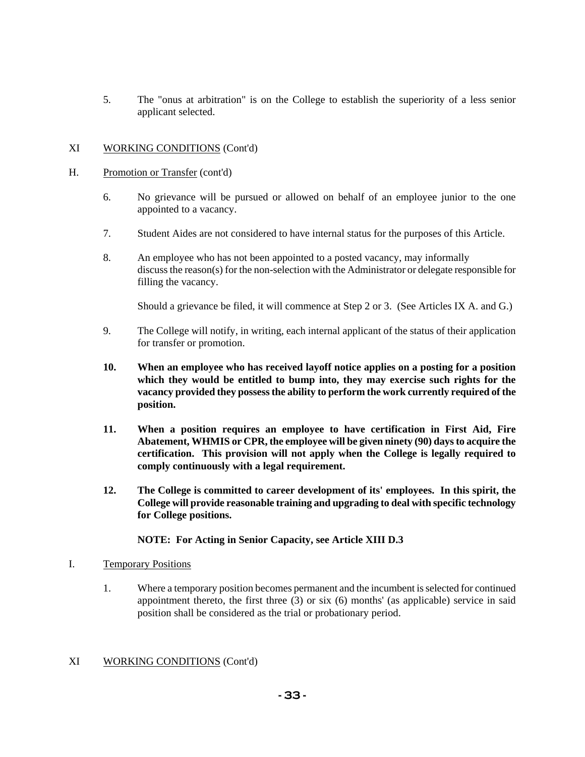5. The "onus at arbitration" is on the College to establish the superiority of a less senior applicant selected.

#### XI WORKING CONDITIONS (Cont'd)

- H. Promotion or Transfer (cont'd)
	- 6. No grievance will be pursued or allowed on behalf of an employee junior to the one appointed to a vacancy.
	- 7. Student Aides are not considered to have internal status for the purposes of this Article.
	- 8. An employee who has not been appointed to a posted vacancy, may informally discuss the reason(s) for the non-selection with the Administrator or delegate responsible for filling the vacancy.

Should a grievance be filed, it will commence at Step 2 or 3. (See Articles IX A. and G.)

- 9. The College will notify, in writing, each internal applicant of the status of their application for transfer or promotion.
- **10. When an employee who has received layoff notice applies on a posting for a position which they would be entitled to bump into, they may exercise such rights for the vacancy provided they possess the ability to perform the work currently required of the position.**
- **11. When a position requires an employee to have certification in First Aid, Fire Abatement, WHMIS or CPR, the employee will be given ninety (90) days to acquire the certification. This provision will not apply when the College is legally required to comply continuously with a legal requirement.**
- **12. The College is committed to career development of its' employees. In this spirit, the College will provide reasonable training and upgrading to deal with specific technology for College positions.**

#### **NOTE: For Acting in Senior Capacity, see Article XIII D.3**

- I. Temporary Positions
	- 1. Where a temporary position becomes permanent and the incumbent is selected for continued appointment thereto, the first three  $(3)$  or six  $(6)$  months' (as applicable) service in said position shall be considered as the trial or probationary period.
- XI WORKING CONDITIONS (Cont'd)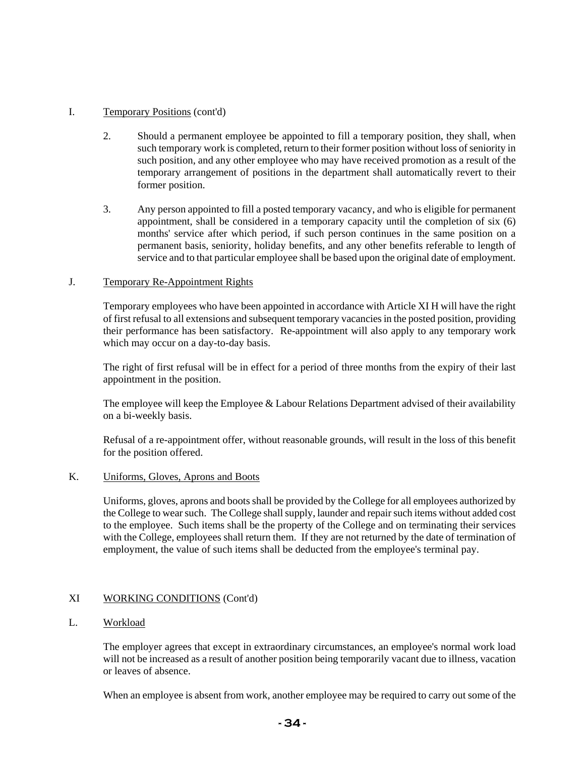### I. Temporary Positions (cont'd)

- 2. Should a permanent employee be appointed to fill a temporary position, they shall, when such temporary work is completed, return to their former position without loss of seniority in such position, and any other employee who may have received promotion as a result of the temporary arrangement of positions in the department shall automatically revert to their former position.
- 3. Any person appointed to fill a posted temporary vacancy, and who is eligible for permanent appointment, shall be considered in a temporary capacity until the completion of six (6) months' service after which period, if such person continues in the same position on a permanent basis, seniority, holiday benefits, and any other benefits referable to length of service and to that particular employee shall be based upon the original date of employment.

### J. Temporary Re-Appointment Rights

Temporary employees who have been appointed in accordance with Article XI H will have the right of first refusal to all extensions and subsequent temporary vacancies in the posted position, providing their performance has been satisfactory. Re-appointment will also apply to any temporary work which may occur on a day-to-day basis.

The right of first refusal will be in effect for a period of three months from the expiry of their last appointment in the position.

The employee will keep the Employee & Labour Relations Department advised of their availability on a bi-weekly basis.

Refusal of a re-appointment offer, without reasonable grounds, will result in the loss of this benefit for the position offered.

#### K. Uniforms, Gloves, Aprons and Boots

Uniforms, gloves, aprons and boots shall be provided by the College for all employees authorized by the College to wear such. The College shall supply, launder and repair such items without added cost to the employee. Such items shall be the property of the College and on terminating their services with the College, employees shall return them. If they are not returned by the date of termination of employment, the value of such items shall be deducted from the employee's terminal pay.

#### XI WORKING CONDITIONS (Cont'd)

### L. Workload

The employer agrees that except in extraordinary circumstances, an employee's normal work load will not be increased as a result of another position being temporarily vacant due to illness, vacation or leaves of absence.

When an employee is absent from work, another employee may be required to carry out some of the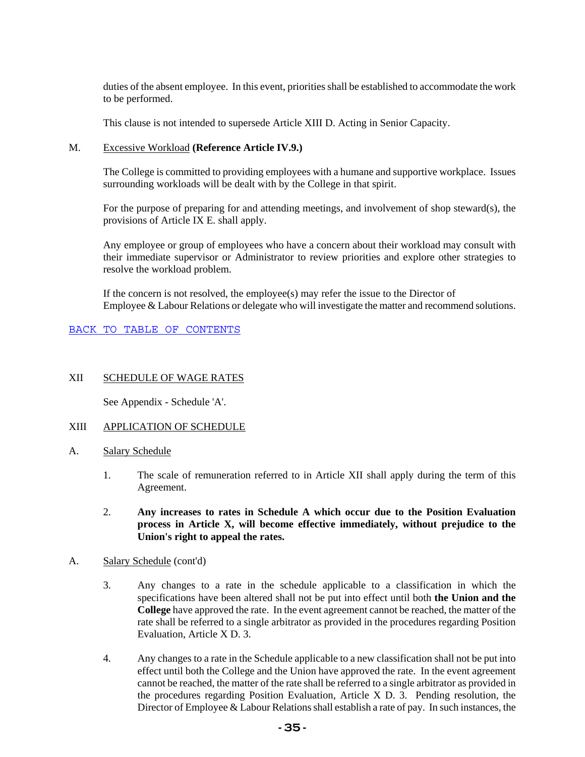duties of the absent employee. In this event, priorities shall be established to accommodate the work to be performed.

This clause is not intended to supersede Article XIII D. Acting in Senior Capacity.

#### M. Excessive Workload **(Reference Article IV.9.)**

The College is committed to providing employees with a humane and supportive workplace. Issues surrounding workloads will be dealt with by the College in that spirit.

For the purpose of preparing for and attending meetings, and involvement of shop steward(s), the provisions of Article IX E. shall apply.

Any employee or group of employees who have a concern about their workload may consult with their immediate supervisor or Administrator to review priorities and explore other strategies to resolve the workload problem.

If the concern is not resolved, the employee(s) may refer the issue to the Director of Employee & Labour Relations or delegate who will investigate the matter and recommend solutions.

#### BACK TO TABLE OF CONTENTS

#### XII SCHEDULE OF WAGE RATES

See Appendix - Schedule 'A'.

#### XIII APPLICATION OF SCHEDULE

- A. Salary Schedule
	- 1. The scale of remuneration referred to in Article XII shall apply during the term of this Agreement.
	- 2. **Any increases to rates in Schedule A which occur due to the Position Evaluation process in Article X, will become effective immediately, without prejudice to the Union's right to appeal the rates.**
- A. Salary Schedule (cont'd)
	- 3. Any changes to a rate in the schedule applicable to a classification in which the specifications have been altered shall not be put into effect until both **the Union and the College** have approved the rate. In the event agreement cannot be reached, the matter of the rate shall be referred to a single arbitrator as provided in the procedures regarding Position Evaluation, Article X D. 3.
	- 4. Any changes to a rate in the Schedule applicable to a new classification shall not be put into effect until both the College and the Union have approved the rate. In the event agreement cannot be reached, the matter of the rate shall be referred to a single arbitrator as provided in the procedures regarding Position Evaluation, Article X D. 3. Pending resolution, the Director of Employee & Labour Relations shall establish a rate of pay. In such instances, the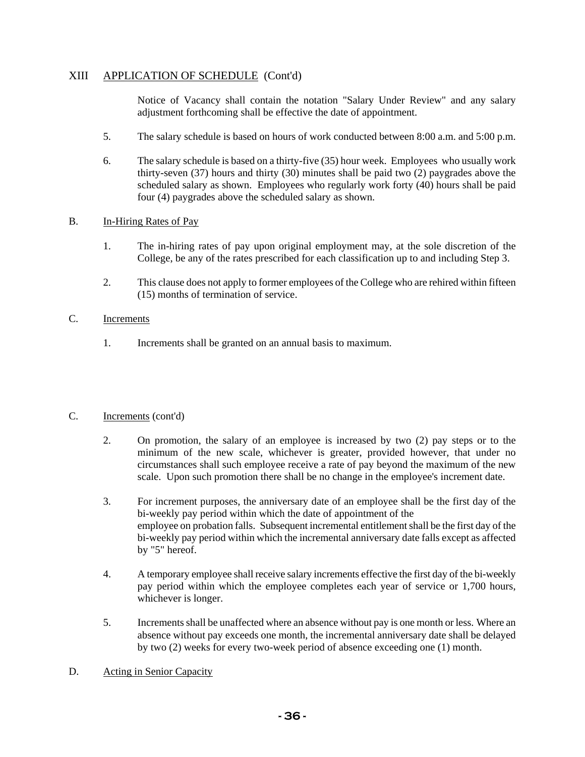# XIII APPLICATION OF SCHEDULE (Cont'd)

Notice of Vacancy shall contain the notation "Salary Under Review" and any salary adjustment forthcoming shall be effective the date of appointment.

- 5. The salary schedule is based on hours of work conducted between 8:00 a.m. and 5:00 p.m.
- 6. The salary schedule is based on a thirty-five (35) hour week. Employees who usually work thirty-seven (37) hours and thirty (30) minutes shall be paid two (2) paygrades above the scheduled salary as shown. Employees who regularly work forty (40) hours shall be paid four (4) paygrades above the scheduled salary as shown.

### B. In-Hiring Rates of Pay

- 1. The in-hiring rates of pay upon original employment may, at the sole discretion of the College, be any of the rates prescribed for each classification up to and including Step 3.
- 2. This clause does not apply to former employees of the College who are rehired within fifteen (15) months of termination of service.

### C. Increments

1. Increments shall be granted on an annual basis to maximum.

### C. Increments (cont'd)

- 2. On promotion, the salary of an employee is increased by two (2) pay steps or to the minimum of the new scale, whichever is greater, provided however, that under no circumstances shall such employee receive a rate of pay beyond the maximum of the new scale. Upon such promotion there shall be no change in the employee's increment date.
- 3. For increment purposes, the anniversary date of an employee shall be the first day of the bi-weekly pay period within which the date of appointment of the employee on probation falls. Subsequent incremental entitlement shall be the first day of the bi-weekly pay period within which the incremental anniversary date falls except as affected by "5" hereof.
- 4. A temporary employee shall receive salary increments effective the first day of the bi-weekly pay period within which the employee completes each year of service or 1,700 hours, whichever is longer.
- 5. Increments shall be unaffected where an absence without pay is one month or less. Where an absence without pay exceeds one month, the incremental anniversary date shall be delayed by two (2) weeks for every two-week period of absence exceeding one (1) month.
- D. Acting in Senior Capacity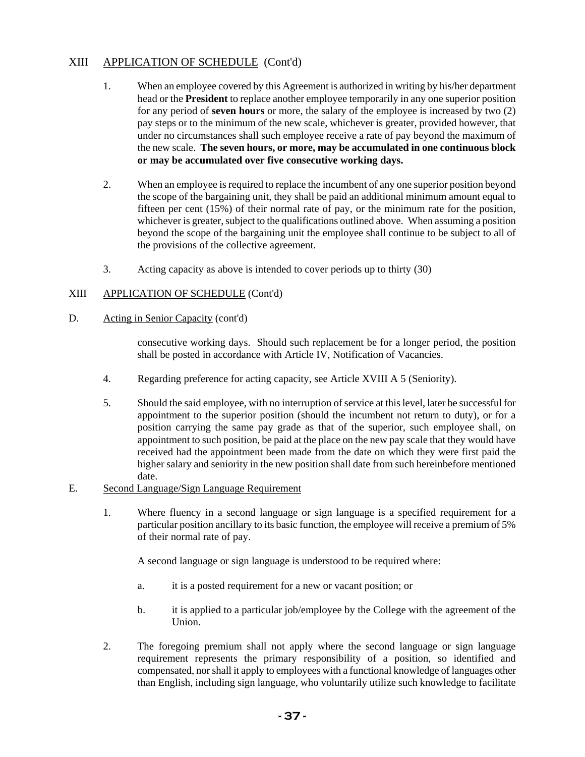## XIII APPLICATION OF SCHEDULE (Cont'd)

- 1. When an employee covered by this Agreement is authorized in writing by his/her department head or the **President** to replace another employee temporarily in any one superior position for any period of **seven hours** or more, the salary of the employee is increased by two (2) pay steps or to the minimum of the new scale, whichever is greater, provided however, that under no circumstances shall such employee receive a rate of pay beyond the maximum of the new scale. **The seven hours, or more, may be accumulated in one continuous block or may be accumulated over five consecutive working days.**
- 2. When an employee is required to replace the incumbent of any one superior position beyond the scope of the bargaining unit, they shall be paid an additional minimum amount equal to fifteen per cent (15%) of their normal rate of pay, or the minimum rate for the position, whichever is greater, subject to the qualifications outlined above. When assuming a position beyond the scope of the bargaining unit the employee shall continue to be subject to all of the provisions of the collective agreement.
- 3. Acting capacity as above is intended to cover periods up to thirty (30)

## XIII APPLICATION OF SCHEDULE (Cont'd)

D. Acting in Senior Capacity (cont'd)

consecutive working days. Should such replacement be for a longer period, the position shall be posted in accordance with Article IV, Notification of Vacancies.

- 4. Regarding preference for acting capacity, see Article XVIII A 5 (Seniority).
- 5. Should the said employee, with no interruption of service at this level, later be successful for appointment to the superior position (should the incumbent not return to duty), or for a position carrying the same pay grade as that of the superior, such employee shall, on appointment to such position, be paid at the place on the new pay scale that they would have received had the appointment been made from the date on which they were first paid the higher salary and seniority in the new position shall date from such hereinbefore mentioned date.
- E. Second Language/Sign Language Requirement
	- 1. Where fluency in a second language or sign language is a specified requirement for a particular position ancillary to its basic function, the employee will receive a premium of 5% of their normal rate of pay.

A second language or sign language is understood to be required where:

- a. it is a posted requirement for a new or vacant position; or
- b. it is applied to a particular job/employee by the College with the agreement of the Union.
- 2. The foregoing premium shall not apply where the second language or sign language requirement represents the primary responsibility of a position, so identified and compensated, nor shall it apply to employees with a functional knowledge of languages other than English, including sign language, who voluntarily utilize such knowledge to facilitate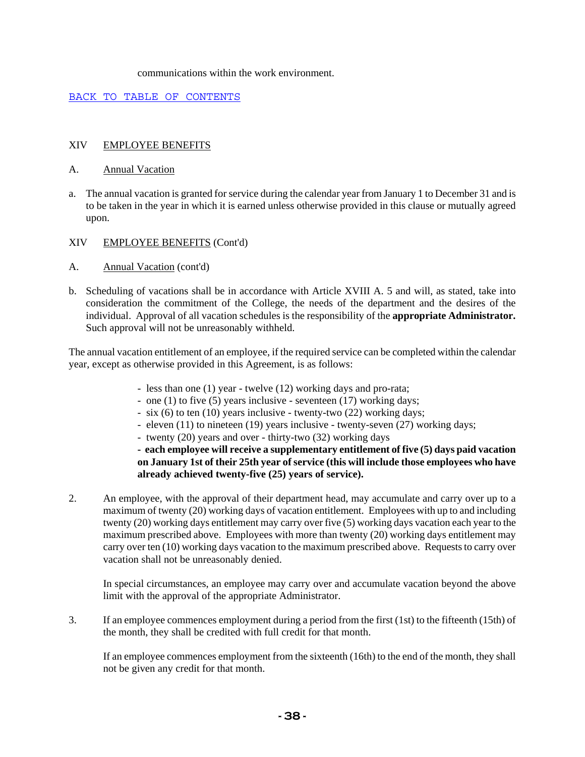#### communications within the work environment.

#### BACK TO TABLE OF CONTENTS

### XIV EMPLOYEE BENEFITS

#### A. Annual Vacation

a. The annual vacation is granted for service during the calendar year from January 1 to December 31 and is to be taken in the year in which it is earned unless otherwise provided in this clause or mutually agreed upon.

#### XIV EMPLOYEE BENEFITS (Cont'd)

- A. Annual Vacation (cont'd)
- b. Scheduling of vacations shall be in accordance with Article XVIII A. 5 and will, as stated, take into consideration the commitment of the College, the needs of the department and the desires of the individual. Approval of all vacation schedules is the responsibility of the **appropriate Administrator.**  Such approval will not be unreasonably withheld.

The annual vacation entitlement of an employee, if the required service can be completed within the calendar year, except as otherwise provided in this Agreement, is as follows:

- less than one (1) year twelve (12) working days and pro-rata;
- one (1) to five (5) years inclusive seventeen (17) working days;
- six (6) to ten (10) years inclusive twenty-two (22) working days;
- eleven (11) to nineteen (19) years inclusive twenty-seven (27) working days;
- twenty (20) years and over thirty-two (32) working days

**- each employee will receive a supplementary entitlement of five (5) days paid vacation on January 1st of their 25th year of service (this will include those employees who have already achieved twenty-five (25) years of service).**

2. An employee, with the approval of their department head, may accumulate and carry over up to a maximum of twenty (20) working days of vacation entitlement. Employees with up to and including twenty (20) working days entitlement may carry over five (5) working days vacation each year to the maximum prescribed above. Employees with more than twenty (20) working days entitlement may carry over ten (10) working days vacation to the maximum prescribed above. Requests to carry over vacation shall not be unreasonably denied.

In special circumstances, an employee may carry over and accumulate vacation beyond the above limit with the approval of the appropriate Administrator.

3. If an employee commences employment during a period from the first (1st) to the fifteenth (15th) of the month, they shall be credited with full credit for that month.

If an employee commences employment from the sixteenth (16th) to the end of the month, they shall not be given any credit for that month.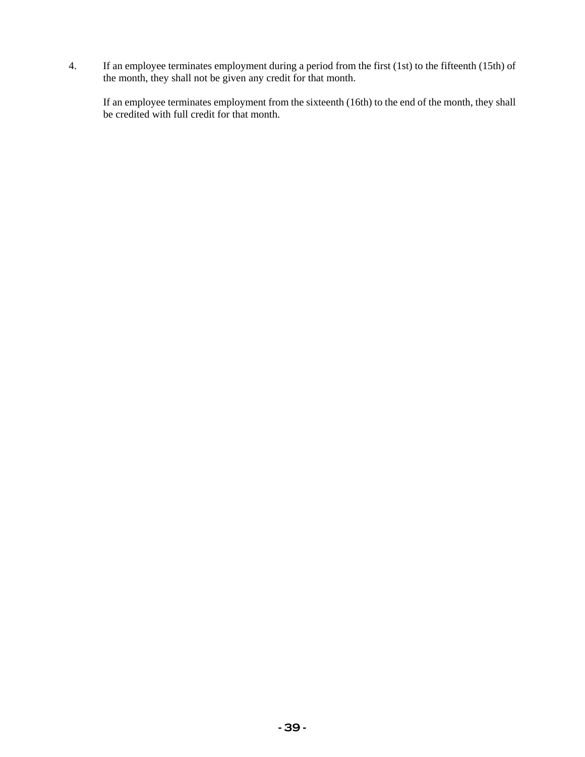4. If an employee terminates employment during a period from the first (1st) to the fifteenth (15th) of the month, they shall not be given any credit for that month.

If an employee terminates employment from the sixteenth (16th) to the end of the month, they shall be credited with full credit for that month.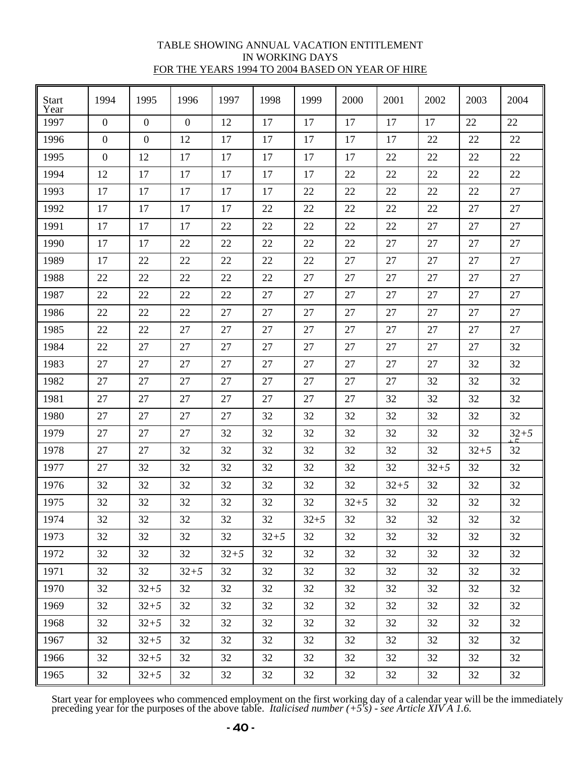### TABLE SHOWING ANNUAL VACATION ENTITLEMENT IN WORKING DAYS FOR THE YEARS 1994 TO 2004 BASED ON YEAR OF HIRE

| <b>Start</b><br>Year | 1994             | 1995             | 1996         | 1997     | 1998     | 1999     | 2000     | 2001     | 2002     | 2003     | 2004     |
|----------------------|------------------|------------------|--------------|----------|----------|----------|----------|----------|----------|----------|----------|
| 1997                 | $\overline{0}$   | $\boldsymbol{0}$ | $\mathbf{0}$ | 12       | 17       | 17       | 17       | 17       | 17       | 22       | 22       |
| 1996                 | $\boldsymbol{0}$ | $\boldsymbol{0}$ | 12           | 17       | 17       | 17       | 17       | 17       | 22       | 22       | 22       |
| 1995                 | $\boldsymbol{0}$ | 12               | 17           | 17       | 17       | 17       | 17       | 22       | 22       | 22       | 22       |
| 1994                 | 12               | 17               | 17           | 17       | 17       | 17       | 22       | 22       | 22       | 22       | 22       |
| 1993                 | 17               | 17               | 17           | 17       | 17       | 22       | 22       | 22       | 22       | 22       | 27       |
| 1992                 | 17               | 17               | 17           | 17       | 22       | 22       | 22       | 22       | 22       | 27       | 27       |
| 1991                 | 17               | 17               | 17           | 22       | 22       | 22       | 22       | 22       | 27       | 27       | 27       |
| 1990                 | 17               | 17               | 22           | 22       | 22       | 22       | 22       | 27       | 27       | 27       | 27       |
| 1989                 | 17               | 22               | 22           | 22       | 22       | 22       | 27       | 27       | 27       | 27       | 27       |
| 1988                 | 22               | 22               | 22           | 22       | 22       | 27       | 27       | 27       | 27       | 27       | 27       |
| 1987                 | 22               | 22               | 22           | 22       | 27       | 27       | 27       | 27       | 27       | 27       | 27       |
| 1986                 | 22               | 22               | 22           | 27       | 27       | 27       | 27       | 27       | 27       | 27       | 27       |
| 1985                 | 22               | 22               | 27           | 27       | 27       | 27       | 27       | 27       | 27       | 27       | 27       |
| 1984                 | 22               | 27               | 27           | 27       | 27       | 27       | 27       | 27       | 27       | 27       | 32       |
| 1983                 | 27               | 27               | 27           | 27       | 27       | 27       | 27       | 27       | 27       | 32       | 32       |
| 1982                 | 27               | 27               | 27           | 27       | 27       | 27       | 27       | 27       | 32       | 32       | 32       |
| 1981                 | 27               | 27               | 27           | 27       | 27       | 27       | 27       | 32       | 32       | 32       | 32       |
| 1980                 | 27               | 27               | 27           | 27       | 32       | 32       | 32       | 32       | 32       | 32       | 32       |
| 1979                 | 27               | 27               | 27           | 32       | 32       | 32       | 32       | 32       | 32       | 32       | $32 + 5$ |
| 1978                 | 27               | 27               | 32           | 32       | 32       | 32       | 32       | 32       | 32       | $32 + 5$ | 32       |
| 1977                 | 27               | 32               | 32           | 32       | 32       | 32       | 32       | 32       | $32 + 5$ | 32       | 32       |
| 1976                 | 32               | 32               | 32           | 32       | 32       | 32       | 32       | $32 + 5$ | 32       | 32       | 32       |
| 1975                 | 32               | 32               | 32           | 32       | 32       | 32       | $32 + 5$ | 32       | 32       | 32       | 32       |
| 1974                 | 32               | 32               | 32           | 32       | 32       | $32 + 5$ | 32       | 32       | 32       | 32       | 32       |
| 1973                 | 32               | 32               | 32           | 32       | $32 + 5$ | 32       | 32       | 32       | 32       | 32       | 32       |
| 1972                 | 32               | 32               | 32           | $32 + 5$ | 32       | 32       | 32       | 32       | 32       | 32       | 32       |
| 1971                 | 32               | 32               | $32 + 5$     | 32       | 32       | 32       | 32       | 32       | 32       | 32       | 32       |
| 1970                 | 32               | $32 + 5$         | 32           | 32       | 32       | 32       | 32       | 32       | 32       | 32       | 32       |
| 1969                 | 32               | $32 + 5$         | 32           | 32       | 32       | 32       | 32       | 32       | 32       | 32       | 32       |
| 1968                 | 32               | $32 + 5$         | 32           | 32       | 32       | 32       | 32       | 32       | 32       | 32       | 32       |
| 1967                 | 32               | $32 + 5$         | 32           | 32       | 32       | 32       | 32       | 32       | 32       | 32       | 32       |
| 1966                 | 32               | $32 + 5$         | 32           | 32       | 32       | 32       | 32       | 32       | 32       | 32       | 32       |
| 1965                 | 32               | $32 + 5$         | 32           | 32       | 32       | 32       | 32       | 32       | 32       | 32       | 32       |

Start year for employees who commenced employment on the first working day of a calendar year will be the immediately preceding year for the purposes of the above table. *Italicised number (+5's) - see Article XIV A 1.6.*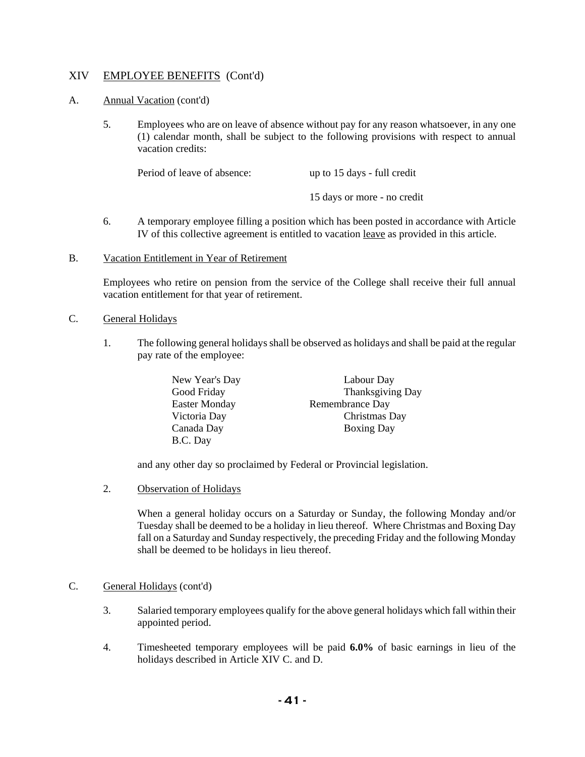### A. Annual Vacation (cont'd)

5. Employees who are on leave of absence without pay for any reason whatsoever, in any one (1) calendar month, shall be subject to the following provisions with respect to annual vacation credits:

Period of leave of absence: up to 15 days - full credit 15 days or more - no credit

- 6. A temporary employee filling a position which has been posted in accordance with Article IV of this collective agreement is entitled to vacation leave as provided in this article.
- B. Vacation Entitlement in Year of Retirement

Employees who retire on pension from the service of the College shall receive their full annual vacation entitlement for that year of retirement.

#### C. General Holidays

1. The following general holidays shall be observed as holidays and shall be paid at the regular pay rate of the employee:

| New Year's Day       | Labour Day        |
|----------------------|-------------------|
| Good Friday          | Thanksgiving Day  |
| <b>Easter Monday</b> | Remembrance Day   |
| Victoria Day         | Christmas Day     |
| Canada Day           | <b>Boxing Day</b> |
| B.C. Day             |                   |

and any other day so proclaimed by Federal or Provincial legislation.

2. Observation of Holidays

When a general holiday occurs on a Saturday or Sunday, the following Monday and/or Tuesday shall be deemed to be a holiday in lieu thereof. Where Christmas and Boxing Day fall on a Saturday and Sunday respectively, the preceding Friday and the following Monday shall be deemed to be holidays in lieu thereof.

#### C. General Holidays (cont'd)

- 3. Salaried temporary employees qualify for the above general holidays which fall within their appointed period.
- 4. Timesheeted temporary employees will be paid **6.0%** of basic earnings in lieu of the holidays described in Article XIV C. and D.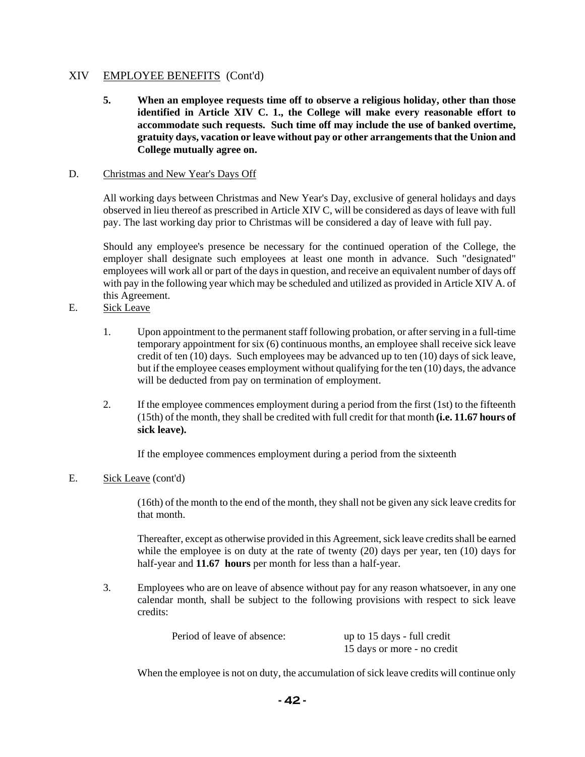**5. When an employee requests time off to observe a religious holiday, other than those identified in Article XIV C. 1., the College will make every reasonable effort to accommodate such requests. Such time off may include the use of banked overtime, gratuity days, vacation or leave without pay or other arrangements that the Union and College mutually agree on.** 

## D. Christmas and New Year's Days Off

All working days between Christmas and New Year's Day, exclusive of general holidays and days observed in lieu thereof as prescribed in Article XIV C, will be considered as days of leave with full pay. The last working day prior to Christmas will be considered a day of leave with full pay.

Should any employee's presence be necessary for the continued operation of the College, the employer shall designate such employees at least one month in advance. Such "designated" employees will work all or part of the days in question, and receive an equivalent number of days off with pay in the following year which may be scheduled and utilized as provided in Article XIV A. of this Agreement.

- E. Sick Leave
	- 1. Upon appointment to the permanent staff following probation, or after serving in a full-time temporary appointment for six (6) continuous months, an employee shall receive sick leave credit of ten (10) days. Such employees may be advanced up to ten (10) days of sick leave, but if the employee ceases employment without qualifying for the ten (10) days, the advance will be deducted from pay on termination of employment.
	- 2. If the employee commences employment during a period from the first (1st) to the fifteenth (15th) of the month, they shall be credited with full credit for that month **(i.e. 11.67 hours of sick leave).**

If the employee commences employment during a period from the sixteenth

## E. Sick Leave (cont'd)

(16th) of the month to the end of the month, they shall not be given any sick leave credits for that month.

Thereafter, except as otherwise provided in this Agreement, sick leave credits shall be earned while the employee is on duty at the rate of twenty (20) days per year, ten (10) days for half-year and **11.67 hours** per month for less than a half-year.

3. Employees who are on leave of absence without pay for any reason whatsoever, in any one calendar month, shall be subject to the following provisions with respect to sick leave credits:

| Period of leave of absence: | up to 15 days - full credit |
|-----------------------------|-----------------------------|
|                             | 15 days or more - no credit |

When the employee is not on duty, the accumulation of sick leave credits will continue only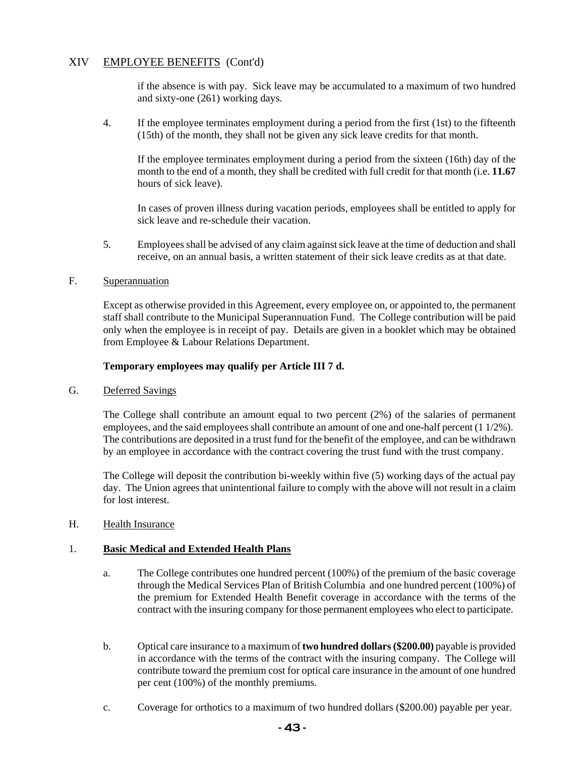if the absence is with pay. Sick leave may be accumulated to a maximum of two hundred and sixty-one (261) working days.

4. If the employee terminates employment during a period from the first (1st) to the fifteenth (15th) of the month, they shall not be given any sick leave credits for that month.

If the employee terminates employment during a period from the sixteen (16th) day of the month to the end of a month, they shall be credited with full credit for that month (i.e. **11.67** hours of sick leave).

In cases of proven illness during vacation periods, employees shall be entitled to apply for sick leave and re-schedule their vacation.

5. Employees shall be advised of any claim against sick leave at the time of deduction and shall receive, on an annual basis, a written statement of their sick leave credits as at that date.

### F. Superannuation

Except as otherwise provided in this Agreement, every employee on, or appointed to, the permanent staff shall contribute to the Municipal Superannuation Fund. The College contribution will be paid only when the employee is in receipt of pay. Details are given in a booklet which may be obtained from Employee & Labour Relations Department.

#### **Temporary employees may qualify per Article III 7 d.**

G. Deferred Savings

The College shall contribute an amount equal to two percent (2%) of the salaries of permanent employees, and the said employees shall contribute an amount of one and one-half percent (1 1/2%). The contributions are deposited in a trust fund for the benefit of the employee, and can be withdrawn by an employee in accordance with the contract covering the trust fund with the trust company.

The College will deposit the contribution bi-weekly within five (5) working days of the actual pay day. The Union agrees that unintentional failure to comply with the above will not result in a claim for lost interest.

### H. Health Insurance

#### 1. **Basic Medical and Extended Health Plans**

- a. The College contributes one hundred percent (100%) of the premium of the basic coverage through the Medical Services Plan of British Columbia and one hundred percent (100%) of the premium for Extended Health Benefit coverage in accordance with the terms of the contract with the insuring company for those permanent employees who elect to participate.
- b. Optical care insurance to a maximum of **two hundred dollars (\$200.00)** payable is provided in accordance with the terms of the contract with the insuring company. The College will contribute toward the premium cost for optical care insurance in the amount of one hundred per cent (100%) of the monthly premiums.
- c. Coverage for orthotics to a maximum of two hundred dollars (\$200.00) payable per year.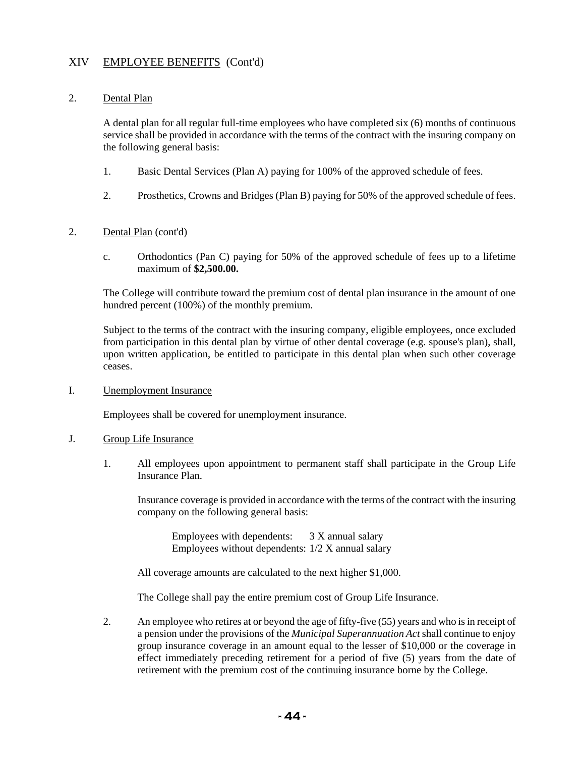#### 2. Dental Plan

A dental plan for all regular full-time employees who have completed six (6) months of continuous service shall be provided in accordance with the terms of the contract with the insuring company on the following general basis:

- 1. Basic Dental Services (Plan A) paying for 100% of the approved schedule of fees.
- 2. Prosthetics, Crowns and Bridges (Plan B) paying for 50% of the approved schedule of fees.

## 2. Dental Plan (cont'd)

c. Orthodontics (Pan C) paying for 50% of the approved schedule of fees up to a lifetime maximum of **\$2,500.00.**

The College will contribute toward the premium cost of dental plan insurance in the amount of one hundred percent (100%) of the monthly premium.

Subject to the terms of the contract with the insuring company, eligible employees, once excluded from participation in this dental plan by virtue of other dental coverage (e.g. spouse's plan), shall, upon written application, be entitled to participate in this dental plan when such other coverage ceases.

I. Unemployment Insurance

Employees shall be covered for unemployment insurance.

#### J. Group Life Insurance

1. All employees upon appointment to permanent staff shall participate in the Group Life Insurance Plan.

Insurance coverage is provided in accordance with the terms of the contract with the insuring company on the following general basis:

Employees with dependents: 3 X annual salary Employees without dependents: 1/2 X annual salary

All coverage amounts are calculated to the next higher \$1,000.

The College shall pay the entire premium cost of Group Life Insurance.

2. An employee who retires at or beyond the age of fifty-five (55) years and who is in receipt of a pension under the provisions of the *Municipal Superannuation Act* shall continue to enjoy group insurance coverage in an amount equal to the lesser of \$10,000 or the coverage in effect immediately preceding retirement for a period of five (5) years from the date of retirement with the premium cost of the continuing insurance borne by the College.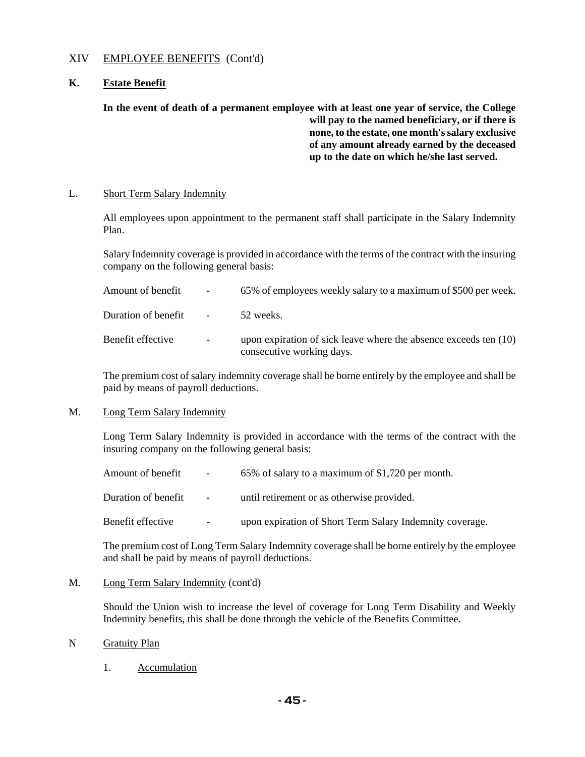### **K. Estate Benefit**

## **In the event of death of a permanent employee with at least one year of service, the College will pay to the named beneficiary, or if there is none, to the estate, one month's salary exclusive of any amount already earned by the deceased up to the date on which he/she last served.**

#### L. Short Term Salary Indemnity

All employees upon appointment to the permanent staff shall participate in the Salary Indemnity Plan.

Salary Indemnity coverage is provided in accordance with the terms of the contract with the insuring company on the following general basis:

| Amount of benefit     | $\sim 100$ | 65% of employees weekly salary to a maximum of \$500 per week.                                  |
|-----------------------|------------|-------------------------------------------------------------------------------------------------|
| Duration of benefit - |            | 52 weeks.                                                                                       |
| Benefit effective     | $\sim$     | upon expiration of sick leave where the absence exceeds ten $(10)$<br>consecutive working days. |

The premium cost of salary indemnity coverage shall be borne entirely by the employee and shall be paid by means of payroll deductions.

#### M. Long Term Salary Indemnity

Long Term Salary Indemnity is provided in accordance with the terms of the contract with the insuring company on the following general basis:

| Amount of benefit   | $ \,$                    | 65% of salary to a maximum of \$1,720 per month.         |
|---------------------|--------------------------|----------------------------------------------------------|
| Duration of benefit | $\overline{\phantom{0}}$ | until retirement or as otherwise provided.               |
| Benefit effective   | $\overline{\phantom{a}}$ | upon expiration of Short Term Salary Indemnity coverage. |

The premium cost of Long Term Salary Indemnity coverage shall be borne entirely by the employee and shall be paid by means of payroll deductions.

M. Long Term Salary Indemnity (cont'd)

Should the Union wish to increase the level of coverage for Long Term Disability and Weekly Indemnity benefits, this shall be done through the vehicle of the Benefits Committee.

#### N Gratuity Plan

1. Accumulation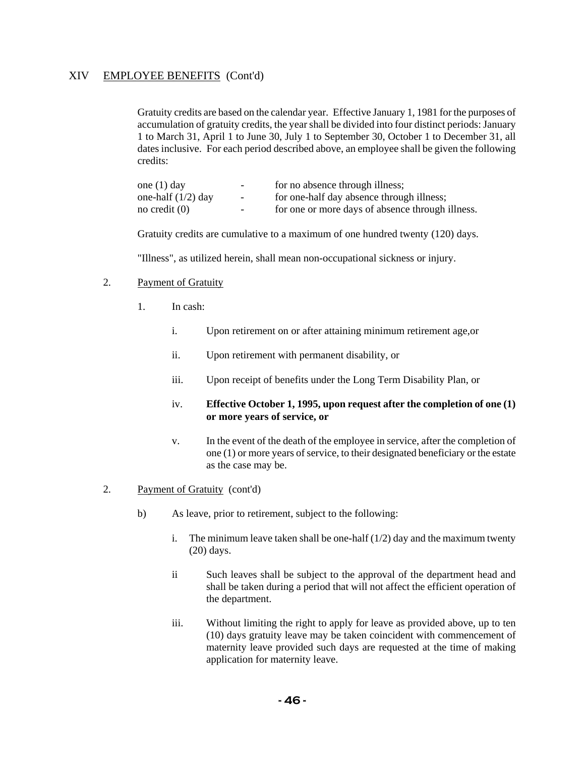Gratuity credits are based on the calendar year. Effective January 1, 1981 for the purposes of accumulation of gratuity credits, the year shall be divided into four distinct periods: January 1 to March 31, April 1 to June 30, July 1 to September 30, October 1 to December 31, all dates inclusive. For each period described above, an employee shall be given the following credits:

| one $(1)$ day        | $\overline{\phantom{0}}$ | for no absence through illness;                  |
|----------------------|--------------------------|--------------------------------------------------|
| one-half $(1/2)$ day | $\sim$                   | for one-half day absence through illness;        |
| no credit $(0)$      | $\overline{\phantom{0}}$ | for one or more days of absence through illness. |

Gratuity credits are cumulative to a maximum of one hundred twenty (120) days.

"Illness", as utilized herein, shall mean non-occupational sickness or injury.

#### 2. Payment of Gratuity

- 1. In cash:
	- i. Upon retirement on or after attaining minimum retirement age,or
	- ii. Upon retirement with permanent disability, or
	- iii. Upon receipt of benefits under the Long Term Disability Plan, or

#### iv. **Effective October 1, 1995, upon request after the completion of one (1) or more years of service, or**

- v. In the event of the death of the employee in service, after the completion of one (1) or more years of service, to their designated beneficiary or the estate as the case may be.
- 2. Payment of Gratuity (cont'd)
	- b) As leave, prior to retirement, subject to the following:
		- i. The minimum leave taken shall be one-half  $(1/2)$  day and the maximum twenty (20) days.
		- ii Such leaves shall be subject to the approval of the department head and shall be taken during a period that will not affect the efficient operation of the department.
		- iii. Without limiting the right to apply for leave as provided above, up to ten (10) days gratuity leave may be taken coincident with commencement of maternity leave provided such days are requested at the time of making application for maternity leave.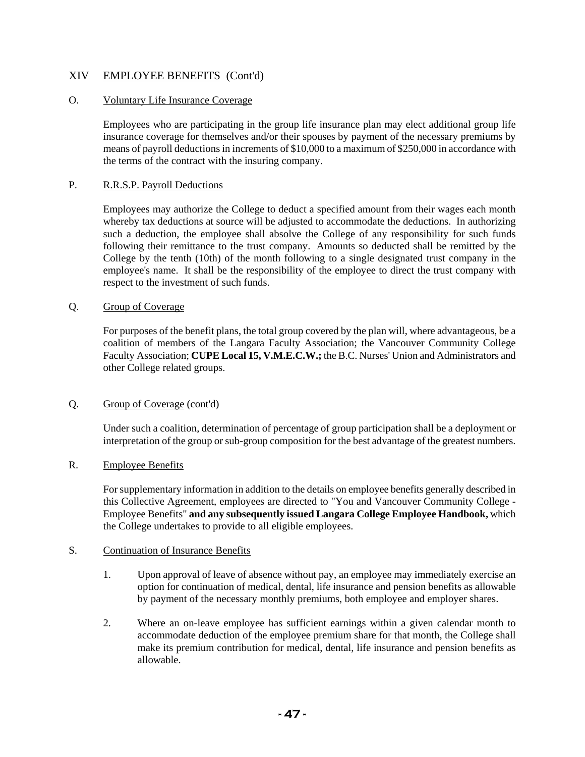## O. Voluntary Life Insurance Coverage

Employees who are participating in the group life insurance plan may elect additional group life insurance coverage for themselves and/or their spouses by payment of the necessary premiums by means of payroll deductions in increments of \$10,000 to a maximum of \$250,000 in accordance with the terms of the contract with the insuring company.

#### P. R.R.S.P. Payroll Deductions

Employees may authorize the College to deduct a specified amount from their wages each month whereby tax deductions at source will be adjusted to accommodate the deductions. In authorizing such a deduction, the employee shall absolve the College of any responsibility for such funds following their remittance to the trust company. Amounts so deducted shall be remitted by the College by the tenth (10th) of the month following to a single designated trust company in the employee's name. It shall be the responsibility of the employee to direct the trust company with respect to the investment of such funds.

#### Q. Group of Coverage

For purposes of the benefit plans, the total group covered by the plan will, where advantageous, be a coalition of members of the Langara Faculty Association; the Vancouver Community College Faculty Association; **CUPE Local 15, V.M.E.C.W.;** the B.C. Nurses' Union and Administrators and other College related groups.

#### Q. Group of Coverage (cont'd)

Under such a coalition, determination of percentage of group participation shall be a deployment or interpretation of the group or sub-group composition for the best advantage of the greatest numbers.

#### R. Employee Benefits

For supplementary information in addition to the details on employee benefits generally described in this Collective Agreement, employees are directed to "You and Vancouver Community College - Employee Benefits" **and any subsequently issued Langara College Employee Handbook,** which the College undertakes to provide to all eligible employees.

#### S. Continuation of Insurance Benefits

- 1. Upon approval of leave of absence without pay, an employee may immediately exercise an option for continuation of medical, dental, life insurance and pension benefits as allowable by payment of the necessary monthly premiums, both employee and employer shares.
- 2. Where an on-leave employee has sufficient earnings within a given calendar month to accommodate deduction of the employee premium share for that month, the College shall make its premium contribution for medical, dental, life insurance and pension benefits as allowable.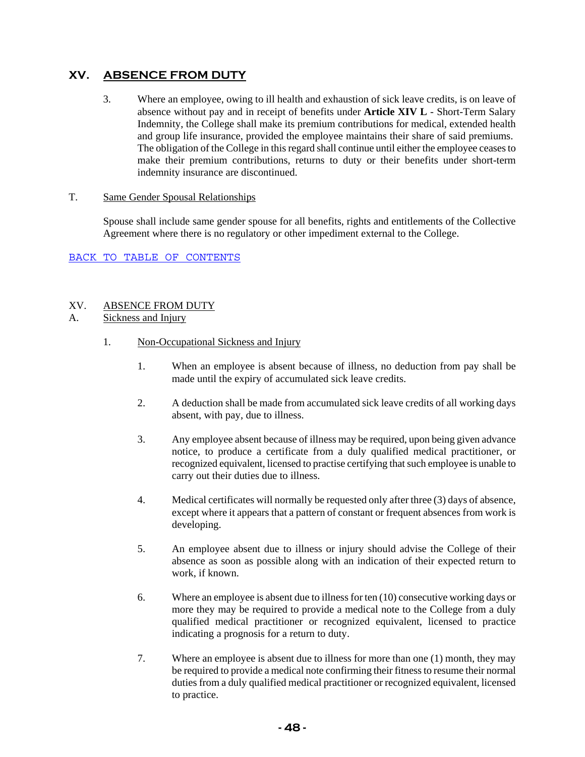# **XV. ABSENCE FROM DUTY**

3. Where an employee, owing to ill health and exhaustion of sick leave credits, is on leave of absence without pay and in receipt of benefits under **Article XIV L** - Short-Term Salary Indemnity, the College shall make its premium contributions for medical, extended health and group life insurance, provided the employee maintains their share of said premiums. The obligation of the College in this regard shall continue until either the employee ceases to make their premium contributions, returns to duty or their benefits under short-term indemnity insurance are discontinued.

## T. Same Gender Spousal Relationships

Spouse shall include same gender spouse for all benefits, rights and entitlements of the Collective Agreement where there is no regulatory or other impediment external to the College.

## BACK TO TABLE OF CONTENTS

## XV. ABSENCE FROM DUTY

## A. Sickness and Injury

- 1. Non-Occupational Sickness and Injury
	- 1. When an employee is absent because of illness, no deduction from pay shall be made until the expiry of accumulated sick leave credits.
	- 2. A deduction shall be made from accumulated sick leave credits of all working days absent, with pay, due to illness.
	- 3. Any employee absent because of illness may be required, upon being given advance notice, to produce a certificate from a duly qualified medical practitioner, or recognized equivalent, licensed to practise certifying that such employee is unable to carry out their duties due to illness.
	- 4. Medical certificates will normally be requested only after three (3) days of absence, except where it appears that a pattern of constant or frequent absences from work is developing.
	- 5. An employee absent due to illness or injury should advise the College of their absence as soon as possible along with an indication of their expected return to work, if known.
	- 6. Where an employee is absent due to illness for ten (10) consecutive working days or more they may be required to provide a medical note to the College from a duly qualified medical practitioner or recognized equivalent, licensed to practice indicating a prognosis for a return to duty.
	- 7. Where an employee is absent due to illness for more than one (1) month, they may be required to provide a medical note confirming their fitness to resume their normal duties from a duly qualified medical practitioner or recognized equivalent, licensed to practice.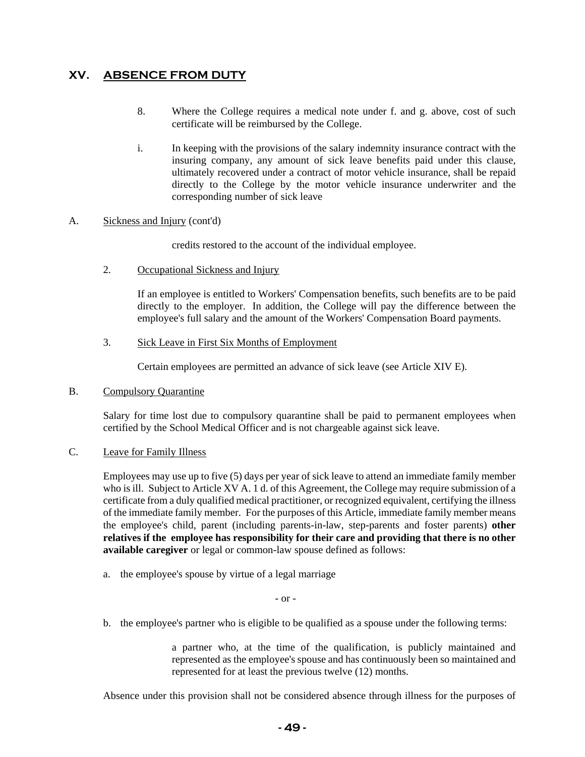# **XV. ABSENCE FROM DUTY**

- 8. Where the College requires a medical note under f. and g. above, cost of such certificate will be reimbursed by the College.
- i. In keeping with the provisions of the salary indemnity insurance contract with the insuring company, any amount of sick leave benefits paid under this clause, ultimately recovered under a contract of motor vehicle insurance, shall be repaid directly to the College by the motor vehicle insurance underwriter and the corresponding number of sick leave

#### A. Sickness and Injury (cont'd)

credits restored to the account of the individual employee.

2. Occupational Sickness and Injury

If an employee is entitled to Workers' Compensation benefits, such benefits are to be paid directly to the employer. In addition, the College will pay the difference between the employee's full salary and the amount of the Workers' Compensation Board payments.

3. Sick Leave in First Six Months of Employment

Certain employees are permitted an advance of sick leave (see Article XIV E).

#### B. Compulsory Quarantine

Salary for time lost due to compulsory quarantine shall be paid to permanent employees when certified by the School Medical Officer and is not chargeable against sick leave.

#### C. Leave for Family Illness

Employees may use up to five (5) days per year of sick leave to attend an immediate family member who is ill. Subject to Article XV A. 1 d. of this Agreement, the College may require submission of a certificate from a duly qualified medical practitioner, or recognized equivalent, certifying the illness of the immediate family member. For the purposes of this Article, immediate family member means the employee's child, parent (including parents-in-law, step-parents and foster parents) **other relatives if the employee has responsibility for their care and providing that there is no other available caregiver** or legal or common-law spouse defined as follows:

a. the employee's spouse by virtue of a legal marriage

- or -

b. the employee's partner who is eligible to be qualified as a spouse under the following terms:

a partner who, at the time of the qualification, is publicly maintained and represented as the employee's spouse and has continuously been so maintained and represented for at least the previous twelve (12) months.

Absence under this provision shall not be considered absence through illness for the purposes of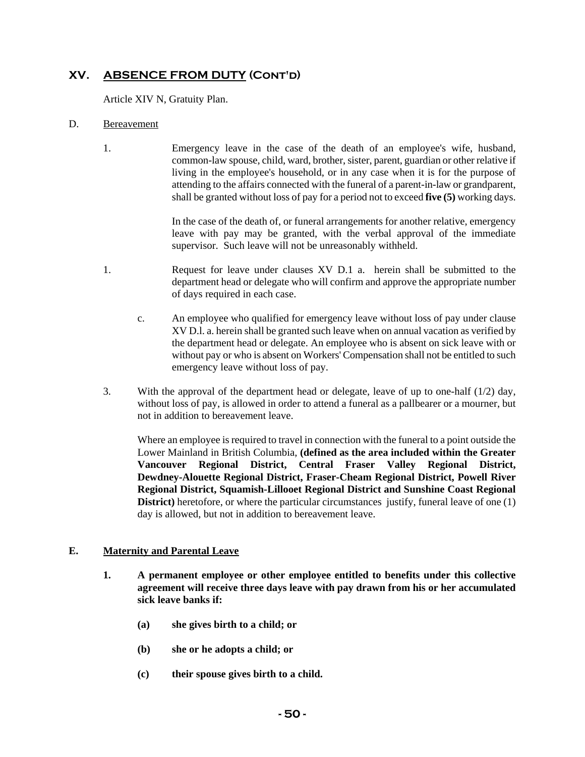Article XIV N, Gratuity Plan.

### D. Bereavement

1. Emergency leave in the case of the death of an employee's wife, husband, common-law spouse, child, ward, brother, sister, parent, guardian or other relative if living in the employee's household, or in any case when it is for the purpose of attending to the affairs connected with the funeral of a parent-in-law or grandparent, shall be granted without loss of pay for a period not to exceed **five (5)** working days.

> In the case of the death of, or funeral arrangements for another relative, emergency leave with pay may be granted, with the verbal approval of the immediate supervisor. Such leave will not be unreasonably withheld.

- 1. Request for leave under clauses XV D.1 a. herein shall be submitted to the department head or delegate who will confirm and approve the appropriate number of days required in each case.
	- c. An employee who qualified for emergency leave without loss of pay under clause XV D.l. a. herein shall be granted such leave when on annual vacation as verified by the department head or delegate. An employee who is absent on sick leave with or without pay or who is absent on Workers' Compensation shall not be entitled to such emergency leave without loss of pay.
- 3. With the approval of the department head or delegate, leave of up to one-half (1/2) day, without loss of pay, is allowed in order to attend a funeral as a pallbearer or a mourner, but not in addition to bereavement leave.

Where an employee is required to travel in connection with the funeral to a point outside the Lower Mainland in British Columbia, **(defined as the area included within the Greater Vancouver Regional District, Central Fraser Valley Regional District, Dewdney-Alouette Regional District, Fraser-Cheam Regional District, Powell River Regional District, Squamish-Lillooet Regional District and Sunshine Coast Regional District**) heretofore, or where the particular circumstances justify, funeral leave of one (1) day is allowed, but not in addition to bereavement leave.

## **E. Maternity and Parental Leave**

- **1. A permanent employee or other employee entitled to benefits under this collective agreement will receive three days leave with pay drawn from his or her accumulated sick leave banks if:** 
	- **(a) she gives birth to a child; or**
	- **(b) she or he adopts a child; or**
	- **(c) their spouse gives birth to a child.**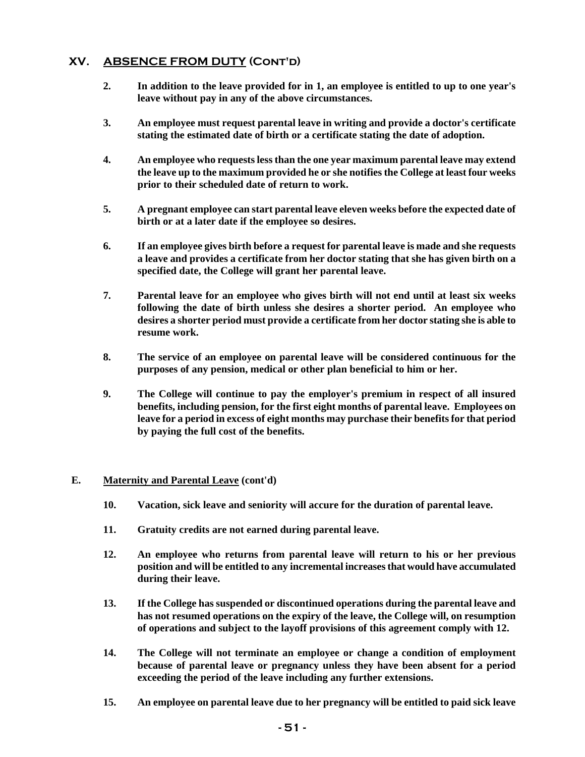- **2. In addition to the leave provided for in 1, an employee is entitled to up to one year's leave without pay in any of the above circumstances.**
- **3. An employee must request parental leave in writing and provide a doctor's certificate stating the estimated date of birth or a certificate stating the date of adoption.**
- **4. An employee who requests less than the one year maximum parental leave may extend the leave up to the maximum provided he or she notifies the College at least four weeks prior to their scheduled date of return to work.**
- **5. A pregnant employee can start parental leave eleven weeks before the expected date of birth or at a later date if the employee so desires.**
- **6. If an employee gives birth before a request for parental leave is made and she requests a leave and provides a certificate from her doctor stating that she has given birth on a specified date, the College will grant her parental leave.**
- **7. Parental leave for an employee who gives birth will not end until at least six weeks following the date of birth unless she desires a shorter period. An employee who desires a shorter period must provide a certificate from her doctor stating she is able to resume work.**
- **8. The service of an employee on parental leave will be considered continuous for the purposes of any pension, medical or other plan beneficial to him or her.**
- **9. The College will continue to pay the employer's premium in respect of all insured benefits, including pension, for the first eight months of parental leave. Employees on leave for a period in excess of eight months may purchase their benefits for that period by paying the full cost of the benefits.**

#### **E. Maternity and Parental Leave (cont'd)**

- **10. Vacation, sick leave and seniority will accure for the duration of parental leave.**
- **11. Gratuity credits are not earned during parental leave.**
- **12. An employee who returns from parental leave will return to his or her previous position and will be entitled to any incremental increases that would have accumulated during their leave.**
- **13. If the College has suspended or discontinued operations during the parental leave and has not resumed operations on the expiry of the leave, the College will, on resumption of operations and subject to the layoff provisions of this agreement comply with 12.**
- **14. The College will not terminate an employee or change a condition of employment because of parental leave or pregnancy unless they have been absent for a period exceeding the period of the leave including any further extensions.**
- **15. An employee on parental leave due to her pregnancy will be entitled to paid sick leave**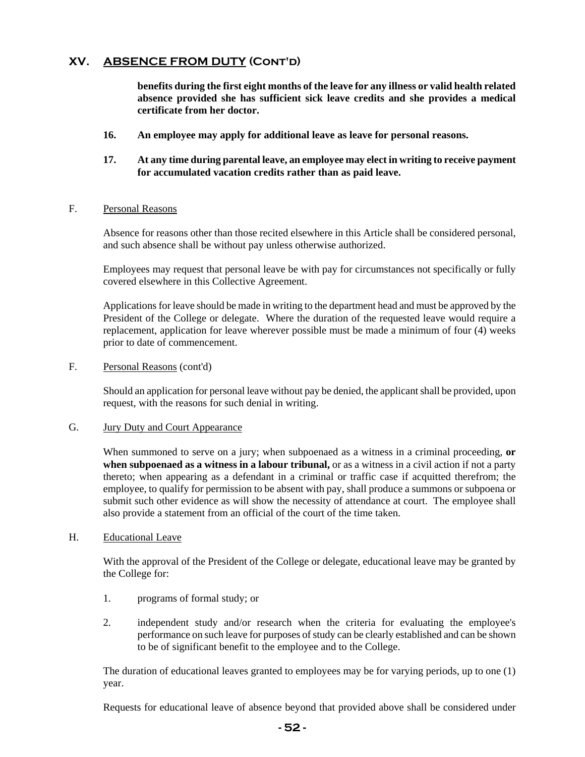**benefits during the first eight months of the leave for any illness or valid health related absence provided she has sufficient sick leave credits and she provides a medical certificate from her doctor.** 

- **16. An employee may apply for additional leave as leave for personal reasons.**
- **17. At any time during parental leave, an employee may elect in writing to receive payment for accumulated vacation credits rather than as paid leave.**

#### F. Personal Reasons

Absence for reasons other than those recited elsewhere in this Article shall be considered personal, and such absence shall be without pay unless otherwise authorized.

Employees may request that personal leave be with pay for circumstances not specifically or fully covered elsewhere in this Collective Agreement.

Applications for leave should be made in writing to the department head and must be approved by the President of the College or delegate. Where the duration of the requested leave would require a replacement, application for leave wherever possible must be made a minimum of four (4) weeks prior to date of commencement.

F. Personal Reasons (cont'd)

Should an application for personal leave without pay be denied, the applicant shall be provided, upon request, with the reasons for such denial in writing.

#### G. Jury Duty and Court Appearance

When summoned to serve on a jury; when subpoenaed as a witness in a criminal proceeding, or **when subpoenaed as a witness in a labour tribunal,** or as a witness in a civil action if not a party thereto; when appearing as a defendant in a criminal or traffic case if acquitted therefrom; the employee, to qualify for permission to be absent with pay, shall produce a summons or subpoena or submit such other evidence as will show the necessity of attendance at court. The employee shall also provide a statement from an official of the court of the time taken.

#### H. Educational Leave

With the approval of the President of the College or delegate, educational leave may be granted by the College for:

- 1. programs of formal study; or
- 2. independent study and/or research when the criteria for evaluating the employee's performance on such leave for purposes of study can be clearly established and can be shown to be of significant benefit to the employee and to the College.

The duration of educational leaves granted to employees may be for varying periods, up to one (1) year.

Requests for educational leave of absence beyond that provided above shall be considered under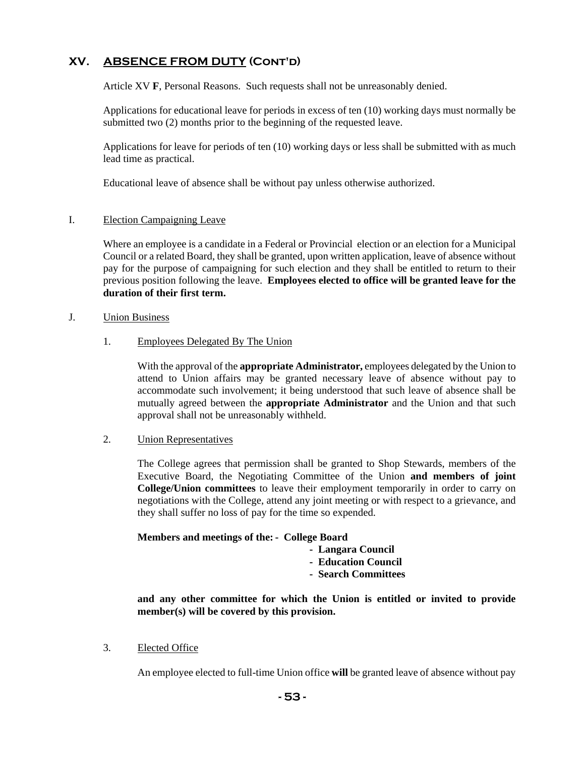Article XV **F**, Personal Reasons. Such requests shall not be unreasonably denied.

Applications for educational leave for periods in excess of ten (10) working days must normally be submitted two (2) months prior to the beginning of the requested leave.

Applications for leave for periods of ten (10) working days or less shall be submitted with as much lead time as practical.

Educational leave of absence shall be without pay unless otherwise authorized.

#### I. Election Campaigning Leave

Where an employee is a candidate in a Federal or Provincial election or an election for a Municipal Council or a related Board, they shall be granted, upon written application, leave of absence without pay for the purpose of campaigning for such election and they shall be entitled to return to their previous position following the leave. **Employees elected to office will be granted leave for the duration of their first term.**

#### J. Union Business

1. Employees Delegated By The Union

With the approval of the **appropriate Administrator,** employees delegated by the Union to attend to Union affairs may be granted necessary leave of absence without pay to accommodate such involvement; it being understood that such leave of absence shall be mutually agreed between the **appropriate Administrator** and the Union and that such approval shall not be unreasonably withheld.

#### 2. Union Representatives

The College agrees that permission shall be granted to Shop Stewards, members of the Executive Board, the Negotiating Committee of the Union **and members of joint College/Union committees** to leave their employment temporarily in order to carry on negotiations with the College, attend any joint meeting or with respect to a grievance, and they shall suffer no loss of pay for the time so expended.

#### **Members and meetings of the: - College Board**

- **Langara Council**
- **Education Council**
- **Search Committees**

**and any other committee for which the Union is entitled or invited to provide member(s) will be covered by this provision.** 

#### 3. Elected Office

An employee elected to full-time Union office **will** be granted leave of absence without pay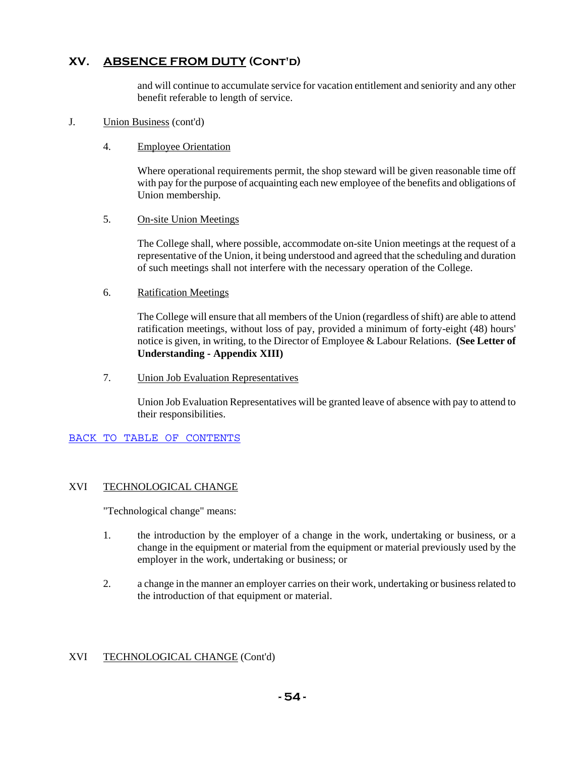and will continue to accumulate service for vacation entitlement and seniority and any other benefit referable to length of service.

#### J. Union Business (cont'd)

#### 4. Employee Orientation

Where operational requirements permit, the shop steward will be given reasonable time off with pay for the purpose of acquainting each new employee of the benefits and obligations of Union membership.

#### 5. On-site Union Meetings

The College shall, where possible, accommodate on-site Union meetings at the request of a representative of the Union, it being understood and agreed that the scheduling and duration of such meetings shall not interfere with the necessary operation of the College.

#### 6. Ratification Meetings

The College will ensure that all members of the Union (regardless of shift) are able to attend ratification meetings, without loss of pay, provided a minimum of forty-eight (48) hours' notice is given, in writing, to the Director of Employee & Labour Relations. **(See Letter of Understanding - Appendix XIII)**

7. Union Job Evaluation Representatives

Union Job Evaluation Representatives will be granted leave of absence with pay to attend to their responsibilities.

BACK TO TABLE OF CONTENTS

#### XVI TECHNOLOGICAL CHANGE

"Technological change" means:

- 1. the introduction by the employer of a change in the work, undertaking or business, or a change in the equipment or material from the equipment or material previously used by the employer in the work, undertaking or business; or
- 2. a change in the manner an employer carries on their work, undertaking or business related to the introduction of that equipment or material.

#### XVI TECHNOLOGICAL CHANGE (Cont'd)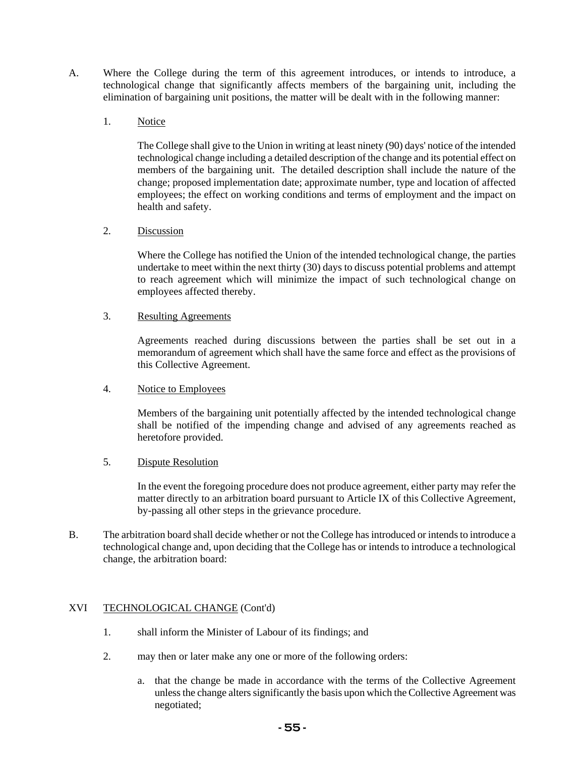- A. Where the College during the term of this agreement introduces, or intends to introduce, a technological change that significantly affects members of the bargaining unit, including the elimination of bargaining unit positions, the matter will be dealt with in the following manner:
	- 1. Notice

The College shall give to the Union in writing at least ninety (90) days' notice of the intended technological change including a detailed description of the change and its potential effect on members of the bargaining unit. The detailed description shall include the nature of the change; proposed implementation date; approximate number, type and location of affected employees; the effect on working conditions and terms of employment and the impact on health and safety.

2. Discussion

Where the College has notified the Union of the intended technological change, the parties undertake to meet within the next thirty (30) days to discuss potential problems and attempt to reach agreement which will minimize the impact of such technological change on employees affected thereby.

#### 3. Resulting Agreements

Agreements reached during discussions between the parties shall be set out in a memorandum of agreement which shall have the same force and effect as the provisions of this Collective Agreement.

4. Notice to Employees

Members of the bargaining unit potentially affected by the intended technological change shall be notified of the impending change and advised of any agreements reached as heretofore provided.

5. Dispute Resolution

In the event the foregoing procedure does not produce agreement, either party may refer the matter directly to an arbitration board pursuant to Article IX of this Collective Agreement, by-passing all other steps in the grievance procedure.

B. The arbitration board shall decide whether or not the College has introduced or intends to introduce a technological change and, upon deciding that the College has or intends to introduce a technological change, the arbitration board:

## XVI TECHNOLOGICAL CHANGE (Cont'd)

- 1. shall inform the Minister of Labour of its findings; and
- 2. may then or later make any one or more of the following orders:
	- a. that the change be made in accordance with the terms of the Collective Agreement unless the change alters significantly the basis upon which the Collective Agreement was negotiated;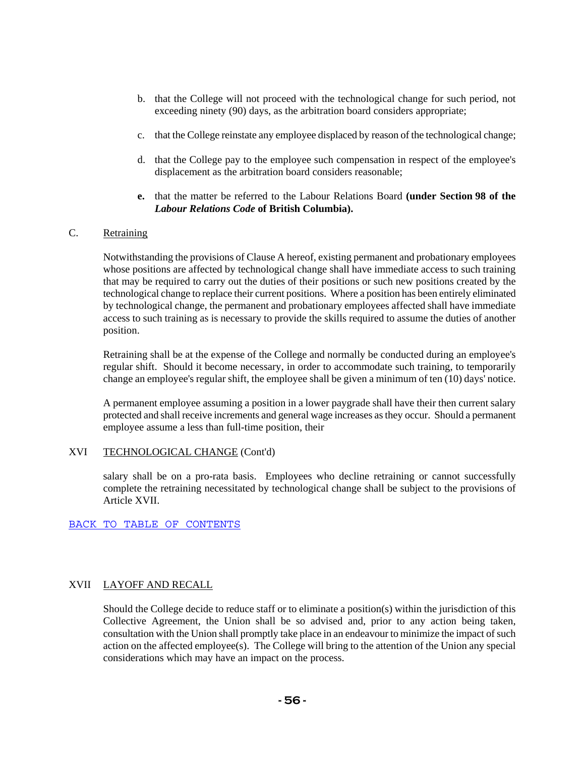- b. that the College will not proceed with the technological change for such period, not exceeding ninety (90) days, as the arbitration board considers appropriate;
- c. that the College reinstate any employee displaced by reason of the technological change;
- d. that the College pay to the employee such compensation in respect of the employee's displacement as the arbitration board considers reasonable;
- **e.** that the matter be referred to the Labour Relations Board **(under Section 98 of the**  *Labour Relations Code* **of British Columbia).**

#### C. Retraining

Notwithstanding the provisions of Clause A hereof, existing permanent and probationary employees whose positions are affected by technological change shall have immediate access to such training that may be required to carry out the duties of their positions or such new positions created by the technological change to replace their current positions. Where a position has been entirely eliminated by technological change, the permanent and probationary employees affected shall have immediate access to such training as is necessary to provide the skills required to assume the duties of another position.

Retraining shall be at the expense of the College and normally be conducted during an employee's regular shift. Should it become necessary, in order to accommodate such training, to temporarily change an employee's regular shift, the employee shall be given a minimum of ten (10) days' notice.

A permanent employee assuming a position in a lower paygrade shall have their then current salary protected and shall receive increments and general wage increases as they occur. Should a permanent employee assume a less than full-time position, their

#### XVI TECHNOLOGICAL CHANGE (Cont'd)

salary shall be on a pro-rata basis. Employees who decline retraining or cannot successfully complete the retraining necessitated by technological change shall be subject to the provisions of Article XVII.

BACK TO TABLE OF CONTENTS

#### XVII LAYOFF AND RECALL

Should the College decide to reduce staff or to eliminate a position(s) within the jurisdiction of this Collective Agreement, the Union shall be so advised and, prior to any action being taken, consultation with the Union shall promptly take place in an endeavour to minimize the impact of such action on the affected employee(s). The College will bring to the attention of the Union any special considerations which may have an impact on the process.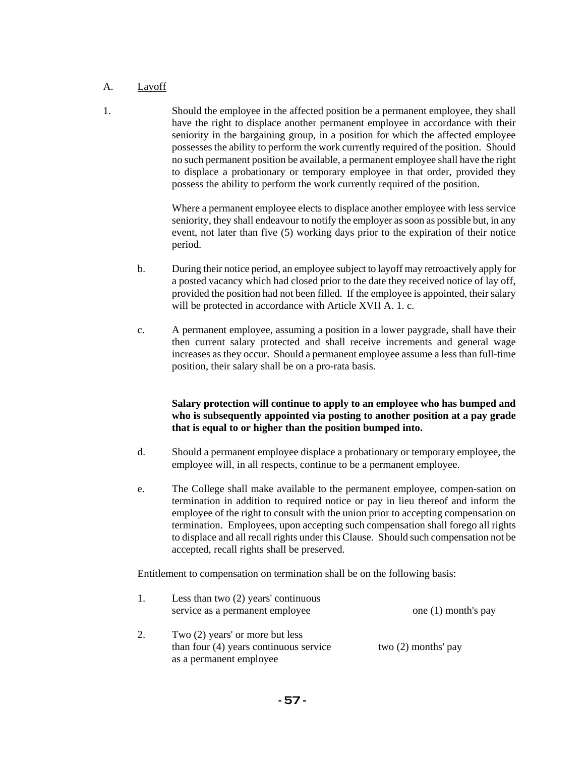## A. Layoff

1. Should the employee in the affected position be a permanent employee, they shall have the right to displace another permanent employee in accordance with their seniority in the bargaining group, in a position for which the affected employee possesses the ability to perform the work currently required of the position. Should no such permanent position be available, a permanent employee shall have the right to displace a probationary or temporary employee in that order, provided they possess the ability to perform the work currently required of the position.

> Where a permanent employee elects to displace another employee with less service seniority, they shall endeavour to notify the employer as soon as possible but, in any event, not later than five (5) working days prior to the expiration of their notice period.

- b. During their notice period, an employee subject to layoff may retroactively apply for a posted vacancy which had closed prior to the date they received notice of lay off, provided the position had not been filled. If the employee is appointed, their salary will be protected in accordance with Article XVII A. 1. c.
- c. A permanent employee, assuming a position in a lower paygrade, shall have their then current salary protected and shall receive increments and general wage increases as they occur. Should a permanent employee assume a less than full-time position, their salary shall be on a pro-rata basis.

## **Salary protection will continue to apply to an employee who has bumped and who is subsequently appointed via posting to another position at a pay grade that is equal to or higher than the position bumped into.**

- d. Should a permanent employee displace a probationary or temporary employee, the employee will, in all respects, continue to be a permanent employee.
- e. The College shall make available to the permanent employee, compen-sation on termination in addition to required notice or pay in lieu thereof and inform the employee of the right to consult with the union prior to accepting compensation on termination. Employees, upon accepting such compensation shall forego all rights to displace and all recall rights under this Clause. Should such compensation not be accepted, recall rights shall be preserved.

Entitlement to compensation on termination shall be on the following basis:

|    | Less than two $(2)$ years' continuous<br>service as a permanent employee                               | one $(1)$ month's pay |
|----|--------------------------------------------------------------------------------------------------------|-----------------------|
| 2. | Two (2) years' or more but less<br>than four $(4)$ years continuous service<br>as a permanent employee | two $(2)$ months' pay |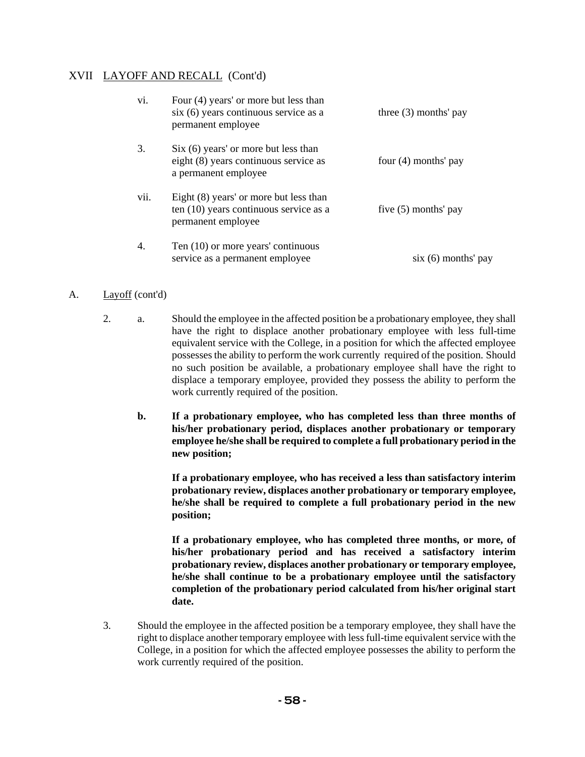## XVII LAYOFF AND RECALL (Cont'd)

| vi.  | Four (4) years' or more but less than<br>$s$ ix $(6)$ years continuous service as a<br>permanent employee       | three $(3)$ months' pay |
|------|-----------------------------------------------------------------------------------------------------------------|-------------------------|
| 3.   | $\text{Six } (6)$ years' or more but less than<br>eight (8) years continuous service as<br>a permanent employee | four (4) months' pay    |
| vii. | Eight (8) years' or more but less than<br>ten $(10)$ years continuous service as a<br>permanent employee        | five $(5)$ months' pay  |
| 4.   | Ten (10) or more years' continuous<br>service as a permanent employee                                           | $six(6)$ months' pay    |

## A. Layoff (cont'd)

- 2. a. Should the employee in the affected position be a probationary employee, they shall have the right to displace another probationary employee with less full-time equivalent service with the College, in a position for which the affected employee possesses the ability to perform the work currently required of the position. Should no such position be available, a probationary employee shall have the right to displace a temporary employee, provided they possess the ability to perform the work currently required of the position.
	- **b. If a probationary employee, who has completed less than three months of his/her probationary period, displaces another probationary or temporary employee he/she shall be required to complete a full probationary period in the new position;**

**If a probationary employee, who has received a less than satisfactory interim probationary review, displaces another probationary or temporary employee, he/she shall be required to complete a full probationary period in the new position;** 

**If a probationary employee, who has completed three months, or more, of his/her probationary period and has received a satisfactory interim probationary review, displaces another probationary or temporary employee, he/she shall continue to be a probationary employee until the satisfactory completion of the probationary period calculated from his/her original start date.**

3. Should the employee in the affected position be a temporary employee, they shall have the right to displace another temporary employee with less full-time equivalent service with the College, in a position for which the affected employee possesses the ability to perform the work currently required of the position.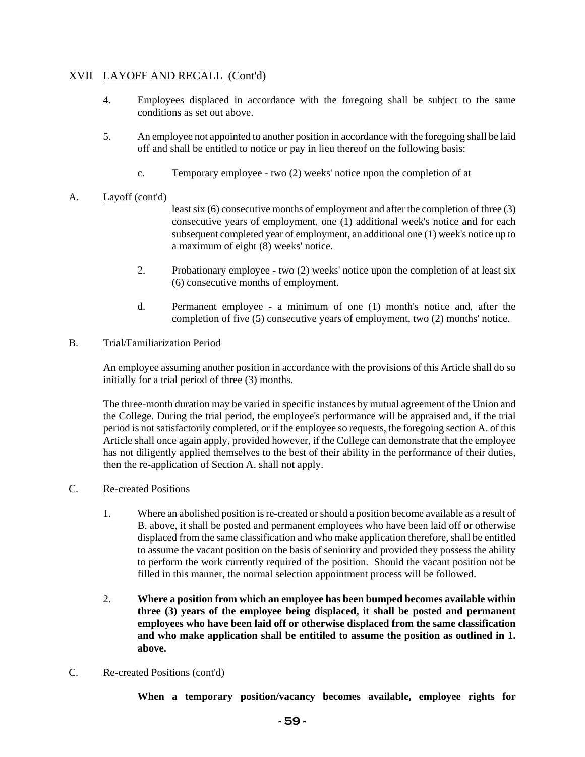## XVII LAYOFF AND RECALL (Cont'd)

- 4. Employees displaced in accordance with the foregoing shall be subject to the same conditions as set out above.
- 5. An employee not appointed to another position in accordance with the foregoing shall be laid off and shall be entitled to notice or pay in lieu thereof on the following basis:
	- c. Temporary employee two (2) weeks' notice upon the completion of at

## A. Layoff (cont'd)

least six (6) consecutive months of employment and after the completion of three (3) consecutive years of employment, one (1) additional week's notice and for each subsequent completed year of employment, an additional one (1) week's notice up to a maximum of eight (8) weeks' notice.

- 2. Probationary employee two (2) weeks' notice upon the completion of at least six (6) consecutive months of employment.
- d. Permanent employee a minimum of one (1) month's notice and, after the completion of five (5) consecutive years of employment, two (2) months' notice.

## B. Trial/Familiarization Period

An employee assuming another position in accordance with the provisions of this Article shall do so initially for a trial period of three (3) months.

The three-month duration may be varied in specific instances by mutual agreement of the Union and the College. During the trial period, the employee's performance will be appraised and, if the trial period is not satisfactorily completed, or if the employee so requests, the foregoing section A. of this Article shall once again apply, provided however, if the College can demonstrate that the employee has not diligently applied themselves to the best of their ability in the performance of their duties, then the re-application of Section A. shall not apply.

- C. Re-created Positions
	- 1. Where an abolished position is re-created or should a position become available as a result of B. above, it shall be posted and permanent employees who have been laid off or otherwise displaced from the same classification and who make application therefore, shall be entitled to assume the vacant position on the basis of seniority and provided they possess the ability to perform the work currently required of the position. Should the vacant position not be filled in this manner, the normal selection appointment process will be followed.
	- 2. **Where a position from which an employee has been bumped becomes available within three (3) years of the employee being displaced, it shall be posted and permanent employees who have been laid off or otherwise displaced from the same classification and who make application shall be entitiled to assume the position as outlined in 1. above.**

## C. Re-created Positions (cont'd)

**When a temporary position/vacancy becomes available, employee rights for**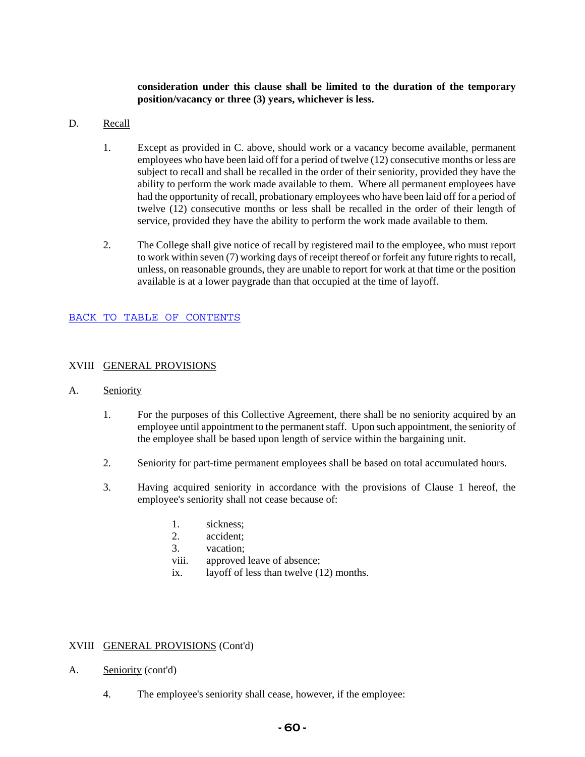**consideration under this clause shall be limited to the duration of the temporary position/vacancy or three (3) years, whichever is less.** 

#### D. Recall

- 1. Except as provided in C. above, should work or a vacancy become available, permanent employees who have been laid off for a period of twelve (12) consecutive months or less are subject to recall and shall be recalled in the order of their seniority, provided they have the ability to perform the work made available to them. Where all permanent employees have had the opportunity of recall, probationary employees who have been laid off for a period of twelve (12) consecutive months or less shall be recalled in the order of their length of service, provided they have the ability to perform the work made available to them.
- 2. The College shall give notice of recall by registered mail to the employee, who must report to work within seven (7) working days of receipt thereof or forfeit any future rights to recall, unless, on reasonable grounds, they are unable to report for work at that time or the position available is at a lower paygrade than that occupied at the time of layoff.

#### BACK TO TABLE OF CONTENTS

#### XVIII GENERAL PROVISIONS

- A. Seniority
	- 1. For the purposes of this Collective Agreement, there shall be no seniority acquired by an employee until appointment to the permanent staff. Upon such appointment, the seniority of the employee shall be based upon length of service within the bargaining unit.
	- 2. Seniority for part-time permanent employees shall be based on total accumulated hours.
	- 3. Having acquired seniority in accordance with the provisions of Clause 1 hereof, the employee's seniority shall not cease because of:
		- 1. sickness;
		- 2. accident;
		- 3. vacation;
		- viii. approved leave of absence;
		- ix. layoff of less than twelve (12) months.

#### XVIII GENERAL PROVISIONS (Cont'd)

- A. Seniority (cont'd)
	- 4. The employee's seniority shall cease, however, if the employee: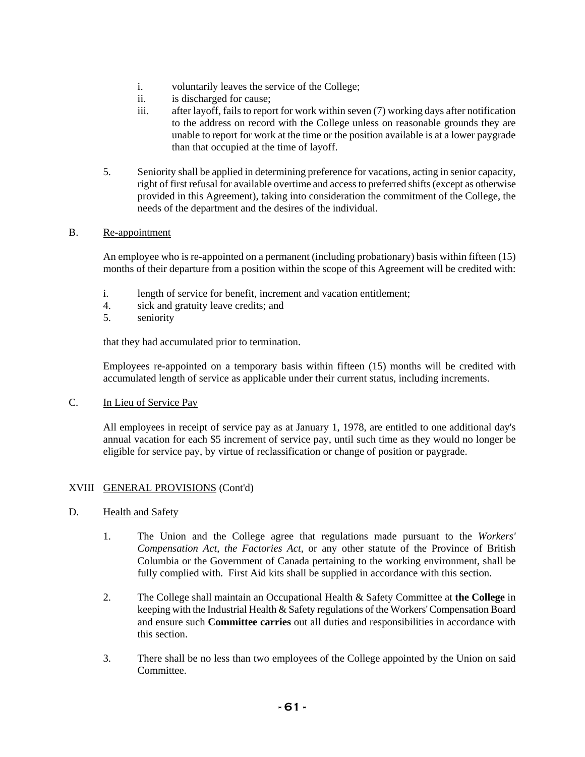- i. voluntarily leaves the service of the College;
- ii. is discharged for cause;
- iii. after layoff, fails to report for work within seven (7) working days after notification to the address on record with the College unless on reasonable grounds they are unable to report for work at the time or the position available is at a lower paygrade than that occupied at the time of layoff.
- 5. Seniority shall be applied in determining preference for vacations, acting in senior capacity, right of first refusal for available overtime and access to preferred shifts (except as otherwise provided in this Agreement), taking into consideration the commitment of the College, the needs of the department and the desires of the individual.

#### B. Re-appointment

An employee who is re-appointed on a permanent (including probationary) basis within fifteen (15) months of their departure from a position within the scope of this Agreement will be credited with:

- i. length of service for benefit, increment and vacation entitlement;
- 4. sick and gratuity leave credits; and
- 5. seniority

that they had accumulated prior to termination.

Employees re-appointed on a temporary basis within fifteen (15) months will be credited with accumulated length of service as applicable under their current status, including increments.

#### C. In Lieu of Service Pay

All employees in receipt of service pay as at January 1, 1978, are entitled to one additional day's annual vacation for each \$5 increment of service pay, until such time as they would no longer be eligible for service pay, by virtue of reclassification or change of position or paygrade.

#### XVIII GENERAL PROVISIONS (Cont'd)

- D. Health and Safety
	- 1. The Union and the College agree that regulations made pursuant to the *Workers' Compensation Act*, *the Factories Act,* or any other statute of the Province of British Columbia or the Government of Canada pertaining to the working environment, shall be fully complied with. First Aid kits shall be supplied in accordance with this section.
	- 2. The College shall maintain an Occupational Health & Safety Committee at **the College** in keeping with the Industrial Health & Safety regulations of the Workers' Compensation Board and ensure such **Committee carries** out all duties and responsibilities in accordance with this section.
	- 3. There shall be no less than two employees of the College appointed by the Union on said Committee.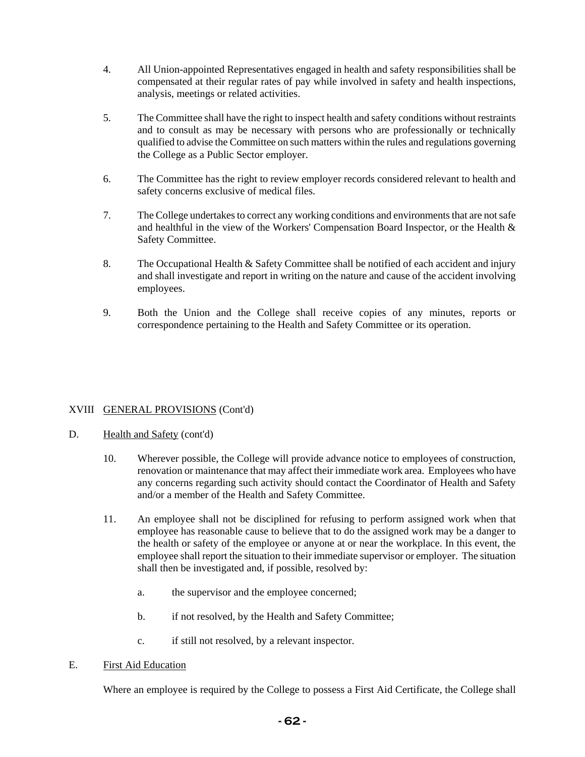- 4. All Union-appointed Representatives engaged in health and safety responsibilities shall be compensated at their regular rates of pay while involved in safety and health inspections, analysis, meetings or related activities.
- 5. The Committee shall have the right to inspect health and safety conditions without restraints and to consult as may be necessary with persons who are professionally or technically qualified to advise the Committee on such matters within the rules and regulations governing the College as a Public Sector employer.
- 6. The Committee has the right to review employer records considered relevant to health and safety concerns exclusive of medical files.
- 7. The College undertakes to correct any working conditions and environments that are not safe and healthful in the view of the Workers' Compensation Board Inspector, or the Health & Safety Committee.
- 8. The Occupational Health & Safety Committee shall be notified of each accident and injury and shall investigate and report in writing on the nature and cause of the accident involving employees.
- 9. Both the Union and the College shall receive copies of any minutes, reports or correspondence pertaining to the Health and Safety Committee or its operation.

## XVIII GENERAL PROVISIONS (Cont'd)

- D. Health and Safety (cont'd)
	- 10. Wherever possible, the College will provide advance notice to employees of construction, renovation or maintenance that may affect their immediate work area. Employees who have any concerns regarding such activity should contact the Coordinator of Health and Safety and/or a member of the Health and Safety Committee.
	- 11. An employee shall not be disciplined for refusing to perform assigned work when that employee has reasonable cause to believe that to do the assigned work may be a danger to the health or safety of the employee or anyone at or near the workplace. In this event, the employee shall report the situation to their immediate supervisor or employer. The situation shall then be investigated and, if possible, resolved by:
		- a. the supervisor and the employee concerned;
		- b. if not resolved, by the Health and Safety Committee;
		- c. if still not resolved, by a relevant inspector.

#### E. First Aid Education

Where an employee is required by the College to possess a First Aid Certificate, the College shall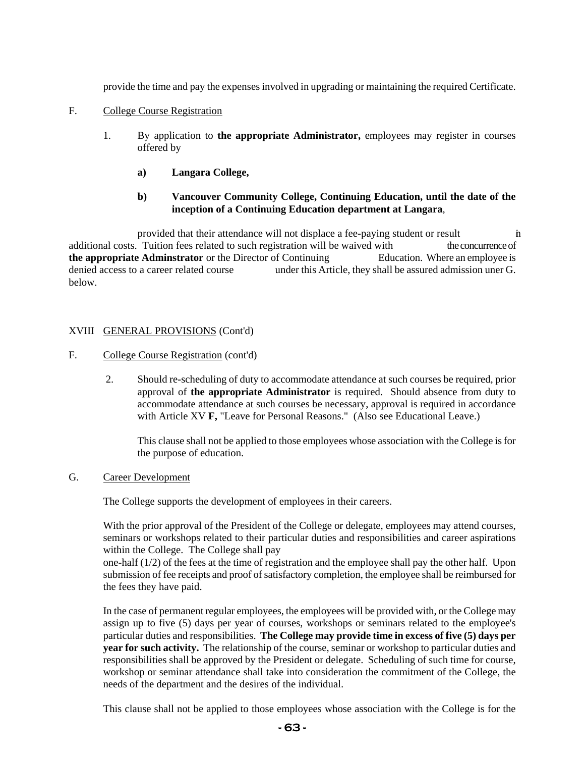provide the time and pay the expenses involved in upgrading or maintaining the required Certificate.

- F. College Course Registration
	- 1. By application to **the appropriate Administrator,** employees may register in courses offered by
		- **a) Langara College,**
		- **b) Vancouver Community College, Continuing Education, until the date of the inception of a Continuing Education department at Langara**,

provided that their attendance will not displace a fee-paying student or result in additional costs. Tuition fees related to such registration will be waived with the concurrence of **the appropriate Adminstrator** or the Director of Continuing Education. Where an employee is denied access to a career related course under this Article, they shall be assured admission uner G. below.

## XVIII GENERAL PROVISIONS (Cont'd)

- F. College Course Registration (cont'd)
	- 2. Should re-scheduling of duty to accommodate attendance at such courses be required, prior approval of **the appropriate Administrator** is required. Should absence from duty to accommodate attendance at such courses be necessary, approval is required in accordance with Article XV **F**, "Leave for Personal Reasons." (Also see Educational Leave.)

This clause shall not be applied to those employees whose association with the College is for the purpose of education.

G. Career Development

The College supports the development of employees in their careers.

With the prior approval of the President of the College or delegate, employees may attend courses, seminars or workshops related to their particular duties and responsibilities and career aspirations within the College. The College shall pay

one-half (1/2) of the fees at the time of registration and the employee shall pay the other half. Upon submission of fee receipts and proof of satisfactory completion, the employee shall be reimbursed for the fees they have paid.

In the case of permanent regular employees, the employees will be provided with, or the College may assign up to five (5) days per year of courses, workshops or seminars related to the employee's particular duties and responsibilities. **The College may provide time in excess of five (5) days per year for such activity.** The relationship of the course, seminar or workshop to particular duties and responsibilities shall be approved by the President or delegate. Scheduling of such time for course, workshop or seminar attendance shall take into consideration the commitment of the College, the needs of the department and the desires of the individual.

This clause shall not be applied to those employees whose association with the College is for the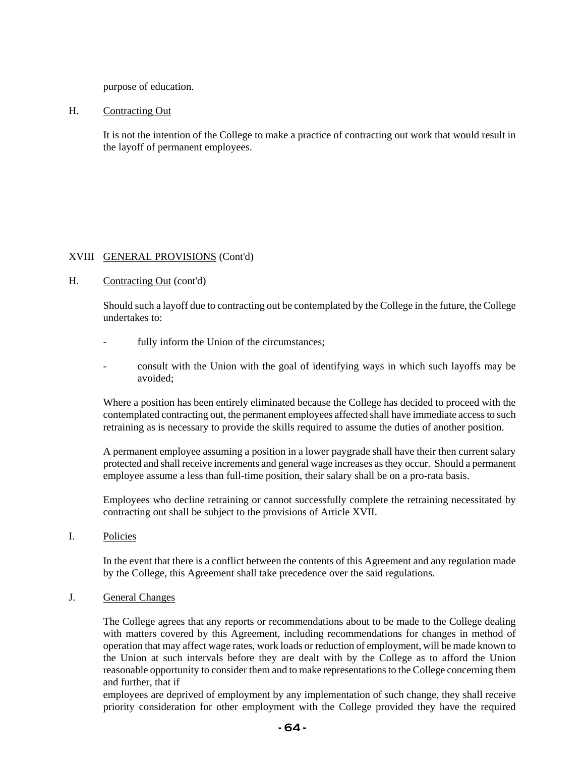purpose of education.

H. Contracting Out

It is not the intention of the College to make a practice of contracting out work that would result in the layoff of permanent employees.

## XVIII GENERAL PROVISIONS (Cont'd)

#### H. Contracting Out (cont'd)

Should such a layoff due to contracting out be contemplated by the College in the future, the College undertakes to:

- fully inform the Union of the circumstances;
- consult with the Union with the goal of identifying ways in which such layoffs may be avoided;

Where a position has been entirely eliminated because the College has decided to proceed with the contemplated contracting out, the permanent employees affected shall have immediate access to such retraining as is necessary to provide the skills required to assume the duties of another position.

A permanent employee assuming a position in a lower paygrade shall have their then current salary protected and shall receive increments and general wage increases as they occur. Should a permanent employee assume a less than full-time position, their salary shall be on a pro-rata basis.

Employees who decline retraining or cannot successfully complete the retraining necessitated by contracting out shall be subject to the provisions of Article XVII.

I. Policies

In the event that there is a conflict between the contents of this Agreement and any regulation made by the College, this Agreement shall take precedence over the said regulations.

#### J. General Changes

The College agrees that any reports or recommendations about to be made to the College dealing with matters covered by this Agreement, including recommendations for changes in method of operation that may affect wage rates, work loads or reduction of employment, will be made known to the Union at such intervals before they are dealt with by the College as to afford the Union reasonable opportunity to consider them and to make representations to the College concerning them and further, that if

employees are deprived of employment by any implementation of such change, they shall receive priority consideration for other employment with the College provided they have the required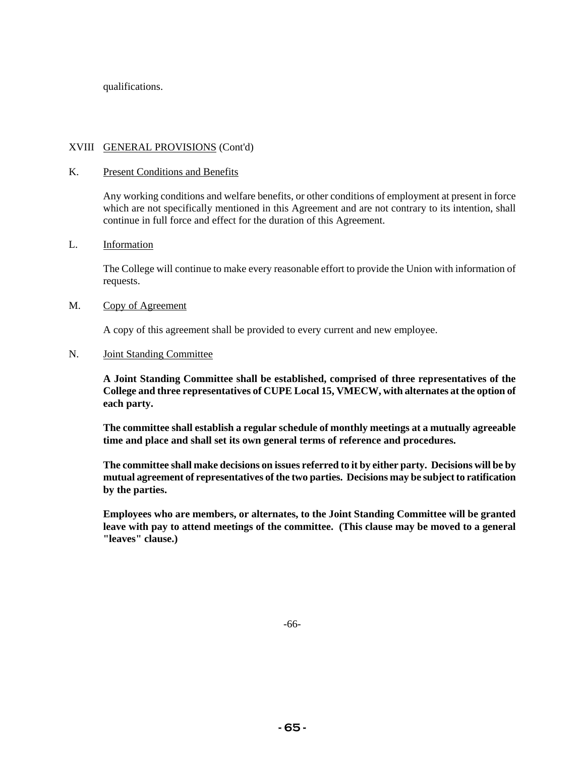qualifications.

### XVIII GENERAL PROVISIONS (Cont'd)

#### K. Present Conditions and Benefits

Any working conditions and welfare benefits, or other conditions of employment at present in force which are not specifically mentioned in this Agreement and are not contrary to its intention, shall continue in full force and effect for the duration of this Agreement.

#### L. Information

The College will continue to make every reasonable effort to provide the Union with information of requests.

#### M. Copy of Agreement

A copy of this agreement shall be provided to every current and new employee.

#### N. Joint Standing Committee

**A Joint Standing Committee shall be established, comprised of three representatives of the College and three representatives of CUPE Local 15, VMECW, with alternates at the option of each party.** 

**The committee shall establish a regular schedule of monthly meetings at a mutually agreeable time and place and shall set its own general terms of reference and procedures.** 

**The committee shall make decisions on issues referred to it by either party. Decisions will be by mutual agreement of representatives of the two parties. Decisions may be subject to ratification by the parties.** 

**Employees who are members, or alternates, to the Joint Standing Committee will be granted leave with pay to attend meetings of the committee. (This clause may be moved to a general "leaves" clause.)**

-66-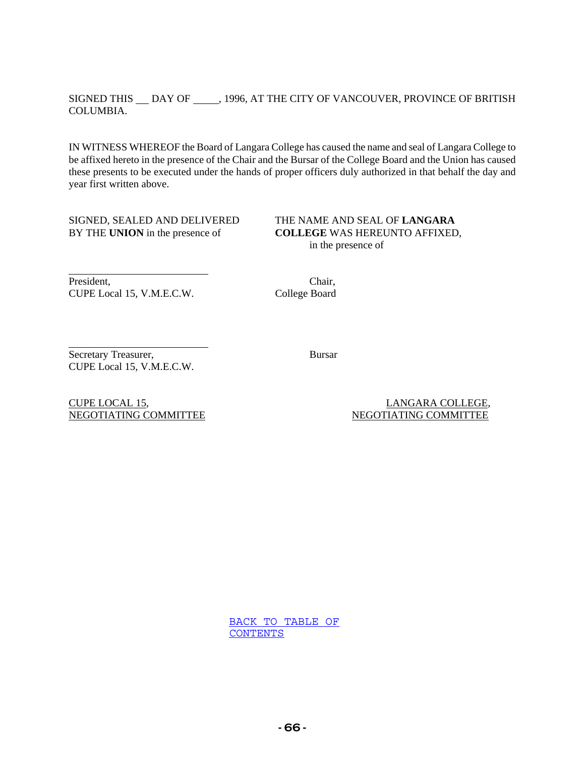### SIGNED THIS  $\_\_$ DAY OF  $\_\_$ , 1996, AT THE CITY OF VANCOUVER, PROVINCE OF BRITISH COLUMBIA.

IN WITNESS WHEREOF the Board of Langara College has caused the name and seal of Langara College to be affixed hereto in the presence of the Chair and the Bursar of the College Board and the Union has caused these presents to be executed under the hands of proper officers duly authorized in that behalf the day and year first written above.

SIGNED, SEALED AND DELIVERED THE NAME AND SEAL OF **LANGARA**

BY THE **UNION** in the presence of **COLLEGE** WAS HEREUNTO AFFIXED, in the presence of

President, Chair, CUPE Local 15, V.M.E.C.W. College Board

l

l

Secretary Treasurer, Bursar CUPE Local 15, V.M.E.C.W.

CUPE LOCAL 15, LANGARA COLLEGE, NEGOTIATING COMMITTEE NEGOTIATING COMMITTEE

> BACK TO TABLE OF CONTENTS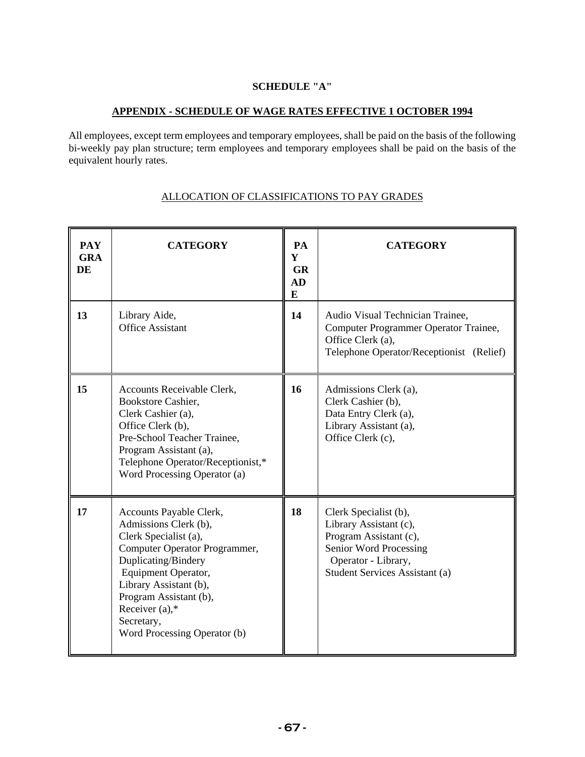## **SCHEDULE "A"**

## **APPENDIX - SCHEDULE OF WAGE RATES EFFECTIVE 1 OCTOBER 1994**

All employees, except term employees and temporary employees, shall be paid on the basis of the following bi-weekly pay plan structure; term employees and temporary employees shall be paid on the basis of the equivalent hourly rates.

| <b>PAY</b><br><b>GRA</b><br>DE | <b>CATEGORY</b>                                                                                                                                                                                                                                                                 | PA<br>Y<br><b>GR</b><br>AD<br>E | <b>CATEGORY</b>                                                                                                                                              |
|--------------------------------|---------------------------------------------------------------------------------------------------------------------------------------------------------------------------------------------------------------------------------------------------------------------------------|---------------------------------|--------------------------------------------------------------------------------------------------------------------------------------------------------------|
| 13                             | Library Aide,<br><b>Office Assistant</b>                                                                                                                                                                                                                                        | 14                              | Audio Visual Technician Trainee,<br>Computer Programmer Operator Trainee,<br>Office Clerk (a),<br>Telephone Operator/Receptionist (Relief)                   |
| 15                             | Accounts Receivable Clerk,<br>Bookstore Cashier,<br>Clerk Cashier (a),<br>Office Clerk (b),<br>Pre-School Teacher Trainee,<br>Program Assistant (a),<br>Telephone Operator/Receptionist,*<br>Word Processing Operator (a)                                                       | 16                              | Admissions Clerk (a),<br>Clerk Cashier (b),<br>Data Entry Clerk (a),<br>Library Assistant (a),<br>Office Clerk (c),                                          |
| 17                             | Accounts Payable Clerk,<br>Admissions Clerk (b),<br>Clerk Specialist (a),<br>Computer Operator Programmer,<br>Duplicating/Bindery<br>Equipment Operator,<br>Library Assistant (b),<br>Program Assistant (b),<br>Receiver $(a)$ ,*<br>Secretary,<br>Word Processing Operator (b) | 18                              | Clerk Specialist (b),<br>Library Assistant (c),<br>Program Assistant (c),<br>Senior Word Processing<br>Operator - Library,<br>Student Services Assistant (a) |

### ALLOCATION OF CLASSIFICATIONS TO PAY GRADES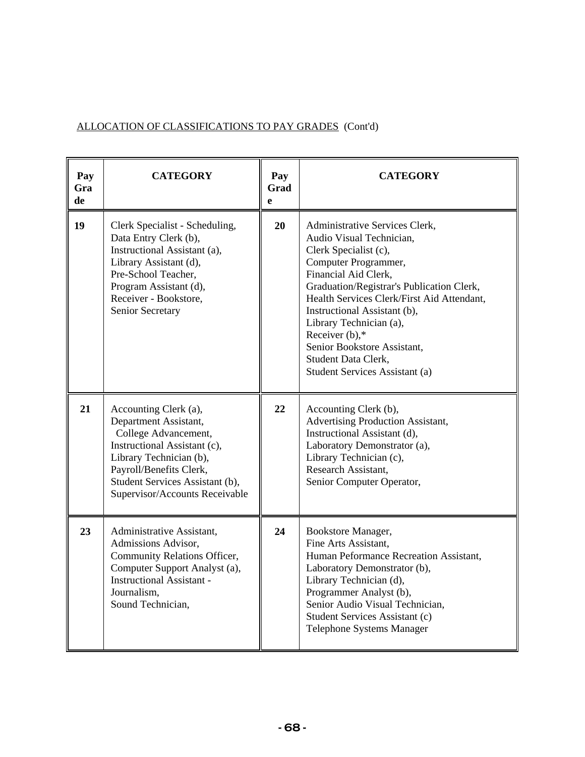| ALLOCATION OF CLASSIFICATIONS TO PAY GRADES (Cont'd) |  |
|------------------------------------------------------|--|
|                                                      |  |

| Pay<br>Gra<br>de | <b>CATEGORY</b>                                                                                                                                                                                                                   | Pay<br>Grad<br>$\mathbf{e}$ | <b>CATEGORY</b>                                                                                                                                                                                                                                                                                                                                                                                        |
|------------------|-----------------------------------------------------------------------------------------------------------------------------------------------------------------------------------------------------------------------------------|-----------------------------|--------------------------------------------------------------------------------------------------------------------------------------------------------------------------------------------------------------------------------------------------------------------------------------------------------------------------------------------------------------------------------------------------------|
| 19               | Clerk Specialist - Scheduling,<br>Data Entry Clerk (b),<br>Instructional Assistant (a),<br>Library Assistant (d),<br>Pre-School Teacher,<br>Program Assistant (d),<br>Receiver - Bookstore,<br>Senior Secretary                   | 20                          | Administrative Services Clerk,<br>Audio Visual Technician,<br>Clerk Specialist (c),<br>Computer Programmer,<br>Financial Aid Clerk,<br>Graduation/Registrar's Publication Clerk,<br>Health Services Clerk/First Aid Attendant,<br>Instructional Assistant (b),<br>Library Technician (a),<br>Receiver $(b)$ ,*<br>Senior Bookstore Assistant,<br>Student Data Clerk,<br>Student Services Assistant (a) |
| 21               | Accounting Clerk (a),<br>Department Assistant,<br>College Advancement,<br>Instructional Assistant (c),<br>Library Technician (b),<br>Payroll/Benefits Clerk,<br>Student Services Assistant (b),<br>Supervisor/Accounts Receivable | 22                          | Accounting Clerk (b),<br>Advertising Production Assistant,<br>Instructional Assistant (d),<br>Laboratory Demonstrator (a),<br>Library Technician (c),<br>Research Assistant,<br>Senior Computer Operator,                                                                                                                                                                                              |
| 23               | Administrative Assistant,<br>Admissions Advisor,<br>Community Relations Officer,<br>Computer Support Analyst (a),<br><b>Instructional Assistant -</b><br>Journalism,<br>Sound Technician,                                         | 24                          | Bookstore Manager,<br>Fine Arts Assistant,<br>Human Peformance Recreation Assistant,<br>Laboratory Demonstrator (b),<br>Library Technician (d),<br>Programmer Analyst (b),<br>Senior Audio Visual Technician,<br>Student Services Assistant (c)<br>Telephone Systems Manager                                                                                                                           |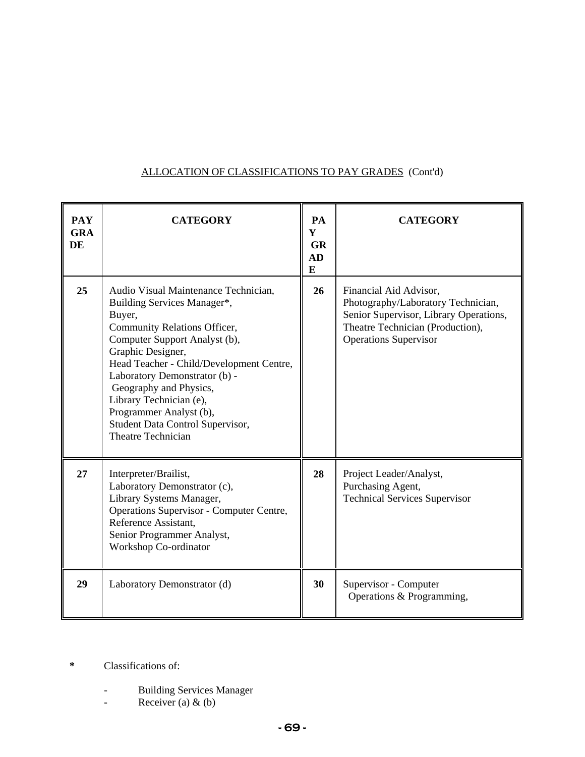# ALLOCATION OF CLASSIFICATIONS TO PAY GRADES (Cont'd)

| <b>PAY</b><br><b>GRA</b><br>DE | <b>CATEGORY</b>                                                                                                                                                                                                                                                                                                                                                                                   | PA<br>Y<br><b>GR</b><br>AD<br>$\bf{E}$ | <b>CATEGORY</b>                                                                                                                                                            |
|--------------------------------|---------------------------------------------------------------------------------------------------------------------------------------------------------------------------------------------------------------------------------------------------------------------------------------------------------------------------------------------------------------------------------------------------|----------------------------------------|----------------------------------------------------------------------------------------------------------------------------------------------------------------------------|
| 25                             | Audio Visual Maintenance Technician,<br>Building Services Manager*,<br>Buyer,<br>Community Relations Officer,<br>Computer Support Analyst (b),<br>Graphic Designer,<br>Head Teacher - Child/Development Centre,<br>Laboratory Demonstrator (b) -<br>Geography and Physics,<br>Library Technician (e),<br>Programmer Analyst (b),<br>Student Data Control Supervisor,<br><b>Theatre Technician</b> | 26                                     | Financial Aid Advisor,<br>Photography/Laboratory Technician,<br>Senior Supervisor, Library Operations,<br>Theatre Technician (Production),<br><b>Operations Supervisor</b> |
| 27                             | Interpreter/Brailist,<br>Laboratory Demonstrator (c),<br>Library Systems Manager,<br>Operations Supervisor - Computer Centre,<br>Reference Assistant,<br>Senior Programmer Analyst,<br>Workshop Co-ordinator                                                                                                                                                                                      | 28                                     | Project Leader/Analyst,<br>Purchasing Agent,<br><b>Technical Services Supervisor</b>                                                                                       |
| 29                             | Laboratory Demonstrator (d)                                                                                                                                                                                                                                                                                                                                                                       | 30                                     | Supervisor - Computer<br>Operations & Programming,                                                                                                                         |

- **\*** Classifications of:
	- Building Services Manager
	- Receiver (a)  $\&$  (b)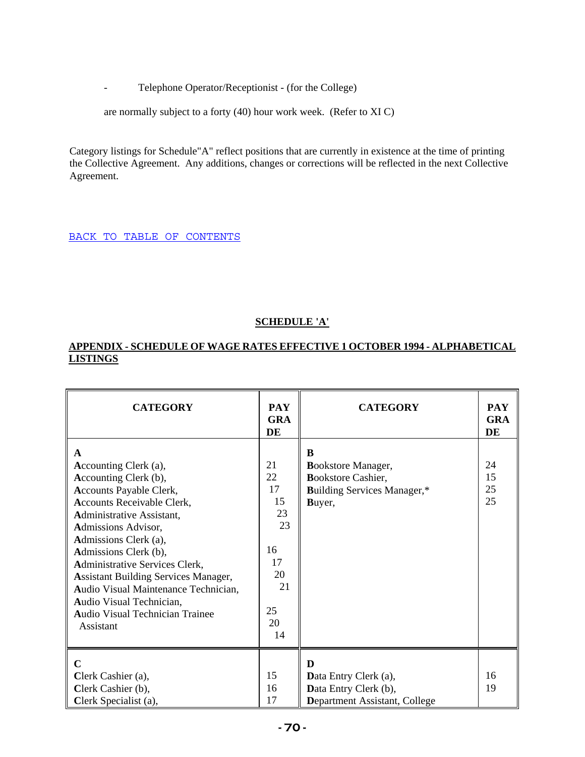- Telephone Operator/Receptionist - (for the College)

are normally subject to a forty (40) hour work week. (Refer to XI C)

Category listings for Schedule"A" reflect positions that are currently in existence at the time of printing the Collective Agreement. Any additions, changes or corrections will be reflected in the next Collective Agreement.

BACK TO TABLE OF CONTENTS

## **SCHEDULE 'A'**

## **APPENDIX - SCHEDULE OF WAGE RATES EFFECTIVE 1 OCTOBER 1994 - ALPHABETICAL LISTINGS**

| <b>CATEGORY</b>                                                                                                                                                                                                                                                                                                                                                                                                                           | <b>PAY</b><br><b>GRA</b><br>DE                                             | <b>CATEGORY</b>                                                                                      | <b>PAY</b><br><b>GRA</b><br>DE |
|-------------------------------------------------------------------------------------------------------------------------------------------------------------------------------------------------------------------------------------------------------------------------------------------------------------------------------------------------------------------------------------------------------------------------------------------|----------------------------------------------------------------------------|------------------------------------------------------------------------------------------------------|--------------------------------|
| $\mathbf{A}$<br>Accounting Clerk (a),<br>Accounting Clerk (b),<br>Accounts Payable Clerk,<br>Accounts Receivable Clerk,<br>Administrative Assistant,<br>Admissions Advisor,<br>Admissions Clerk (a),<br>Admissions Clerk (b),<br>Administrative Services Clerk,<br><b>Assistant Building Services Manager,</b><br>Audio Visual Maintenance Technician,<br>Audio Visual Technician,<br><b>Audio Visual Technician Trainee</b><br>Assistant | 21<br>22<br>17<br>15<br>23<br>23<br>16<br>17<br>20<br>21<br>25<br>20<br>14 | B<br>Bookstore Manager,<br><b>Bookstore Cashier,</b><br><b>Building Services Manager,*</b><br>Buyer, | 24<br>15<br>25<br>25           |
| $\mathbf C$<br>Clerk Cashier (a),<br>Clerk Cashier (b),<br>Clerk Specialist (a),                                                                                                                                                                                                                                                                                                                                                          | 15<br>16<br>17                                                             | D<br>Data Entry Clerk (a),<br>Data Entry Clerk (b),<br>Department Assistant, College                 | 16<br>19                       |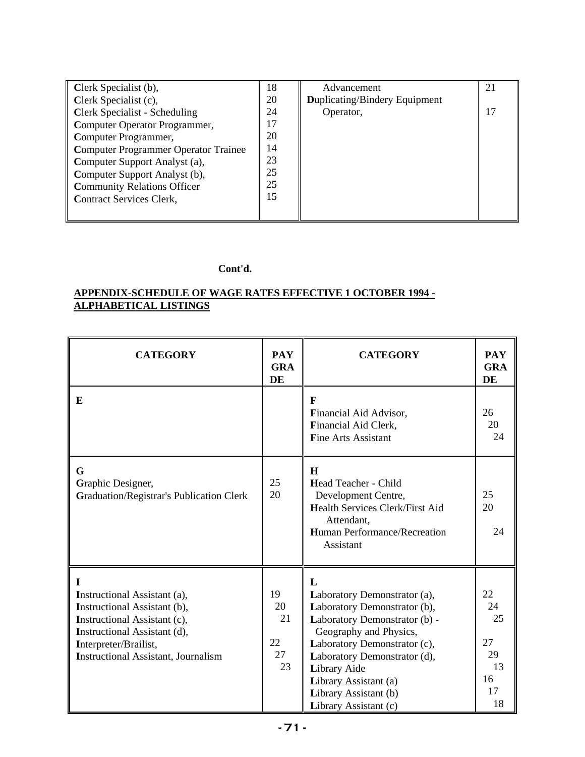| Clerk Specialist (b),                       | 18 | Advancement                          | 21 |
|---------------------------------------------|----|--------------------------------------|----|
| Clerk Specialist (c),                       | 20 | <b>Duplicating/Bindery Equipment</b> |    |
| <b>Clerk Specialist - Scheduling</b>        | 24 | Operator,                            | 17 |
| Computer Operator Programmer,               | 17 |                                      |    |
| Computer Programmer,                        | 20 |                                      |    |
| <b>Computer Programmer Operator Trainee</b> | 14 |                                      |    |
| Computer Support Analyst (a),               | 23 |                                      |    |
| Computer Support Analyst (b),               | 25 |                                      |    |
| <b>Community Relations Officer</b>          | 25 |                                      |    |
| Contract Services Clerk,                    | 15 |                                      |    |
|                                             |    |                                      |    |

## **Cont'd.**

## **APPENDIX-SCHEDULE OF WAGE RATES EFFECTIVE 1 OCTOBER 1994 - ALPHABETICAL LISTINGS**

| <b>CATEGORY</b>                                                                                                                                                                                                 | <b>PAY</b><br><b>GRA</b><br><b>DE</b> | <b>CATEGORY</b>                                                                                                                                                                                                                                                                         | <b>PAY</b><br><b>GRA</b><br>DE                     |
|-----------------------------------------------------------------------------------------------------------------------------------------------------------------------------------------------------------------|---------------------------------------|-----------------------------------------------------------------------------------------------------------------------------------------------------------------------------------------------------------------------------------------------------------------------------------------|----------------------------------------------------|
| E                                                                                                                                                                                                               |                                       | F<br>Financial Aid Advisor,<br>Financial Aid Clerk,<br><b>Fine Arts Assistant</b>                                                                                                                                                                                                       | 26<br>20<br>24                                     |
| G<br>Graphic Designer,<br><b>Graduation/Registrar's Publication Clerk</b>                                                                                                                                       | 25<br>20                              | H<br>Head Teacher - Child<br>Development Centre,<br><b>Health Services Clerk/First Aid</b><br>Attendant,<br><b>Human Performance/Recreation</b><br>Assistant                                                                                                                            | 25<br>20<br>24                                     |
| 1<br><b>Instructional Assistant (a),</b><br>Instructional Assistant (b),<br>Instructional Assistant (c),<br>Instructional Assistant (d),<br>Interpreter/Brailist,<br><b>Instructional Assistant, Journalism</b> | 19<br>20<br>21<br>22<br>27<br>23      | L<br>Laboratory Demonstrator (a),<br>Laboratory Demonstrator (b),<br>Laboratory Demonstrator (b) -<br>Geography and Physics,<br>Laboratory Demonstrator (c),<br>Laboratory Demonstrator (d),<br>Library Aide<br>Library Assistant (a)<br>Library Assistant (b)<br>Library Assistant (c) | 22<br>24<br>25<br>27<br>29<br>13<br>16<br>17<br>18 |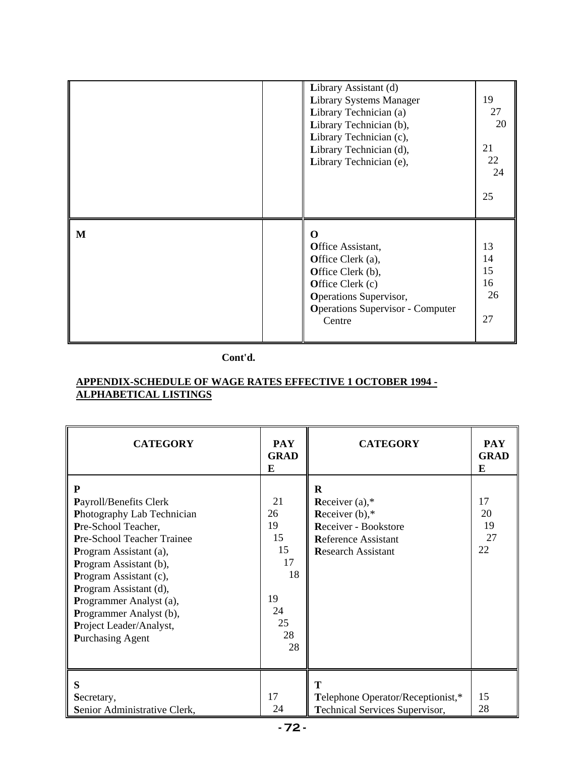|   | Library Assistant (d)<br><b>Library Systems Manager</b><br>Library Technician (a)<br>Library Technician (b),<br>Library Technician (c),<br>Library Technician (d),<br>Library Technician (e), | 19<br>27<br>20<br>21<br>22<br>24<br>25 |
|---|-----------------------------------------------------------------------------------------------------------------------------------------------------------------------------------------------|----------------------------------------|
| M | 0<br>Office Assistant,<br>Office Clerk (a),<br>Office Clerk (b),<br>Office Clerk (c)<br><b>Operations Supervisor,</b><br><b>Operations Supervisor - Computer</b><br>Centre                    | 13<br>14<br>15<br>16<br>26<br>27       |

## **Cont'd.**

## **APPENDIX-SCHEDULE OF WAGE RATES EFFECTIVE 1 OCTOBER 1994 - ALPHABETICAL LISTINGS**

| <b>CATEGORY</b>                                                                                                                                                                                                                                                                                                                    | <b>PAY</b><br><b>GRAD</b><br>E                                       | <b>CATEGORY</b>                                                                                                                      | <b>PAY</b><br><b>GRAD</b><br>E |
|------------------------------------------------------------------------------------------------------------------------------------------------------------------------------------------------------------------------------------------------------------------------------------------------------------------------------------|----------------------------------------------------------------------|--------------------------------------------------------------------------------------------------------------------------------------|--------------------------------|
| P<br>Payroll/Benefits Clerk<br>Photography Lab Technician<br>Pre-School Teacher,<br>Pre-School Teacher Trainee<br>Program Assistant (a),<br>Program Assistant (b),<br>Program Assistant (c),<br>Program Assistant (d),<br>Programmer Analyst (a),<br>Programmer Analyst (b),<br>Project Leader/Analyst,<br><b>Purchasing Agent</b> | 21<br>26<br>19<br>15<br>15<br>17<br>18<br>19<br>24<br>25<br>28<br>28 | $\bf R$<br>Receiver $(a)$ ,*<br>Receiver $(b)$ ,*<br>Receiver - Bookstore<br><b>Reference Assistant</b><br><b>Research Assistant</b> | 17<br>20<br>19<br>27<br>22     |
| S<br>Secretary,<br>Senior Administrative Clerk,                                                                                                                                                                                                                                                                                    | 17<br>24                                                             | T<br>Telephone Operator/Receptionist,*<br><b>Technical Services Supervisor,</b>                                                      | 15<br>28                       |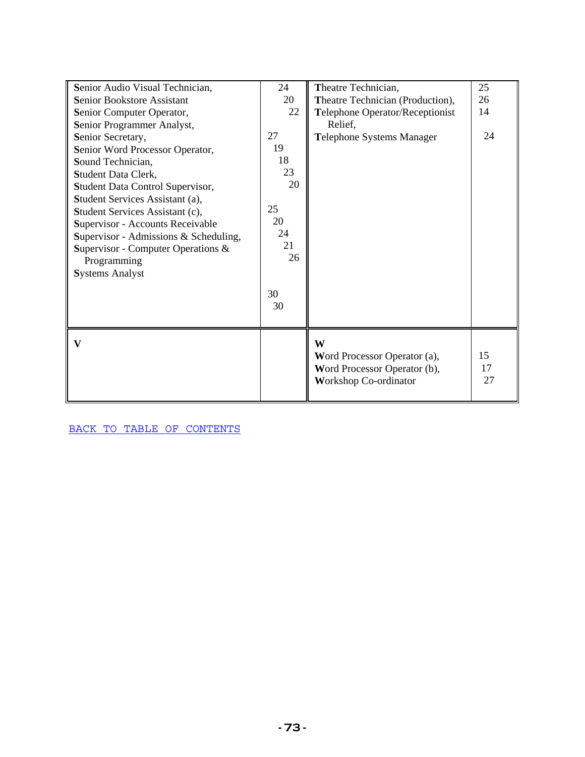| Senior Audio Visual Technician,       | 24       | Theatre Technician,              | 25 |
|---------------------------------------|----------|----------------------------------|----|
| Senior Bookstore Assistant            | 20       | Theatre Technician (Production), | 26 |
| Senior Computer Operator,             | 22       | Telephone Operator/Receptionist  | 14 |
| Senior Programmer Analyst,            |          | Relief,                          |    |
| Senior Secretary,                     | 27       | Telephone Systems Manager        | 24 |
| Senior Word Processor Operator,       | 19       |                                  |    |
| Sound Technician,                     | 18       |                                  |    |
| Student Data Clerk,                   | 23       |                                  |    |
| Student Data Control Supervisor,      | 20       |                                  |    |
| Student Services Assistant (a),       |          |                                  |    |
| Student Services Assistant (c),       | 25       |                                  |    |
| Supervisor - Accounts Receivable      | 20       |                                  |    |
| Supervisor - Admissions & Scheduling, | 24       |                                  |    |
| Supervisor - Computer Operations $\&$ | 21<br>26 |                                  |    |
| Programming                           |          |                                  |    |
| <b>Systems Analyst</b>                |          |                                  |    |
|                                       | 30       |                                  |    |
|                                       | 30       |                                  |    |
|                                       |          |                                  |    |
|                                       |          |                                  |    |
| V                                     |          | W                                |    |
|                                       |          | Word Processor Operator (a),     | 15 |
|                                       |          | Word Processor Operator (b),     | 17 |
|                                       |          | <b>Workshop Co-ordinator</b>     | 27 |
|                                       |          |                                  |    |

BACK TO TABLE OF CONTENTS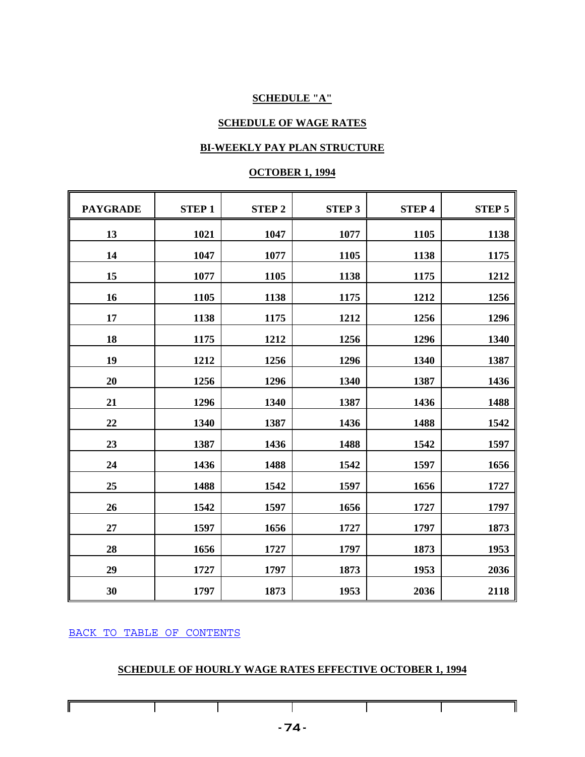# **SCHEDULE "A"**

# **SCHEDULE OF WAGE RATES**

# **BI-WEEKLY PAY PLAN STRUCTURE**

## **OCTOBER 1, 1994**

| <b>PAYGRADE</b> | <b>STEP1</b> | <b>STEP 2</b> | <b>STEP 3</b> | <b>STEP4</b> | <b>STEP 5</b> |
|-----------------|--------------|---------------|---------------|--------------|---------------|
| 13              | 1021         | 1047          | 1077          | 1105         | 1138          |
| 14              | 1047         | 1077          | 1105          | 1138         | 1175          |
| 15              | 1077         | 1105          | 1138          | 1175         | 1212          |
| 16              | 1105         | 1138          | 1175          | 1212         | 1256          |
| 17              | 1138         | 1175          | 1212          | 1256         | 1296          |
| 18              | 1175         | 1212          | 1256          | 1296         | 1340          |
| 19              | 1212         | 1256          | 1296          | 1340         | 1387          |
| 20              | 1256         | 1296          | 1340          | 1387         | 1436          |
| 21              | 1296         | 1340          | 1387          | 1436         | 1488          |
| 22              | 1340         | 1387          | 1436          | 1488         | 1542          |
| 23              | 1387         | 1436          | 1488          | 1542         | 1597          |
| 24              | 1436         | 1488          | 1542          | 1597         | 1656          |
| 25              | 1488         | 1542          | 1597          | 1656         | 1727          |
| 26              | 1542         | 1597          | 1656          | 1727         | 1797          |
| 27              | 1597         | 1656          | 1727          | 1797         | 1873          |
| 28              | 1656         | 1727          | 1797          | 1873         | 1953          |
| 29              | 1727         | 1797          | 1873          | 1953         | 2036          |
| 30              | 1797         | 1873          | 1953          | 2036         | 2118          |

BACK TO TABLE OF CONTENTS

 $\mathbf{I}$ 

 $\mathbf{I}$ 

# **SCHEDULE OF HOURLY WAGE RATES EFFECTIVE OCTOBER 1, 1994**

 $\mathbf{I}$ 

 $\mathbf{I}$ 

 $\mathbf{I}$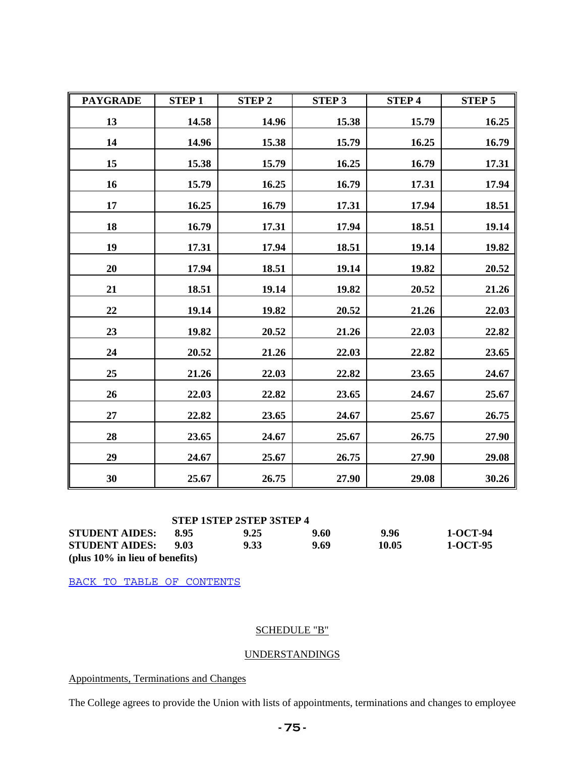| <b>PAYGRADE</b> | <b>STEP1</b> | <b>STEP 2</b> | <b>STEP 3</b> | <b>STEP 4</b> | <b>STEP 5</b> |
|-----------------|--------------|---------------|---------------|---------------|---------------|
| 13              | 14.58        | 14.96         | 15.38         | 15.79         | 16.25         |
| 14              | 14.96        | 15.38         | 15.79         | 16.25         | 16.79         |
| 15              | 15.38        | 15.79         | 16.25         | 16.79         | 17.31         |
| 16              | 15.79        | 16.25         | 16.79         | 17.31         | 17.94         |
| 17              | 16.25        | 16.79         | 17.31         | 17.94         | 18.51         |
| 18              | 16.79        | 17.31         | 17.94         | 18.51         | 19.14         |
| 19              | 17.31        | 17.94         | 18.51         | 19.14         | 19.82         |
| 20              | 17.94        | 18.51         | 19.14         | 19.82         | 20.52         |
| 21              | 18.51        | 19.14         | 19.82         | 20.52         | 21.26         |
| 22              | 19.14        | 19.82         | 20.52         | 21.26         | 22.03         |
| 23              | 19.82        | 20.52         | 21.26         | 22.03         | 22.82         |
| 24              | 20.52        | 21.26         | 22.03         | 22.82         | 23.65         |
| 25              | 21.26        | 22.03         | 22.82         | 23.65         | 24.67         |
| 26              | 22.03        | 22.82         | 23.65         | 24.67         | 25.67         |
| $27\,$          | 22.82        | 23.65         | 24.67         | 25.67         | 26.75         |
| 28              | 23.65        | 24.67         | 25.67         | 26.75         | 27.90         |
| 29              | 24.67        | 25.67         | 26.75         | 27.90         | 29.08         |
| 30              | 25.67        | 26.75         | 27.90         | 29.08         | 30.26         |

|                                   |      | <b>STEP 1STEP 2STEP 3STEP 4</b> |      |       |          |
|-----------------------------------|------|---------------------------------|------|-------|----------|
| <b>STUDENT AIDES:</b>             | 8.95 | 9.25                            | 9.60 | 9.96  | 1-OCT-94 |
| <b>STUDENT AIDES:</b>             | 9.03 | 9.33                            | 9.69 | 10.05 | 1-OCT-95 |
| (plus $10\%$ in lieu of benefits) |      |                                 |      |       |          |

BACK TO TABLE OF CONTENTS

# SCHEDULE "B"

# UNDERSTANDINGS

Appointments, Terminations and Changes

The College agrees to provide the Union with lists of appointments, terminations and changes to employee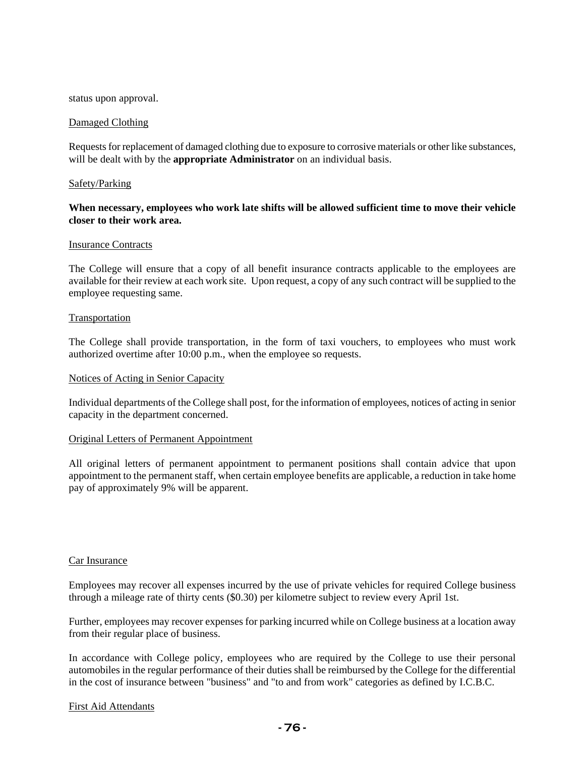#### status upon approval.

### Damaged Clothing

Requests for replacement of damaged clothing due to exposure to corrosive materials or other like substances, will be dealt with by the **appropriate Administrator** on an individual basis.

### Safety/Parking

# **When necessary, employees who work late shifts will be allowed sufficient time to move their vehicle closer to their work area.**

#### Insurance Contracts

The College will ensure that a copy of all benefit insurance contracts applicable to the employees are available for their review at each work site. Upon request, a copy of any such contract will be supplied to the employee requesting same.

### Transportation

The College shall provide transportation, in the form of taxi vouchers, to employees who must work authorized overtime after 10:00 p.m., when the employee so requests.

#### Notices of Acting in Senior Capacity

Individual departments of the College shall post, for the information of employees, notices of acting in senior capacity in the department concerned.

#### Original Letters of Permanent Appointment

All original letters of permanent appointment to permanent positions shall contain advice that upon appointment to the permanent staff, when certain employee benefits are applicable, a reduction in take home pay of approximately 9% will be apparent.

#### Car Insurance

Employees may recover all expenses incurred by the use of private vehicles for required College business through a mileage rate of thirty cents (\$0.30) per kilometre subject to review every April 1st.

Further, employees may recover expenses for parking incurred while on College business at a location away from their regular place of business.

In accordance with College policy, employees who are required by the College to use their personal automobiles in the regular performance of their duties shall be reimbursed by the College for the differential in the cost of insurance between "business" and "to and from work" categories as defined by I.C.B.C.

#### First Aid Attendants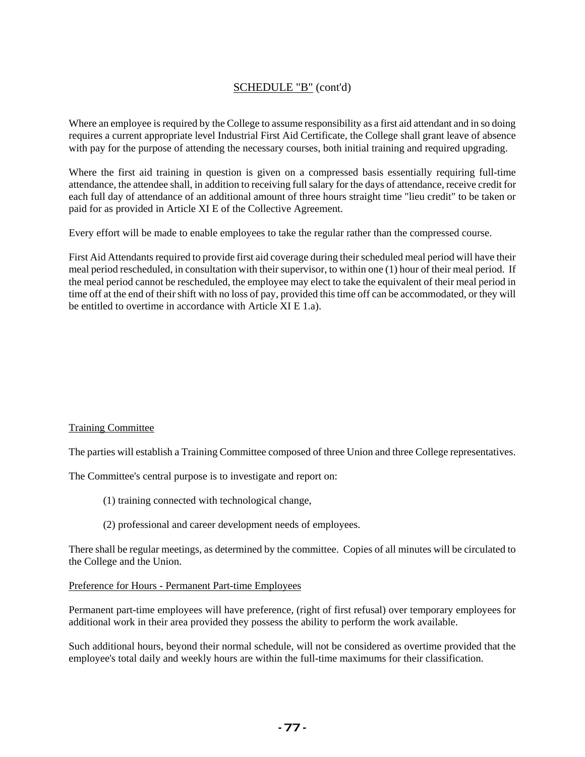# SCHEDULE "B" (cont'd)

Where an employee is required by the College to assume responsibility as a first aid attendant and in so doing requires a current appropriate level Industrial First Aid Certificate, the College shall grant leave of absence with pay for the purpose of attending the necessary courses, both initial training and required upgrading.

Where the first aid training in question is given on a compressed basis essentially requiring full-time attendance, the attendee shall, in addition to receiving full salary for the days of attendance, receive credit for each full day of attendance of an additional amount of three hours straight time "lieu credit" to be taken or paid for as provided in Article XI E of the Collective Agreement.

Every effort will be made to enable employees to take the regular rather than the compressed course.

First Aid Attendants required to provide first aid coverage during their scheduled meal period will have their meal period rescheduled, in consultation with their supervisor, to within one (1) hour of their meal period. If the meal period cannot be rescheduled, the employee may elect to take the equivalent of their meal period in time off at the end of their shift with no loss of pay, provided this time off can be accommodated, or they will be entitled to overtime in accordance with Article XI E 1.a).

## Training Committee

The parties will establish a Training Committee composed of three Union and three College representatives.

The Committee's central purpose is to investigate and report on:

- (1) training connected with technological change,
- (2) professional and career development needs of employees.

There shall be regular meetings, as determined by the committee. Copies of all minutes will be circulated to the College and the Union.

## Preference for Hours - Permanent Part-time Employees

Permanent part-time employees will have preference, (right of first refusal) over temporary employees for additional work in their area provided they possess the ability to perform the work available.

Such additional hours, beyond their normal schedule, will not be considered as overtime provided that the employee's total daily and weekly hours are within the full-time maximums for their classification.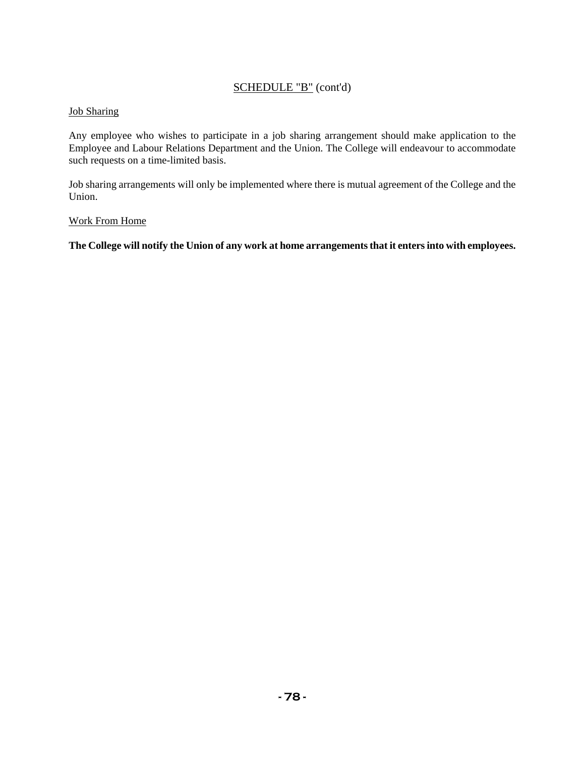# SCHEDULE "B" (cont'd)

# Job Sharing

Any employee who wishes to participate in a job sharing arrangement should make application to the Employee and Labour Relations Department and the Union. The College will endeavour to accommodate such requests on a time-limited basis.

Job sharing arrangements will only be implemented where there is mutual agreement of the College and the Union.

# Work From Home

**The College will notify the Union of any work at home arrangements that it enters into with employees.**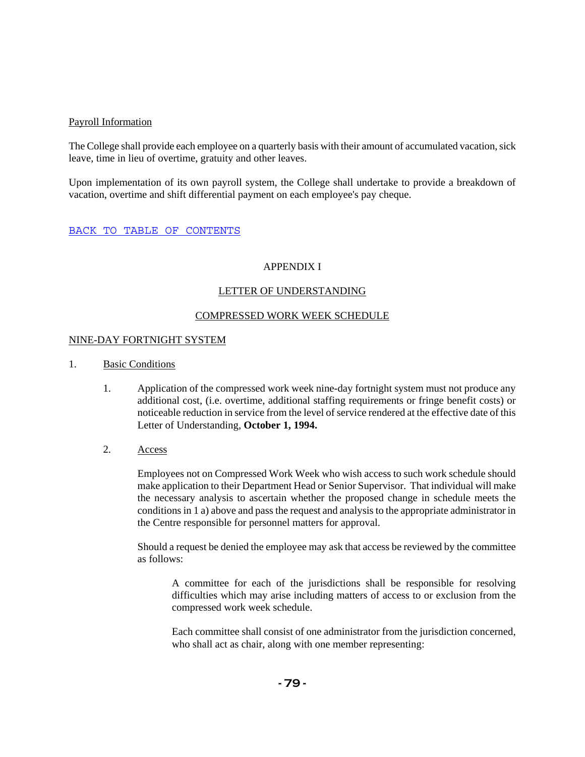### Payroll Information

The College shall provide each employee on a quarterly basis with their amount of accumulated vacation, sick leave, time in lieu of overtime, gratuity and other leaves.

Upon implementation of its own payroll system, the College shall undertake to provide a breakdown of vacation, overtime and shift differential payment on each employee's pay cheque.

### BACK TO TABLE OF CONTENTS

### APPENDIX I

### LETTER OF UNDERSTANDING

### COMPRESSED WORK WEEK SCHEDULE

#### NINE-DAY FORTNIGHT SYSTEM

- 1. Basic Conditions
	- 1. Application of the compressed work week nine-day fortnight system must not produce any additional cost, (i.e. overtime, additional staffing requirements or fringe benefit costs) or noticeable reduction in service from the level of service rendered at the effective date of this Letter of Understanding, **October 1, 1994.**
	- 2. Access

Employees not on Compressed Work Week who wish access to such work schedule should make application to their Department Head or Senior Supervisor. That individual will make the necessary analysis to ascertain whether the proposed change in schedule meets the conditions in 1 a) above and pass the request and analysis to the appropriate administrator in the Centre responsible for personnel matters for approval.

Should a request be denied the employee may ask that access be reviewed by the committee as follows:

A committee for each of the jurisdictions shall be responsible for resolving difficulties which may arise including matters of access to or exclusion from the compressed work week schedule.

Each committee shall consist of one administrator from the jurisdiction concerned, who shall act as chair, along with one member representing: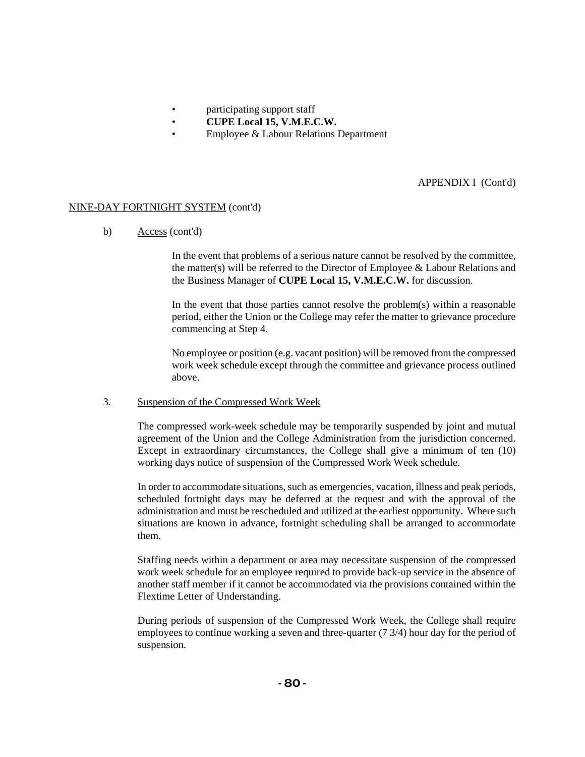- participating support staff
- **CUPE Local 15, V.M.E.C.W.**
- Employee & Labour Relations Department

APPENDIX I (Cont'd)

# NINE-DAY FORTNIGHT SYSTEM (cont'd)

b) Access (cont'd)

In the event that problems of a serious nature cannot be resolved by the committee, the matter(s) will be referred to the Director of Employee & Labour Relations and the Business Manager of **CUPE Local 15, V.M.E.C.W.** for discussion.

In the event that those parties cannot resolve the problem(s) within a reasonable period, either the Union or the College may refer the matter to grievance procedure commencing at Step 4.

No employee or position (e.g. vacant position) will be removed from the compressed work week schedule except through the committee and grievance process outlined above.

## 3. Suspension of the Compressed Work Week

The compressed work-week schedule may be temporarily suspended by joint and mutual agreement of the Union and the College Administration from the jurisdiction concerned. Except in extraordinary circumstances, the College shall give a minimum of ten (10) working days notice of suspension of the Compressed Work Week schedule.

In order to accommodate situations, such as emergencies, vacation, illness and peak periods, scheduled fortnight days may be deferred at the request and with the approval of the administration and must be rescheduled and utilized at the earliest opportunity. Where such situations are known in advance, fortnight scheduling shall be arranged to accommodate them.

Staffing needs within a department or area may necessitate suspension of the compressed work week schedule for an employee required to provide back-up service in the absence of another staff member if it cannot be accommodated via the provisions contained within the Flextime Letter of Understanding.

During periods of suspension of the Compressed Work Week, the College shall require employees to continue working a seven and three-quarter (7 3/4) hour day for the period of suspension.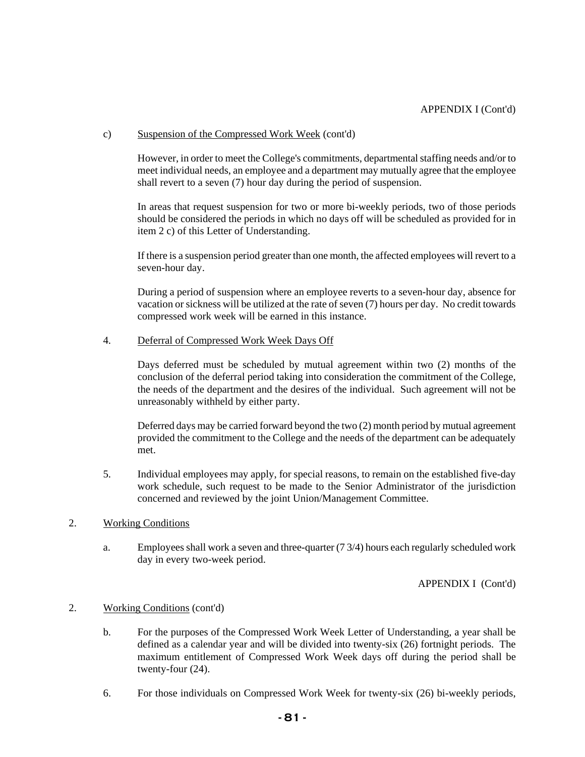### c) Suspension of the Compressed Work Week (cont'd)

However, in order to meet the College's commitments, departmental staffing needs and/or to meet individual needs, an employee and a department may mutually agree that the employee shall revert to a seven (7) hour day during the period of suspension.

In areas that request suspension for two or more bi-weekly periods, two of those periods should be considered the periods in which no days off will be scheduled as provided for in item 2 c) of this Letter of Understanding.

If there is a suspension period greater than one month, the affected employees will revert to a seven-hour day.

During a period of suspension where an employee reverts to a seven-hour day, absence for vacation or sickness will be utilized at the rate of seven (7) hours per day. No credit towards compressed work week will be earned in this instance.

### 4. Deferral of Compressed Work Week Days Off

Days deferred must be scheduled by mutual agreement within two (2) months of the conclusion of the deferral period taking into consideration the commitment of the College, the needs of the department and the desires of the individual. Such agreement will not be unreasonably withheld by either party.

Deferred days may be carried forward beyond the two (2) month period by mutual agreement provided the commitment to the College and the needs of the department can be adequately met.

5. Individual employees may apply, for special reasons, to remain on the established five-day work schedule, such request to be made to the Senior Administrator of the jurisdiction concerned and reviewed by the joint Union/Management Committee.

#### 2. Working Conditions

a. Employees shall work a seven and three-quarter (7 3/4) hours each regularly scheduled work day in every two-week period.

APPENDIX I (Cont'd)

## 2. Working Conditions (cont'd)

- b. For the purposes of the Compressed Work Week Letter of Understanding, a year shall be defined as a calendar year and will be divided into twenty-six (26) fortnight periods. The maximum entitlement of Compressed Work Week days off during the period shall be twenty-four (24).
- 6. For those individuals on Compressed Work Week for twenty-six (26) bi-weekly periods,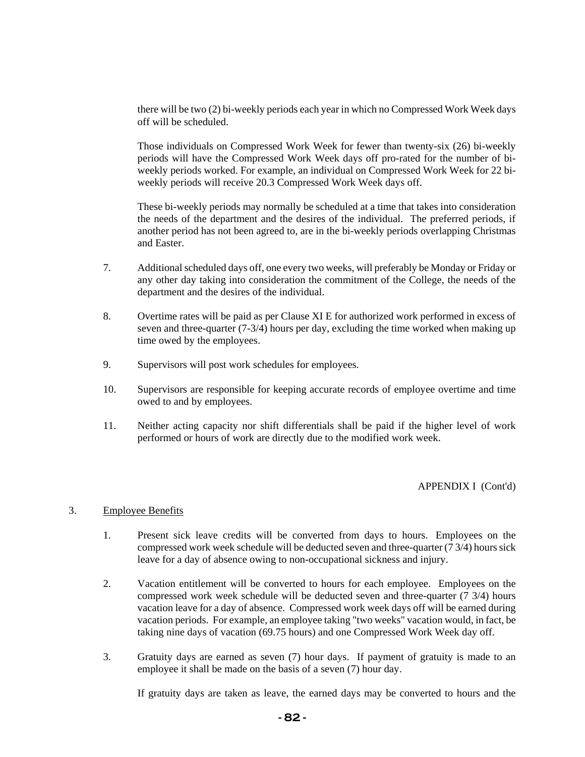there will be two (2) bi-weekly periods each year in which no Compressed Work Week days off will be scheduled.

Those individuals on Compressed Work Week for fewer than twenty-six (26) bi-weekly periods will have the Compressed Work Week days off pro-rated for the number of biweekly periods worked. For example, an individual on Compressed Work Week for 22 biweekly periods will receive 20.3 Compressed Work Week days off.

These bi-weekly periods may normally be scheduled at a time that takes into consideration the needs of the department and the desires of the individual. The preferred periods, if another period has not been agreed to, are in the bi-weekly periods overlapping Christmas and Easter.

- 7. Additional scheduled days off, one every two weeks, will preferably be Monday or Friday or any other day taking into consideration the commitment of the College, the needs of the department and the desires of the individual.
- 8. Overtime rates will be paid as per Clause XI E for authorized work performed in excess of seven and three-quarter  $(7-3/4)$  hours per day, excluding the time worked when making up time owed by the employees.
- 9. Supervisors will post work schedules for employees.
- 10. Supervisors are responsible for keeping accurate records of employee overtime and time owed to and by employees.
- 11. Neither acting capacity nor shift differentials shall be paid if the higher level of work performed or hours of work are directly due to the modified work week.

## APPENDIX I (Cont'd)

## 3. Employee Benefits

- 1. Present sick leave credits will be converted from days to hours. Employees on the compressed work week schedule will be deducted seven and three-quarter (7 3/4) hours sick leave for a day of absence owing to non-occupational sickness and injury.
- 2. Vacation entitlement will be converted to hours for each employee. Employees on the compressed work week schedule will be deducted seven and three-quarter (7 3/4) hours vacation leave for a day of absence. Compressed work week days off will be earned during vacation periods. For example, an employee taking "two weeks" vacation would, in fact, be taking nine days of vacation (69.75 hours) and one Compressed Work Week day off.
- 3. Gratuity days are earned as seven (7) hour days. If payment of gratuity is made to an employee it shall be made on the basis of a seven (7) hour day.

If gratuity days are taken as leave, the earned days may be converted to hours and the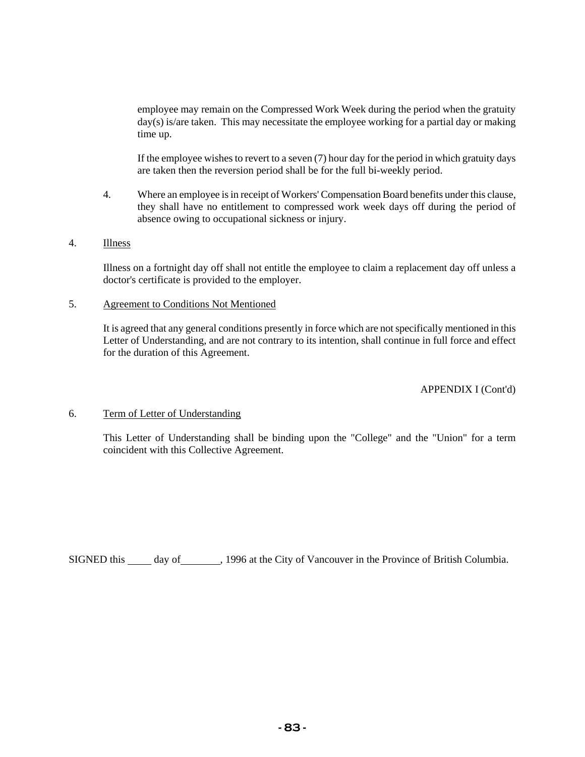employee may remain on the Compressed Work Week during the period when the gratuity day(s) is/are taken. This may necessitate the employee working for a partial day or making time up.

If the employee wishes to revert to a seven (7) hour day for the period in which gratuity days are taken then the reversion period shall be for the full bi-weekly period.

4. Where an employee is in receipt of Workers' Compensation Board benefits under this clause, they shall have no entitlement to compressed work week days off during the period of absence owing to occupational sickness or injury.

### 4. Illness

Illness on a fortnight day off shall not entitle the employee to claim a replacement day off unless a doctor's certificate is provided to the employer.

#### 5. Agreement to Conditions Not Mentioned

It is agreed that any general conditions presently in force which are not specifically mentioned in this Letter of Understanding, and are not contrary to its intention, shall continue in full force and effect for the duration of this Agreement.

APPENDIX I (Cont'd)

## 6. Term of Letter of Understanding

This Letter of Understanding shall be binding upon the "College" and the "Union" for a term coincident with this Collective Agreement.

SIGNED this \_\_\_\_\_ day of \_\_\_\_\_\_\_, 1996 at the City of Vancouver in the Province of British Columbia.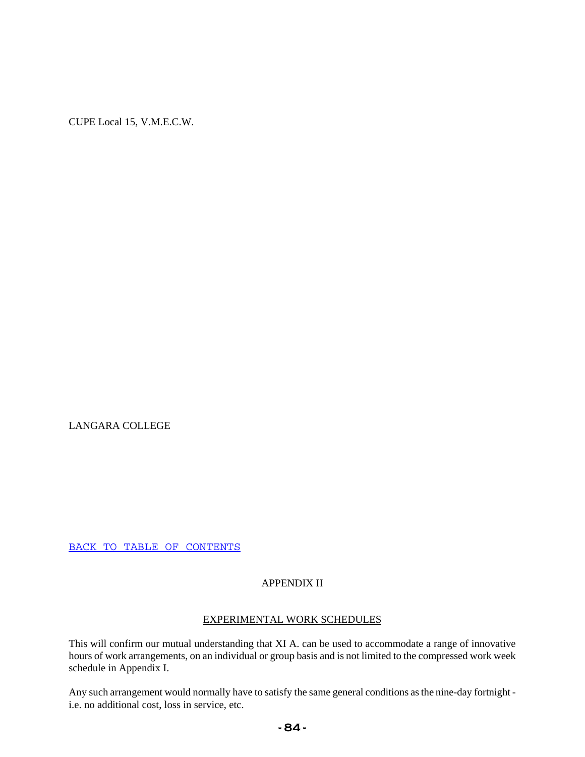LANGARA COLLEGE

BACK TO TABLE OF CONTENTS

## APPENDIX II

### EXPERIMENTAL WORK SCHEDULES

This will confirm our mutual understanding that XI A. can be used to accommodate a range of innovative hours of work arrangements, on an individual or group basis and is not limited to the compressed work week schedule in Appendix I.

Any such arrangement would normally have to satisfy the same general conditions as the nine-day fortnight i.e. no additional cost, loss in service, etc.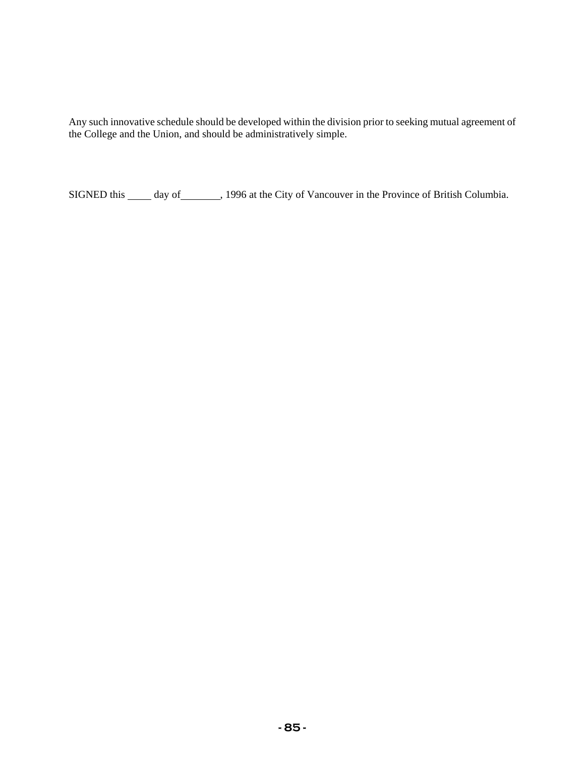Any such innovative schedule should be developed within the division prior to seeking mutual agreement of the College and the Union, and should be administratively simple.

SIGNED this \_\_\_\_\_ day of \_\_\_\_\_\_\_, 1996 at the City of Vancouver in the Province of British Columbia.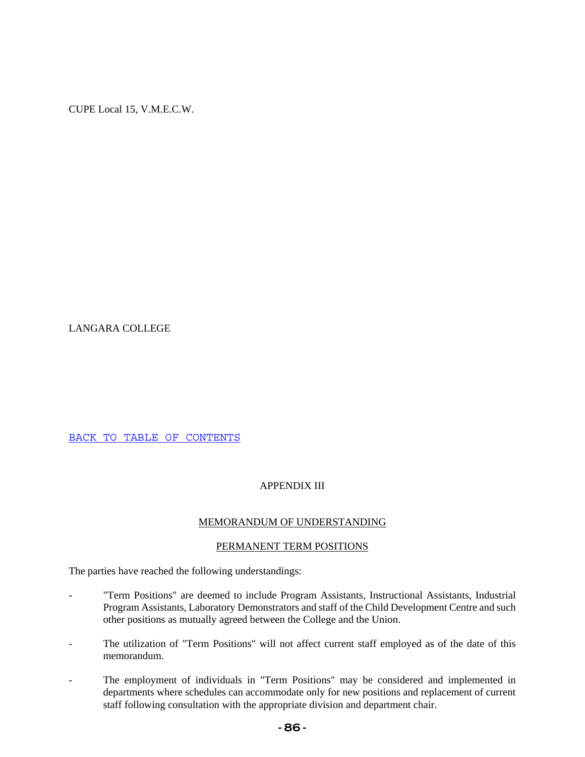LANGARA COLLEGE

BACK TO TABLE OF CONTENTS

## APPENDIX III

## MEMORANDUM OF UNDERSTANDING

## PERMANENT TERM POSITIONS

The parties have reached the following understandings:

- "Term Positions" are deemed to include Program Assistants, Instructional Assistants, Industrial Program Assistants, Laboratory Demonstrators and staff of the Child Development Centre and such other positions as mutually agreed between the College and the Union.
- The utilization of "Term Positions" will not affect current staff employed as of the date of this memorandum.
- The employment of individuals in "Term Positions" may be considered and implemented in departments where schedules can accommodate only for new positions and replacement of current staff following consultation with the appropriate division and department chair.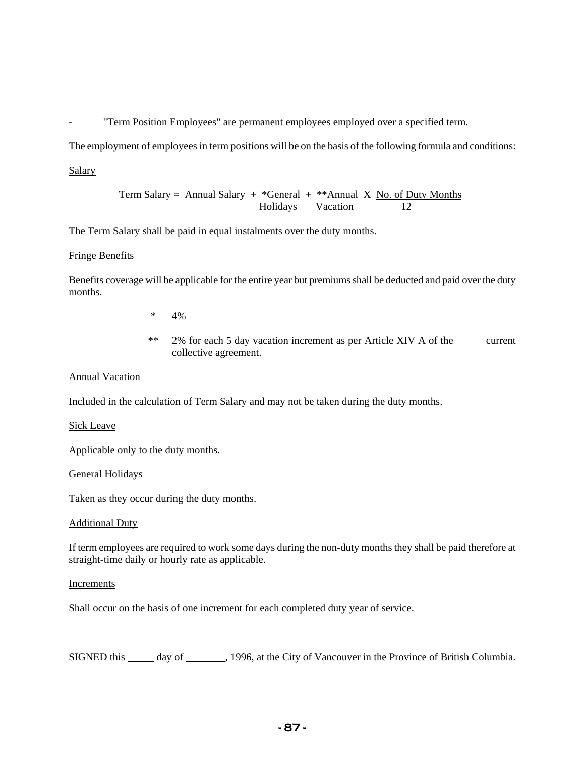"Term Position Employees" are permanent employees employed over a specified term.

The employment of employees in term positions will be on the basis of the following formula and conditions:

### Salary

Term Salary = Annual Salary + 
$$
*
$$
 General +  $**$  Annual X No. of Duty Months

\nHolidays

\nVacation

\n12

The Term Salary shall be paid in equal instalments over the duty months.

### Fringe Benefits

Benefits coverage will be applicable for the entire year but premiums shall be deducted and paid over the duty months.

- \* 4%
- \*\* 2% for each 5 day vacation increment as per Article XIV A of the current collective agreement.

### Annual Vacation

Included in the calculation of Term Salary and may not be taken during the duty months.

#### Sick Leave

Applicable only to the duty months.

#### General Holidays

Taken as they occur during the duty months.

#### Additional Duty

If term employees are required to work some days during the non-duty months they shall be paid therefore at straight-time daily or hourly rate as applicable.

#### **Increments**

Shall occur on the basis of one increment for each completed duty year of service.

SIGNED this \_\_\_\_\_ day of \_\_\_\_\_\_\_, 1996, at the City of Vancouver in the Province of British Columbia.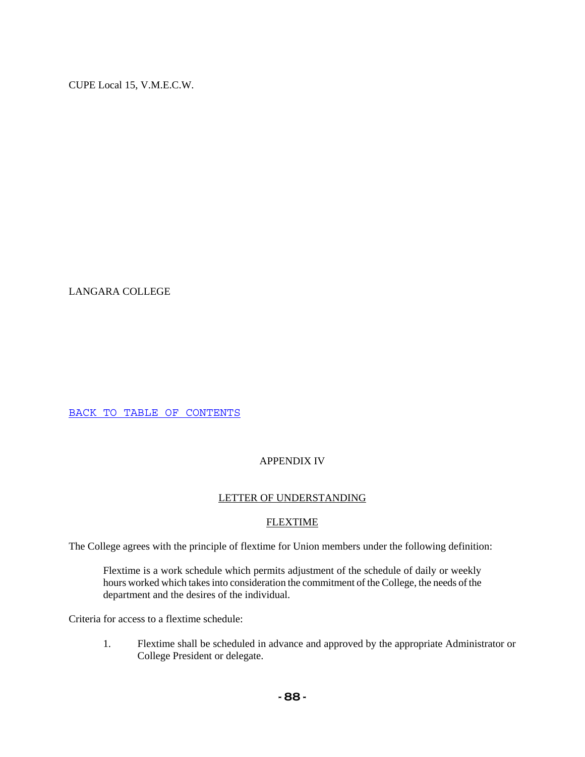LANGARA COLLEGE

BACK TO TABLE OF CONTENTS

# APPENDIX IV

# LETTER OF UNDERSTANDING

# **FLEXTIME**

The College agrees with the principle of flextime for Union members under the following definition:

Flextime is a work schedule which permits adjustment of the schedule of daily or weekly hours worked which takes into consideration the commitment of the College, the needs of the department and the desires of the individual.

Criteria for access to a flextime schedule:

1. Flextime shall be scheduled in advance and approved by the appropriate Administrator or College President or delegate.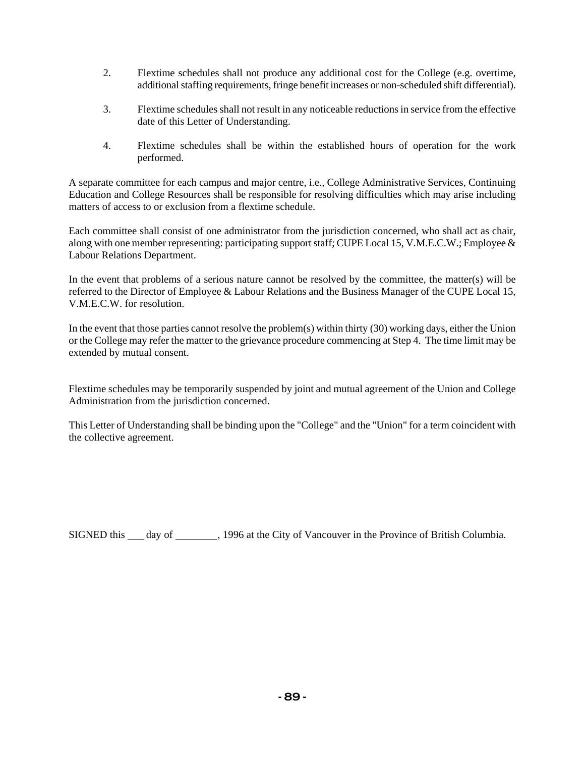- 2. Flextime schedules shall not produce any additional cost for the College (e.g. overtime, additional staffing requirements, fringe benefit increases or non-scheduled shift differential).
- 3. Flextime schedules shall not result in any noticeable reductions in service from the effective date of this Letter of Understanding.
- 4. Flextime schedules shall be within the established hours of operation for the work performed.

A separate committee for each campus and major centre, i.e., College Administrative Services, Continuing Education and College Resources shall be responsible for resolving difficulties which may arise including matters of access to or exclusion from a flextime schedule.

Each committee shall consist of one administrator from the jurisdiction concerned, who shall act as chair, along with one member representing: participating support staff; CUPE Local 15, V.M.E.C.W.; Employee & Labour Relations Department.

In the event that problems of a serious nature cannot be resolved by the committee, the matter(s) will be referred to the Director of Employee & Labour Relations and the Business Manager of the CUPE Local 15, V.M.E.C.W. for resolution.

In the event that those parties cannot resolve the problem(s) within thirty (30) working days, either the Union or the College may refer the matter to the grievance procedure commencing at Step 4. The time limit may be extended by mutual consent.

Flextime schedules may be temporarily suspended by joint and mutual agreement of the Union and College Administration from the jurisdiction concerned.

This Letter of Understanding shall be binding upon the "College" and the "Union" for a term coincident with the collective agreement.

SIGNED this day of 1996 at the City of Vancouver in the Province of British Columbia.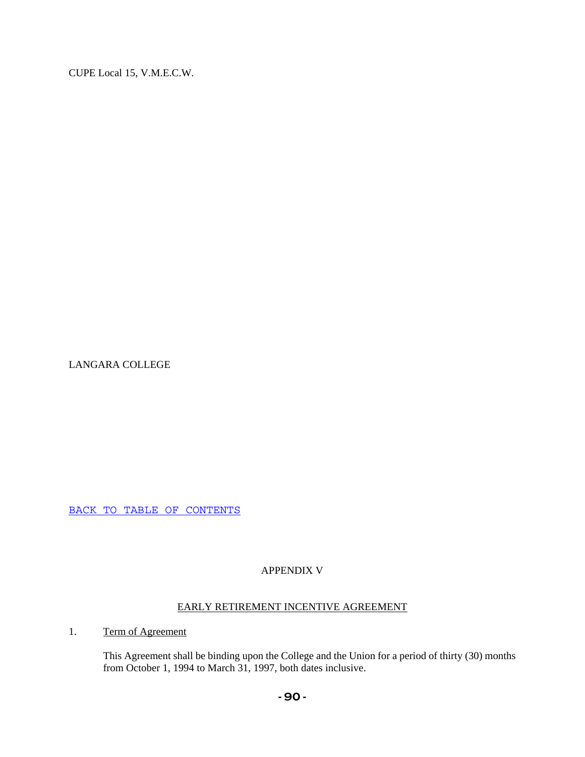LANGARA COLLEGE

BACK TO TABLE OF CONTENTS

# APPENDIX V

# EARLY RETIREMENT INCENTIVE AGREEMENT

# 1. Term of Agreement

This Agreement shall be binding upon the College and the Union for a period of thirty (30) months from October 1, 1994 to March 31, 1997, both dates inclusive.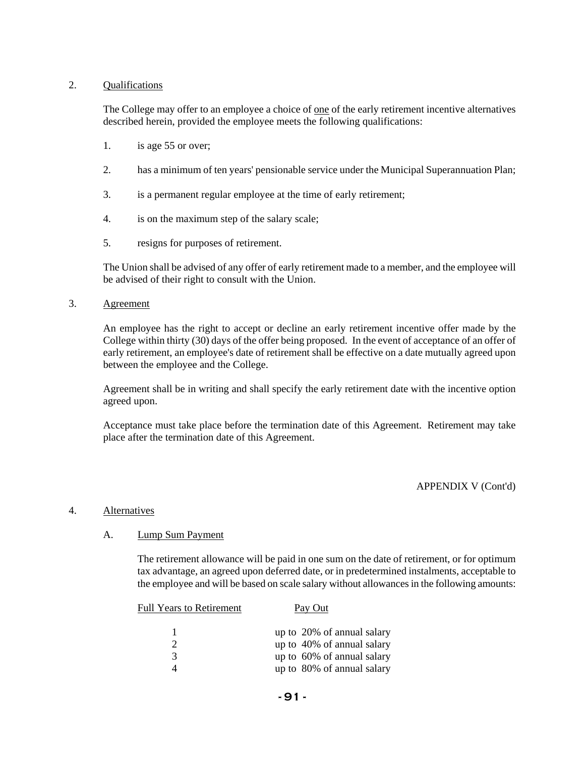## 2. Qualifications

The College may offer to an employee a choice of one of the early retirement incentive alternatives described herein, provided the employee meets the following qualifications:

- 1. is age 55 or over;
- 2. has a minimum of ten years' pensionable service under the Municipal Superannuation Plan;
- 3. is a permanent regular employee at the time of early retirement;
- 4. is on the maximum step of the salary scale;
- 5. resigns for purposes of retirement.

The Union shall be advised of any offer of early retirement made to a member, and the employee will be advised of their right to consult with the Union.

#### 3. Agreement

An employee has the right to accept or decline an early retirement incentive offer made by the College within thirty (30) days of the offer being proposed. In the event of acceptance of an offer of early retirement, an employee's date of retirement shall be effective on a date mutually agreed upon between the employee and the College.

Agreement shall be in writing and shall specify the early retirement date with the incentive option agreed upon.

Acceptance must take place before the termination date of this Agreement. Retirement may take place after the termination date of this Agreement.

APPENDIX V (Cont'd)

#### 4. Alternatives

#### A. Lump Sum Payment

The retirement allowance will be paid in one sum on the date of retirement, or for optimum tax advantage, an agreed upon deferred date, or in predetermined instalments, acceptable to the employee and will be based on scale salary without allowances in the following amounts:

| <b>Full Years to Retirement</b> | Pay Out                    |
|---------------------------------|----------------------------|
|                                 | up to 20% of annual salary |
| $\mathcal{D}$                   | up to 40% of annual salary |
| 3                               | up to 60% of annual salary |
|                                 | up to 80% of annual salary |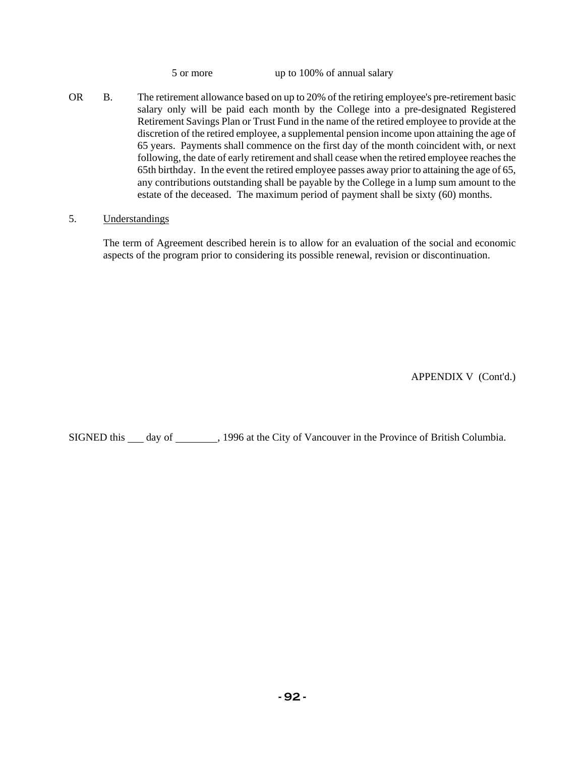5 or more up to 100% of annual salary

OR B. The retirement allowance based on up to 20% of the retiring employee's pre-retirement basic salary only will be paid each month by the College into a pre-designated Registered Retirement Savings Plan or Trust Fund in the name of the retired employee to provide at the discretion of the retired employee, a supplemental pension income upon attaining the age of 65 years. Payments shall commence on the first day of the month coincident with, or next following, the date of early retirement and shall cease when the retired employee reaches the 65th birthday. In the event the retired employee passes away prior to attaining the age of 65, any contributions outstanding shall be payable by the College in a lump sum amount to the estate of the deceased. The maximum period of payment shall be sixty (60) months.

## 5. Understandings

The term of Agreement described herein is to allow for an evaluation of the social and economic aspects of the program prior to considering its possible renewal, revision or discontinuation.

APPENDIX V (Cont'd.)

SIGNED this day of 1996 at the City of Vancouver in the Province of British Columbia.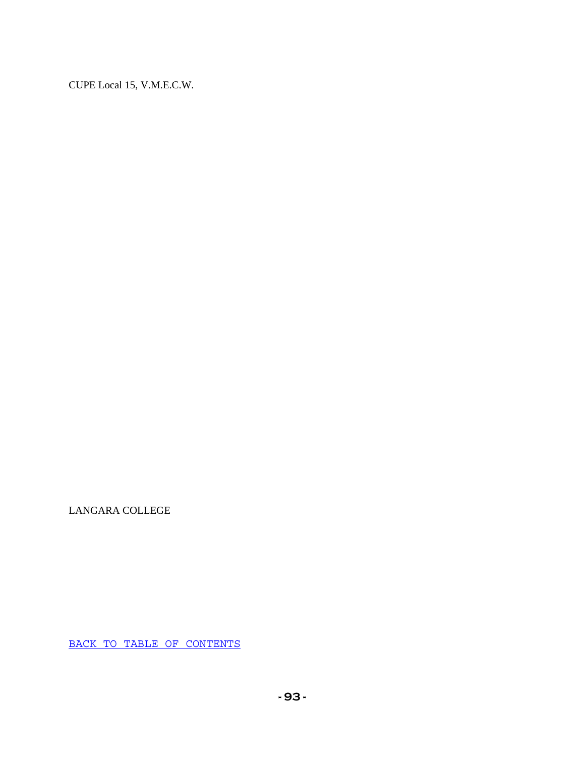LANGARA COLLEGE

BACK TO TABLE OF CONTENTS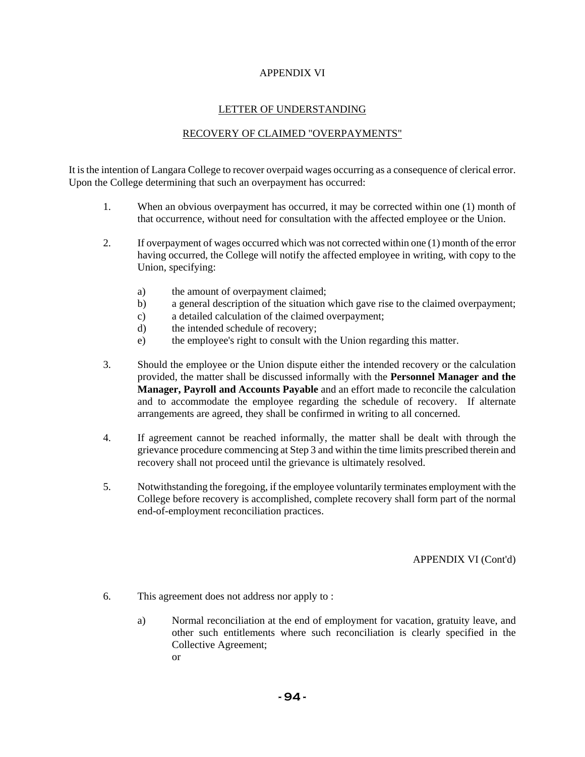## APPENDIX VI

# LETTER OF UNDERSTANDING

# RECOVERY OF CLAIMED "OVERPAYMENTS"

It is the intention of Langara College to recover overpaid wages occurring as a consequence of clerical error. Upon the College determining that such an overpayment has occurred:

- 1. When an obvious overpayment has occurred, it may be corrected within one (1) month of that occurrence, without need for consultation with the affected employee or the Union.
- 2. If overpayment of wages occurred which was not corrected within one (1) month of the error having occurred, the College will notify the affected employee in writing, with copy to the Union, specifying:
	- a) the amount of overpayment claimed;
	- b) a general description of the situation which gave rise to the claimed overpayment;
	- c) a detailed calculation of the claimed overpayment;
	- d) the intended schedule of recovery;
	- e) the employee's right to consult with the Union regarding this matter.
- 3. Should the employee or the Union dispute either the intended recovery or the calculation provided, the matter shall be discussed informally with the **Personnel Manager and the Manager, Payroll and Accounts Payable** and an effort made to reconcile the calculation and to accommodate the employee regarding the schedule of recovery. If alternate arrangements are agreed, they shall be confirmed in writing to all concerned.
- 4. If agreement cannot be reached informally, the matter shall be dealt with through the grievance procedure commencing at Step 3 and within the time limits prescribed therein and recovery shall not proceed until the grievance is ultimately resolved.
- 5. Notwithstanding the foregoing, if the employee voluntarily terminates employment with the College before recovery is accomplished, complete recovery shall form part of the normal end-of-employment reconciliation practices.

## APPENDIX VI (Cont'd)

- 6. This agreement does not address nor apply to :
	- a) Normal reconciliation at the end of employment for vacation, gratuity leave, and other such entitlements where such reconciliation is clearly specified in the Collective Agreement; or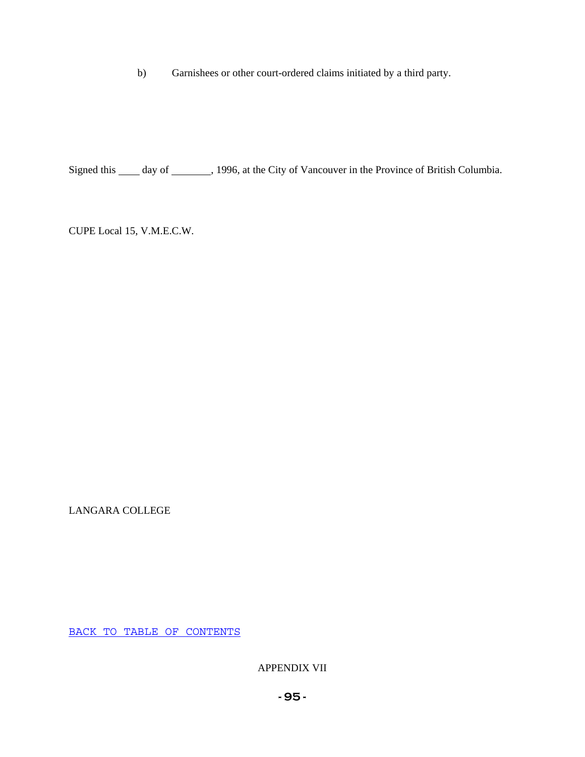b) Garnishees or other court-ordered claims initiated by a third party.

Signed this \_\_\_\_\_ day of \_\_\_\_\_\_\_, 1996, at the City of Vancouver in the Province of British Columbia.

CUPE Local 15, V.M.E.C.W.

LANGARA COLLEGE

BACK TO TABLE OF CONTENTS

APPENDIX VII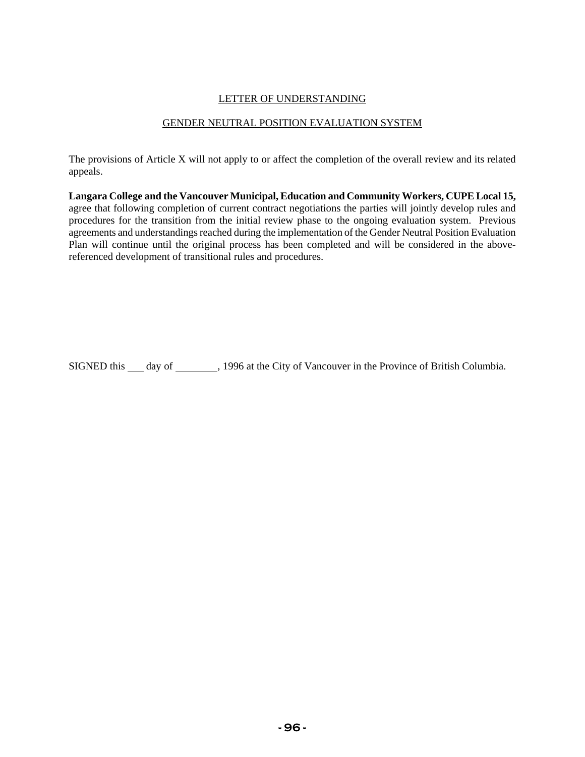### LETTER OF UNDERSTANDING

### GENDER NEUTRAL POSITION EVALUATION SYSTEM

The provisions of Article X will not apply to or affect the completion of the overall review and its related appeals.

**Langara College and the Vancouver Municipal, Education and Community Workers, CUPE Local 15,** agree that following completion of current contract negotiations the parties will jointly develop rules and procedures for the transition from the initial review phase to the ongoing evaluation system. Previous agreements and understandings reached during the implementation of the Gender Neutral Position Evaluation Plan will continue until the original process has been completed and will be considered in the abovereferenced development of transitional rules and procedures.

SIGNED this \_\_\_ day of \_\_\_\_\_\_\_\_, 1996 at the City of Vancouver in the Province of British Columbia.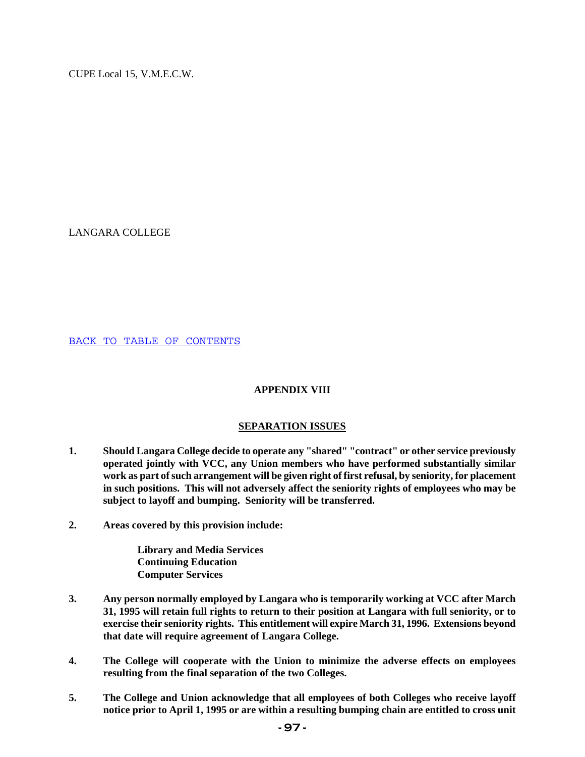LANGARA COLLEGE

BACK TO TABLE OF CONTENTS

## **APPENDIX VIII**

## **SEPARATION ISSUES**

- **1. Should Langara College decide to operate any "shared" "contract" or other service previously operated jointly with VCC, any Union members who have performed substantially similar work as part of such arrangement will be given right of first refusal, by seniority, for placement in such positions. This will not adversely affect the seniority rights of employees who may be subject to layoff and bumping. Seniority will be transferred.**
- **2. Areas covered by this provision include:**

**Library and Media Services Continuing Education Computer Services** 

- **3. Any person normally employed by Langara who is temporarily working at VCC after March 31, 1995 will retain full rights to return to their position at Langara with full seniority, or to exercise their seniority rights. This entitlement will expire March 31, 1996. Extensions beyond that date will require agreement of Langara College.**
- **4. The College will cooperate with the Union to minimize the adverse effects on employees resulting from the final separation of the two Colleges.**
- **5. The College and Union acknowledge that all employees of both Colleges who receive layoff notice prior to April 1, 1995 or are within a resulting bumping chain are entitled to cross unit**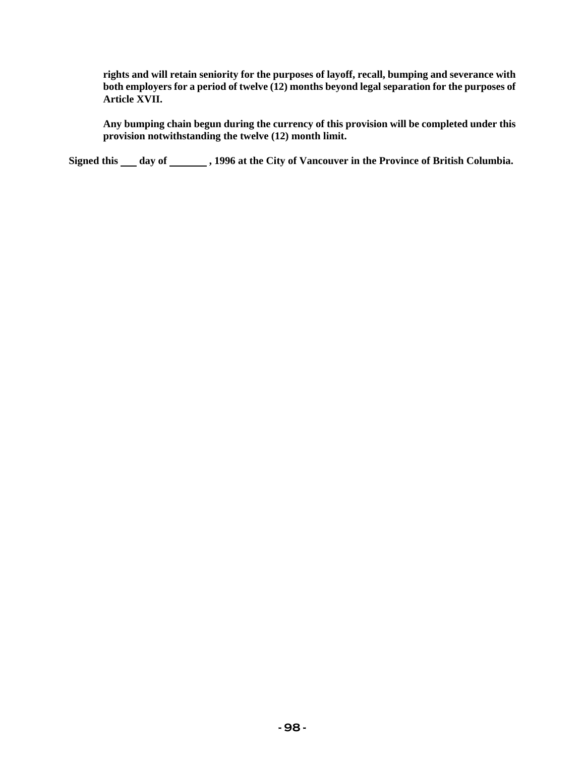**rights and will retain seniority for the purposes of layoff, recall, bumping and severance with both employers for a period of twelve (12) months beyond legal separation for the purposes of Article XVII.** 

**Any bumping chain begun during the currency of this provision will be completed under this provision notwithstanding the twelve (12) month limit.** 

Signed this \_\_\_ day of \_\_\_\_\_\_\_, 1996 at the City of Vancouver in the Province of British Columbia.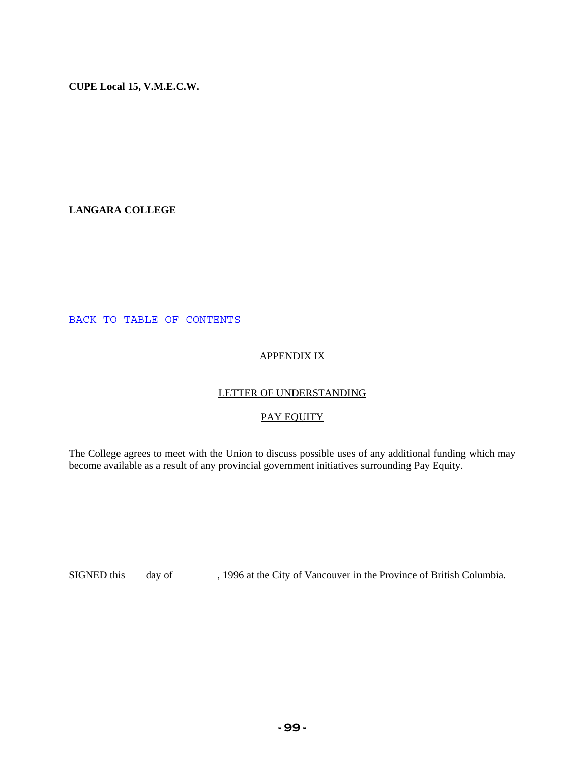**LANGARA COLLEGE** 

BACK TO TABLE OF CONTENTS

# APPENDIX IX

# LETTER OF UNDERSTANDING

# PAY EQUITY

The College agrees to meet with the Union to discuss possible uses of any additional funding which may become available as a result of any provincial government initiatives surrounding Pay Equity.

SIGNED this \_\_\_ day of \_\_\_\_\_\_\_\_, 1996 at the City of Vancouver in the Province of British Columbia.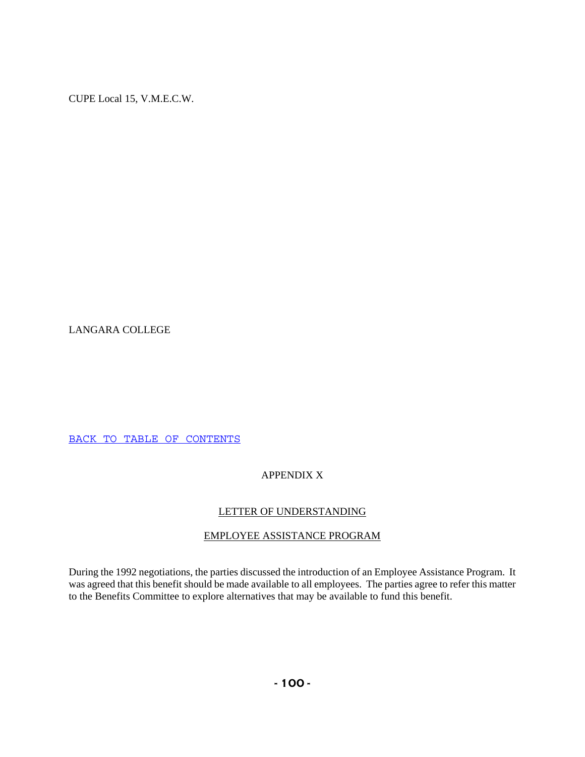LANGARA COLLEGE

BACK TO TABLE OF CONTENTS

# APPENDIX X

# LETTER OF UNDERSTANDING

# EMPLOYEE ASSISTANCE PROGRAM

During the 1992 negotiations, the parties discussed the introduction of an Employee Assistance Program. It was agreed that this benefit should be made available to all employees. The parties agree to refer this matter to the Benefits Committee to explore alternatives that may be available to fund this benefit.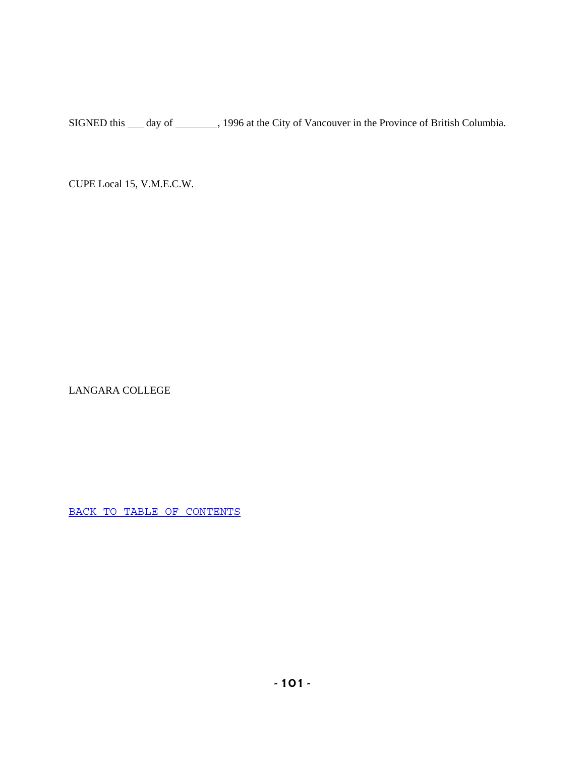SIGNED this \_\_\_ day of \_\_\_\_\_\_\_, 1996 at the City of Vancouver in the Province of British Columbia.

CUPE Local 15, V.M.E.C.W.

LANGARA COLLEGE

BACK TO TABLE OF CONTENTS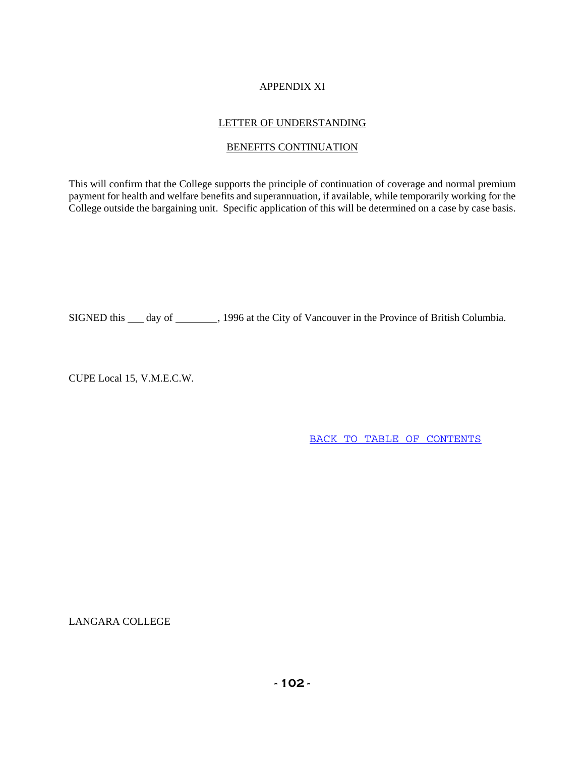# APPENDIX XI

# LETTER OF UNDERSTANDING

# BENEFITS CONTINUATION

This will confirm that the College supports the principle of continuation of coverage and normal premium payment for health and welfare benefits and superannuation, if available, while temporarily working for the College outside the bargaining unit. Specific application of this will be determined on a case by case basis.

SIGNED this \_\_\_ day of \_\_\_\_\_\_\_\_, 1996 at the City of Vancouver in the Province of British Columbia.

CUPE Local 15, V.M.E.C.W.

BACK TO TABLE OF CONTENTS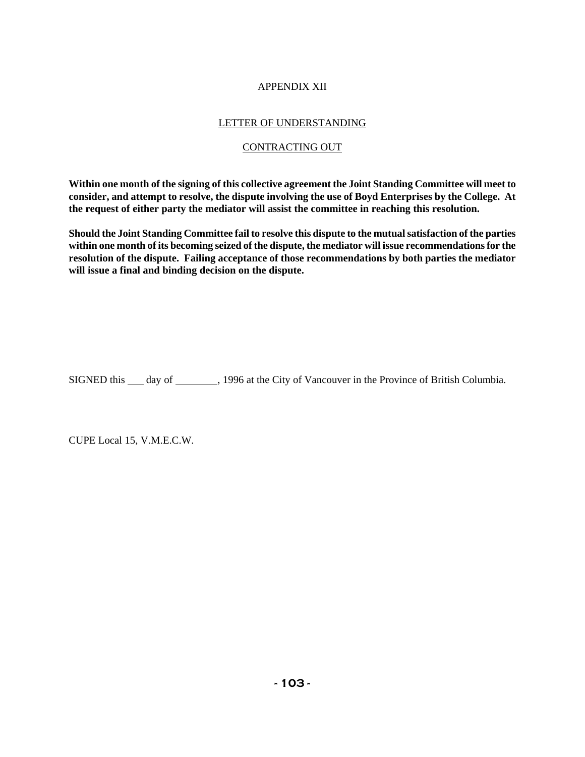# APPENDIX XII

# LETTER OF UNDERSTANDING

# CONTRACTING OUT

**Within one month of the signing of this collective agreement the Joint Standing Committee will meet to consider, and attempt to resolve, the dispute involving the use of Boyd Enterprises by the College. At the request of either party the mediator will assist the committee in reaching this resolution.** 

**Should the Joint Standing Committee fail to resolve this dispute to the mutual satisfaction of the parties within one month of its becoming seized of the dispute, the mediator will issue recommendations for the resolution of the dispute. Failing acceptance of those recommendations by both parties the mediator will issue a final and binding decision on the dispute.** 

SIGNED this \_\_\_ day of \_\_\_\_\_\_\_, 1996 at the City of Vancouver in the Province of British Columbia.

CUPE Local 15, V.M.E.C.W.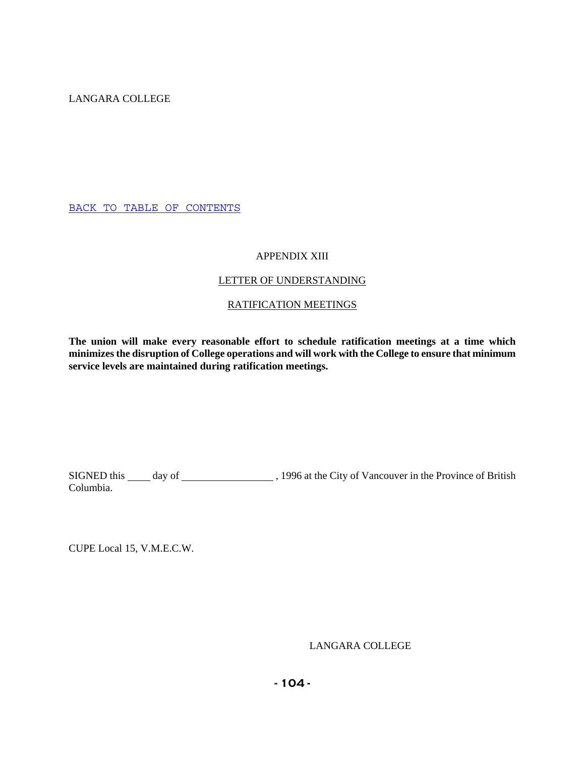LANGARA COLLEGE

BACK TO TABLE OF CONTENTS

# APPENDIX XIII

# LETTER OF UNDERSTANDING

# RATIFICATION MEETINGS

**The union will make every reasonable effort to schedule ratification meetings at a time which minimizes the disruption of College operations and will work with the College to ensure that minimum service levels are maintained during ratification meetings.** 

SIGNED this day of , 1996 at the City of Vancouver in the Province of British Columbia.

CUPE Local 15, V.M.E.C.W.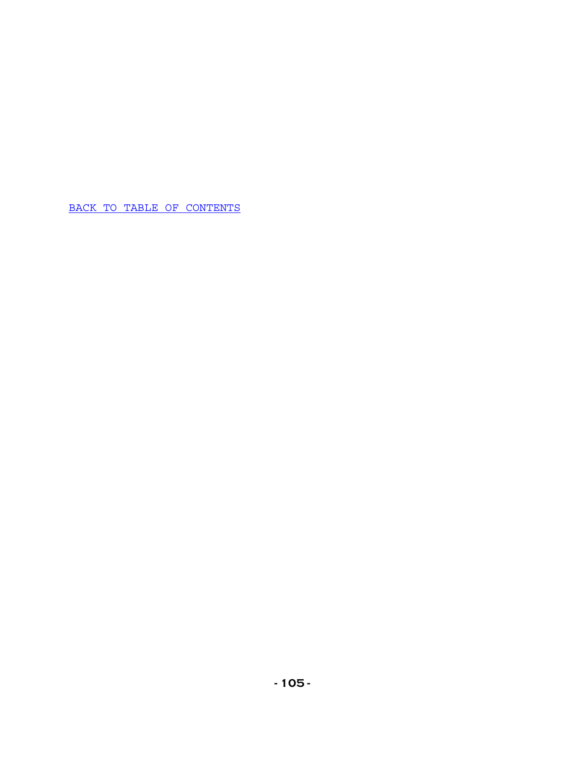BACK TO TABLE OF CONTENTS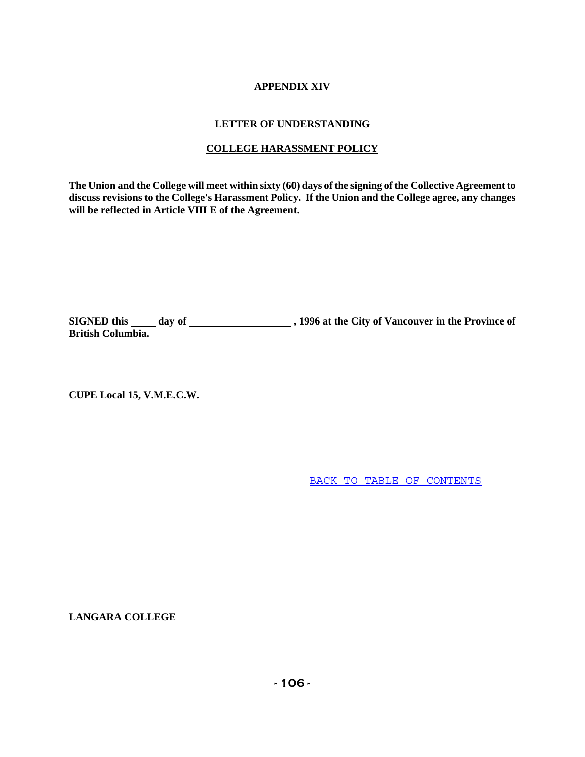# **APPENDIX XIV**

# **LETTER OF UNDERSTANDING**

# **COLLEGE HARASSMENT POLICY**

**The Union and the College will meet within sixty (60) days of the signing of the Collective Agreement to discuss revisions to the College's Harassment Policy. If the Union and the College agree, any changes will be reflected in Article VIII E of the Agreement.** 

**SIGNED this day of , 1996 at the City of Vancouver in the Province of British Columbia.** 

**CUPE Local 15, V.M.E.C.W.** 

BACK TO TABLE OF CONTENTS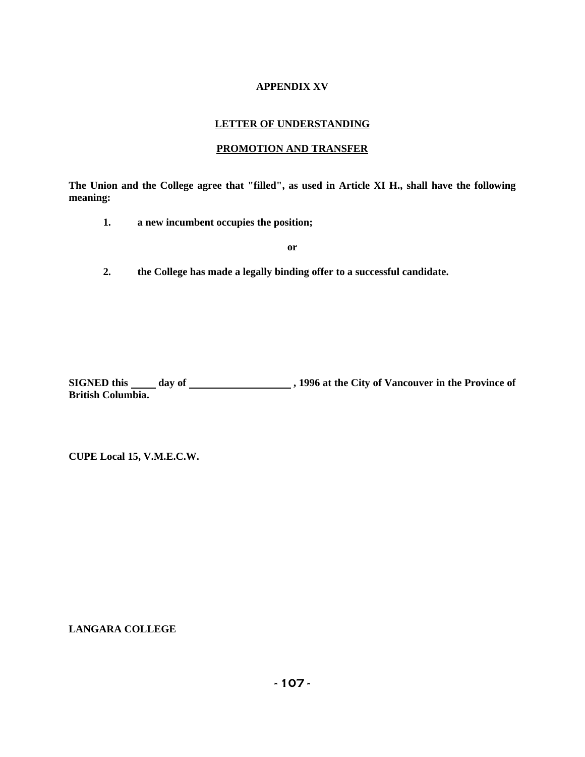# **APPENDIX XV**

# **LETTER OF UNDERSTANDING**

# **PROMOTION AND TRANSFER**

**The Union and the College agree that "filled", as used in Article XI H., shall have the following meaning:** 

**1. a new incumbent occupies the position;** 

 **or** 

**2. the College has made a legally binding offer to a successful candidate.** 

SIGNED this \_\_\_\_\_ day of \_\_\_\_\_\_\_\_\_\_\_\_\_\_\_\_\_\_\_\_\_\_, 1996 at the City of Vancouver in the Province of **British Columbia.** 

**CUPE Local 15, V.M.E.C.W.**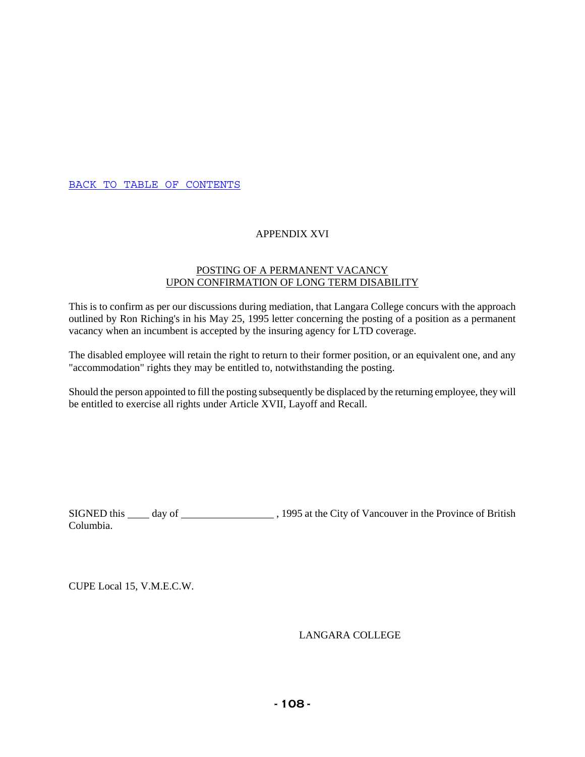BACK TO TABLE OF CONTENTS

# APPENDIX XVI

# POSTING OF A PERMANENT VACANCY UPON CONFIRMATION OF LONG TERM DISABILITY

This is to confirm as per our discussions during mediation, that Langara College concurs with the approach outlined by Ron Riching's in his May 25, 1995 letter concerning the posting of a position as a permanent vacancy when an incumbent is accepted by the insuring agency for LTD coverage.

The disabled employee will retain the right to return to their former position, or an equivalent one, and any "accommodation" rights they may be entitled to, notwithstanding the posting.

Should the person appointed to fill the posting subsequently be displaced by the returning employee, they will be entitled to exercise all rights under Article XVII, Layoff and Recall.

SIGNED this day of , 1995 at the City of Vancouver in the Province of British Columbia.

CUPE Local 15, V.M.E.C.W.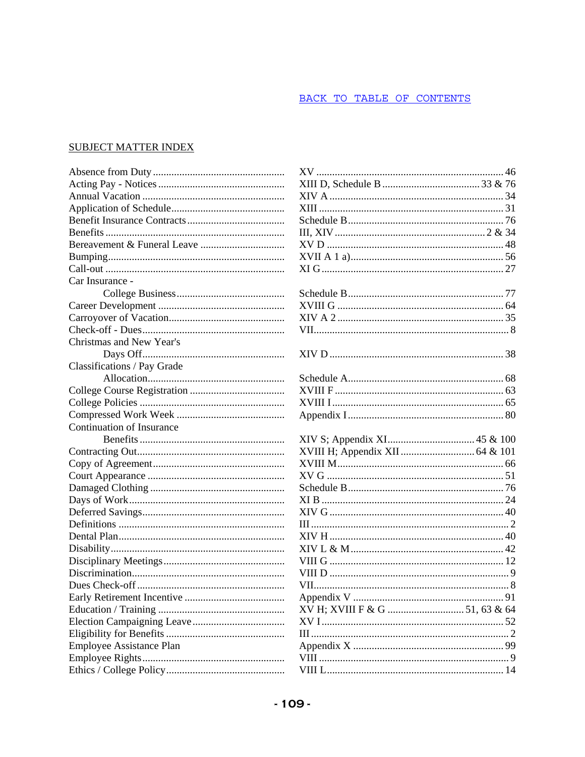## BACK TO TABLE OF CONTENTS

# SUBJECT MATTER INDEX

|                             | X١             |
|-----------------------------|----------------|
|                             | XI             |
|                             | XI             |
|                             | XI             |
|                             | Sc             |
|                             | Ш              |
|                             | $X^{\prime}$   |
|                             | $X^{\prime}$   |
|                             | XI             |
| Car Insurance -             |                |
|                             | Sc             |
|                             | $X^{\dagger}$  |
|                             | XI             |
|                             | VI             |
| Christmas and New Year's    |                |
|                             | XI             |
| Classifications / Pay Grade |                |
|                             | Sc             |
|                             | $X^{\prime}$   |
|                             | X <sup>I</sup> |
|                             | Ap             |
| Continuation of Insurance   |                |
|                             | XI             |
|                             | $X^{\prime}$   |
|                             | $X^{\prime}$   |
|                             | $X^{\prime}$   |
|                             | Sc             |
|                             | XI             |
|                             | XI             |
|                             | III            |
|                             | XI             |
|                             | XI             |
|                             | VI             |
|                             | VI             |
|                             | VI             |
|                             | Ap             |
|                             | X١             |
|                             | $X^{\prime}$   |
|                             | Ш              |
| Employee Assistance Plan    | Aŗ             |
|                             | VI             |
|                             | VI             |
|                             |                |

| 91                             |
|--------------------------------|
| XV H; XVIII F & G  51, 63 & 64 |
|                                |
|                                |
|                                |
|                                |
|                                |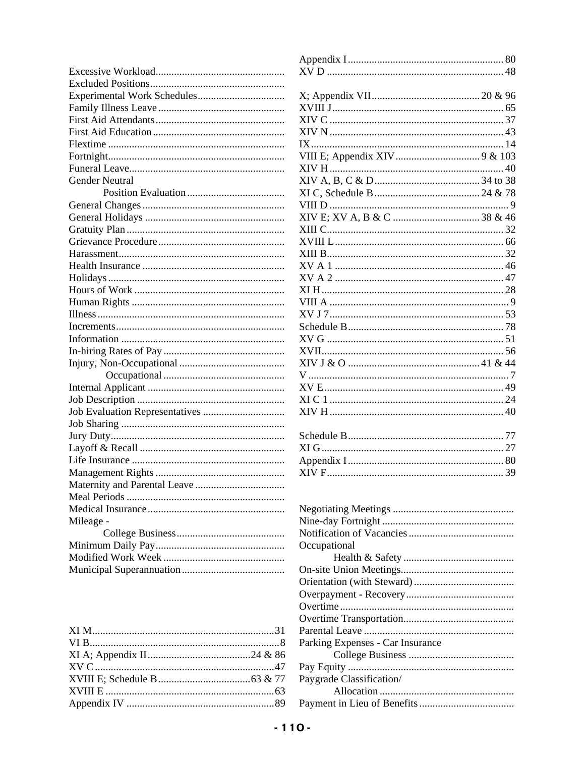| Gender Neutral |
|----------------|
|                |
|                |
|                |
|                |
|                |
|                |
|                |
|                |
|                |
|                |
|                |
|                |
|                |
|                |
|                |
|                |
|                |
|                |
|                |
|                |
|                |
|                |
|                |
|                |
|                |
|                |
|                |
|                |
| Mileage -      |
|                |
|                |
|                |
|                |

| .    |                                  |
|------|----------------------------------|
|      |                                  |
| .    |                                  |
| .    | Occupational                     |
| .    |                                  |
| .    |                                  |
|      |                                  |
|      |                                  |
|      |                                  |
|      |                                  |
| 31   |                                  |
| . 8  | Parking Expenses - Car Insurance |
| & 86 |                                  |
| . 47 |                                  |
| & 77 | Paygrade Classification/         |
| 63   |                                  |
| 89   |                                  |
|      |                                  |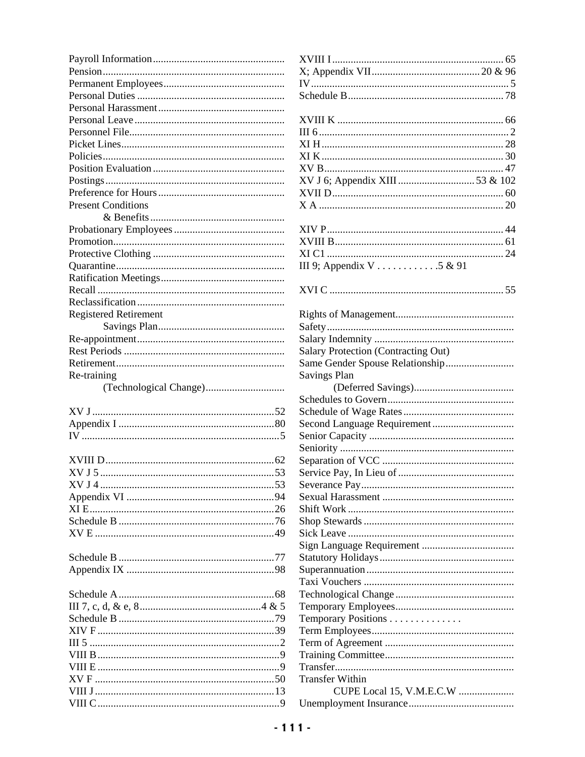| <b>Present Conditions</b>    |                                     |
|------------------------------|-------------------------------------|
|                              |                                     |
|                              |                                     |
|                              |                                     |
|                              |                                     |
|                              | III 9; Appendix V 5 & 91            |
|                              |                                     |
|                              |                                     |
|                              |                                     |
| <b>Registered Retirement</b> |                                     |
|                              |                                     |
|                              |                                     |
|                              | Salary Protection (Contracting Out) |
|                              |                                     |
| Re-training                  | <b>Savings Plan</b>                 |
|                              |                                     |
|                              |                                     |
|                              |                                     |
|                              |                                     |
|                              |                                     |
|                              |                                     |
|                              |                                     |
|                              |                                     |
|                              |                                     |
|                              |                                     |
|                              |                                     |
|                              |                                     |
|                              |                                     |
|                              |                                     |
|                              |                                     |
|                              |                                     |
|                              |                                     |
|                              |                                     |
|                              |                                     |
|                              |                                     |
|                              | Temporary Positions                 |
|                              |                                     |
|                              |                                     |
|                              |                                     |
|                              |                                     |
|                              | <b>Transfer Within</b>              |
|                              | CUPE Local 15, V.M.E.C.W            |
|                              |                                     |

| III 9; Appendix V 5 & 91                            |
|-----------------------------------------------------|
|                                                     |
|                                                     |
|                                                     |
|                                                     |
|                                                     |
|                                                     |
|                                                     |
| <b>Salary Protection (Contracting Out)</b>          |
|                                                     |
| Savings Plan                                        |
|                                                     |
|                                                     |
|                                                     |
|                                                     |
|                                                     |
|                                                     |
|                                                     |
|                                                     |
|                                                     |
|                                                     |
|                                                     |
|                                                     |
|                                                     |
|                                                     |
|                                                     |
|                                                     |
|                                                     |
|                                                     |
|                                                     |
|                                                     |
|                                                     |
| Temporary Positions                                 |
|                                                     |
|                                                     |
|                                                     |
|                                                     |
| <b>Transfer Within</b>                              |
|                                                     |
| CUPE Local 15, V.M.E.C.W<br>Llnemployment Insurance |
|                                                     |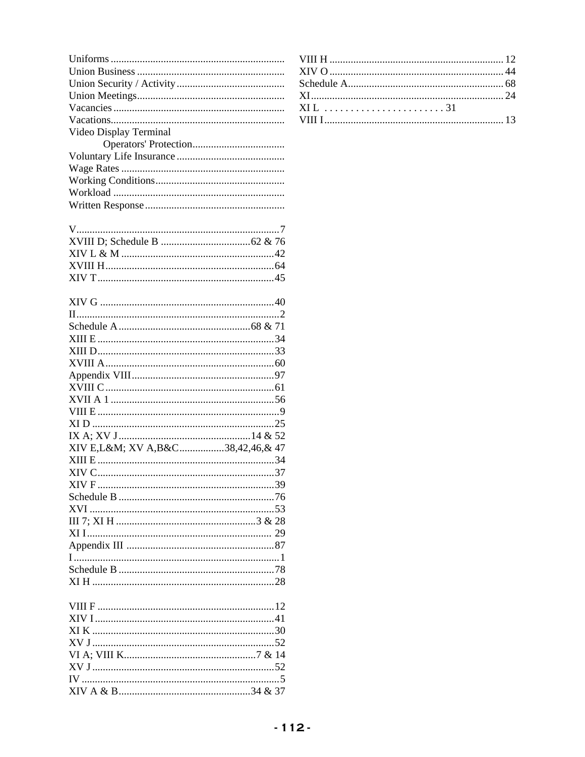| Video Display Terminal          |  |
|---------------------------------|--|
|                                 |  |
|                                 |  |
|                                 |  |
|                                 |  |
|                                 |  |
|                                 |  |
|                                 |  |
|                                 |  |
|                                 |  |
|                                 |  |
|                                 |  |
|                                 |  |
|                                 |  |
|                                 |  |
|                                 |  |
|                                 |  |
|                                 |  |
|                                 |  |
|                                 |  |
|                                 |  |
|                                 |  |
|                                 |  |
|                                 |  |
|                                 |  |
|                                 |  |
|                                 |  |
|                                 |  |
| XIV E,L&M XV A,B&C38,42,46,& 47 |  |
|                                 |  |
|                                 |  |
|                                 |  |
|                                 |  |
|                                 |  |
|                                 |  |
|                                 |  |
|                                 |  |
|                                 |  |
|                                 |  |
|                                 |  |
|                                 |  |
|                                 |  |
|                                 |  |
|                                 |  |
|                                 |  |
|                                 |  |
|                                 |  |
|                                 |  |
|                                 |  |
|                                 |  |

| XIL 31 |  |
|--------|--|
|        |  |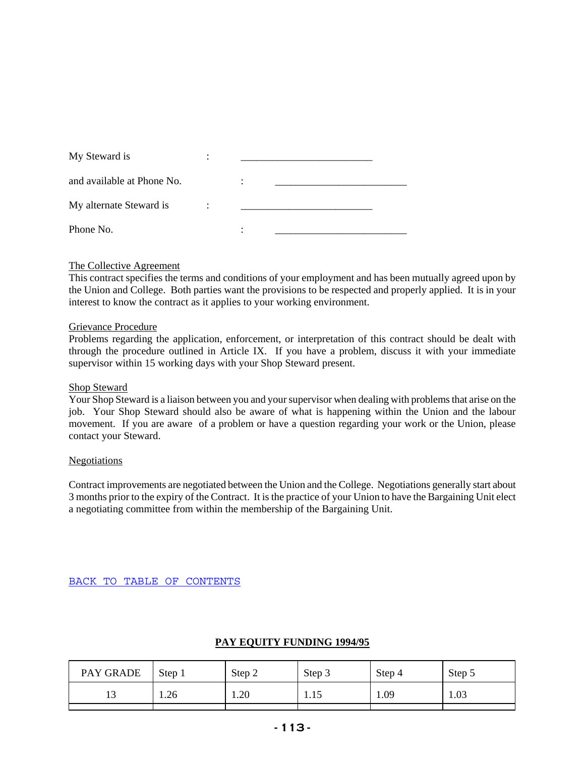| My Steward is              |  |  |
|----------------------------|--|--|
| and available at Phone No. |  |  |
| My alternate Steward is    |  |  |
| Phone No.                  |  |  |

### The Collective Agreement

This contract specifies the terms and conditions of your employment and has been mutually agreed upon by the Union and College. Both parties want the provisions to be respected and properly applied. It is in your interest to know the contract as it applies to your working environment.

#### Grievance Procedure

Problems regarding the application, enforcement, or interpretation of this contract should be dealt with through the procedure outlined in Article IX. If you have a problem, discuss it with your immediate supervisor within 15 working days with your Shop Steward present.

#### Shop Steward

Your Shop Steward is a liaison between you and your supervisor when dealing with problems that arise on the job. Your Shop Steward should also be aware of what is happening within the Union and the labour movement. If you are aware of a problem or have a question regarding your work or the Union, please contact your Steward.

#### Negotiations

Contract improvements are negotiated between the Union and the College. Negotiations generally start about 3 months prior to the expiry of the Contract. It is the practice of your Union to have the Bargaining Unit elect a negotiating committee from within the membership of the Bargaining Unit.

### BACK TO TABLE OF CONTENTS

## **PAY EQUITY FUNDING 1994/95**

| PAY GRADE | Step 1 | Step 2 | Step 3 | Step 4 | Step 5 |
|-----------|--------|--------|--------|--------|--------|
|           | 1.26   | 1.20   | 1.10   | 1.09   | 1.03   |
|           |        |        |        |        |        |